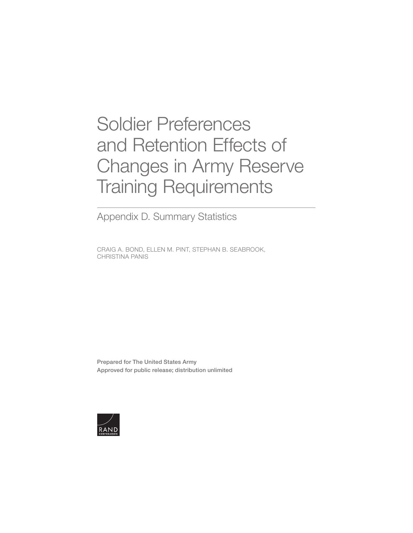# Soldier Preferences and Retention Effects of [Changes in Army Reserve](https://www.rand.org/pubs/research_reports/RRA750-1.html)  Training Requirements

Appendix D. Summary Statistics

CRAIG A. BOND, ELLEN M. PINT, STEPHAN B. SEABROOK, CHRISTINA PANIS

Prepared for The United States Army Approved for public release; distribution unlimited

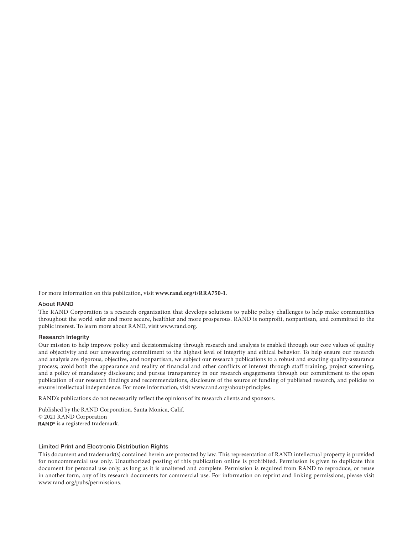For more information on this publication, visit **[www.rand.org/t/RRA750-1](http://www.rand.org/t/RRA750-1)**.

#### About RAND

The RAND Corporation is a research organization that develops solutions to public policy challenges to help make communities throughout the world safer and more secure, healthier and more prosperous. RAND is nonprofit, nonpartisan, and committed to the public interest. To learn more about RAND, visit [www.rand.org](http://www.rand.org).

#### Research Integrity

Our mission to help improve policy and decisionmaking through research and analysis is enabled through our core values of quality and objectivity and our unwavering commitment to the highest level of integrity and ethical behavior. To help ensure our research and analysis are rigorous, objective, and nonpartisan, we subject our research publications to a robust and exacting quality-assurance process; avoid both the appearance and reality of financial and other conflicts of interest through staff training, project screening, and a policy of mandatory disclosure; and pursue transparency in our research engagements through our commitment to the open publication of our research findings and recommendations, disclosure of the source of funding of published research, and policies to ensure intellectual independence. For more information, visit [www.rand.org/about/principles.](http://www.rand.org/about/principles)

RAND's publications do not necessarily reflect the opinions of its research clients and sponsors.

Published by the RAND Corporation, Santa Monica, Calif. © 2021 RAND Corporation RAND<sup>®</sup> is a registered trademark.

#### Limited Print and Electronic Distribution Rights

This document and trademark(s) contained herein are protected by law. This representation of RAND intellectual property is provided for noncommercial use only. Unauthorized posting of this publication online is prohibited. Permission is given to duplicate this document for personal use only, as long as it is unaltered and complete. Permission is required from RAND to reproduce, or reuse in another form, any of its research documents for commercial use. For information on reprint and linking permissions, please visit [www.rand.org/pubs/permissions.](http://www.rand.org/pubs/permissions)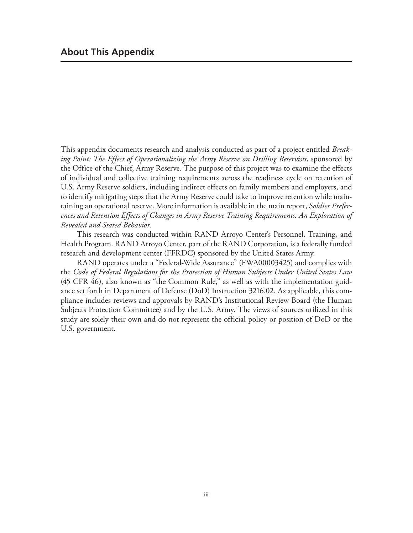This appendix documents research and analysis conducted as part of a project entitled *Breaking Point: The Effect of Operationalizing the Army Reserve on Drilling Reservists*, sponsored by the Office of the Chief, Army Reserve. The purpose of this project was to examine the effects of individual and collective training requirements across the readiness cycle on retention of U.S. Army Reserve soldiers, including indirect effects on family members and employers, and to identify mitigating steps that the Army Reserve could take to improve retention while maintaining an operational reserve. More information is available in the main report, *Soldier Preferences and Retention Effects of Changes in Army Reserve Training Requirements: An Exploration of Revealed and Stated Behavior*.

This research was conducted within RAND Arroyo Center's Personnel, Training, and Health Program. RAND Arroyo Center, part of the RAND Corporation, is a federally funded research and development center (FFRDC) sponsored by the United States Army.

RAND operates under a "Federal-Wide Assurance" (FWA00003425) and complies with the *Code of Federal Regulations for the Protection of Human Subjects Under United States Law* (45 CFR 46), also known as "the Common Rule," as well as with the implementation guidance set forth in Department of Defense (DoD) Instruction 3216.02. As applicable, this compliance includes reviews and approvals by RAND's Institutional Review Board (the Human Subjects Protection Committee) and by the U.S. Army. The views of sources utilized in this study are solely their own and do not represent the official policy or position of DoD or the U.S. government.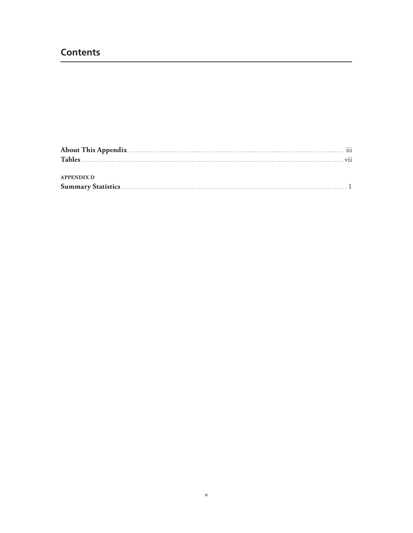# **Contents**

| <b>APPENDIX D</b> |  |
|-------------------|--|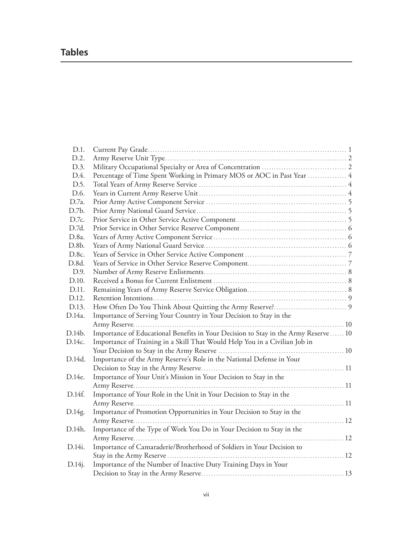# **Tables**

| D.1.            |                                                                                    |  |
|-----------------|------------------------------------------------------------------------------------|--|
| D.2.            |                                                                                    |  |
| D.3.            |                                                                                    |  |
| D.4.            | Percentage of Time Spent Working in Primary MOS or AOC in Past Year  4             |  |
| D.5.            |                                                                                    |  |
| D.6.            |                                                                                    |  |
| D.7a.           |                                                                                    |  |
| D.7b.           |                                                                                    |  |
| D.7c.           |                                                                                    |  |
| D.7d.           |                                                                                    |  |
| D.8a.           |                                                                                    |  |
| D.8b.           |                                                                                    |  |
| D.8c.           |                                                                                    |  |
| D.8d.           |                                                                                    |  |
| D.9.            |                                                                                    |  |
| D.10.           |                                                                                    |  |
| D.11.           |                                                                                    |  |
| D.12.           |                                                                                    |  |
| D.13.           |                                                                                    |  |
| D.14a.          | Importance of Serving Your Country in Your Decision to Stay in the                 |  |
|                 |                                                                                    |  |
| D.14b.          | Importance of Educational Benefits in Your Decision to Stay in the Army Reserve 10 |  |
| D.14c.          | Importance of Training in a Skill That Would Help You in a Civilian Job in         |  |
|                 |                                                                                    |  |
| D.14d.          | Importance of the Army Reserve's Role in the National Defense in Your              |  |
|                 |                                                                                    |  |
| D.14e.          | Importance of Your Unit's Mission in Your Decision to Stay in the                  |  |
|                 |                                                                                    |  |
| D.14f.          | Importance of Your Role in the Unit in Your Decision to Stay in the                |  |
|                 |                                                                                    |  |
| D.14g.          | Importance of Promotion Opportunities in Your Decision to Stay in the              |  |
|                 |                                                                                    |  |
| D.14h.          | Importance of the Type of Work You Do in Your Decision to Stay in the              |  |
|                 |                                                                                    |  |
| D.14 <i>i</i> . | Importance of Camaraderie/Brotherhood of Soldiers in Your Decision to              |  |
|                 |                                                                                    |  |
| D.14j.          | Importance of the Number of Inactive Duty Training Days in Your                    |  |
|                 |                                                                                    |  |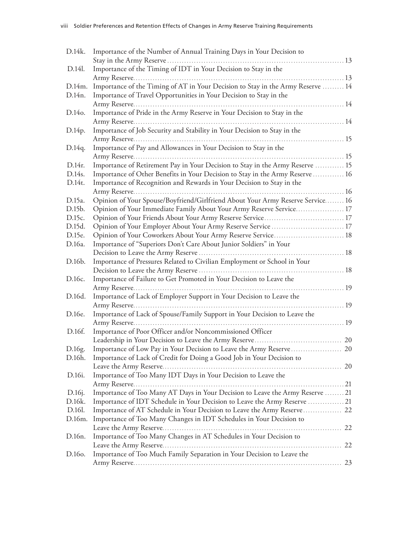| D.14k.          | Importance of the Number of Annual Training Days in Your Decision to            |  |
|-----------------|---------------------------------------------------------------------------------|--|
|                 |                                                                                 |  |
| D.14l.          | Importance of the Timing of IDT in Your Decision to Stay in the                 |  |
|                 |                                                                                 |  |
| D.14m.          | Importance of the Timing of AT in Your Decision to Stay in the Army Reserve  14 |  |
| D.14n.          | Importance of Travel Opportunities in Your Decision to Stay in the              |  |
|                 |                                                                                 |  |
| D.140.          | Importance of Pride in the Army Reserve in Your Decision to Stay in the         |  |
|                 |                                                                                 |  |
| D.14p.          | Importance of Job Security and Stability in Your Decision to Stay in the        |  |
|                 |                                                                                 |  |
| D.14q.          | Importance of Pay and Allowances in Your Decision to Stay in the                |  |
|                 |                                                                                 |  |
| D.14r.          | Importance of Retirement Pay in Your Decision to Stay in the Army Reserve  15   |  |
| D.14s.          | Importance of Other Benefits in Your Decision to Stay in the Army Reserve  16   |  |
| D.14t.          | Importance of Recognition and Rewards in Your Decision to Stay in the           |  |
|                 |                                                                                 |  |
| D.15a.          | Opinion of Your Spouse/Boyfriend/Girlfriend About Your Army Reserve Service 16  |  |
| D.15b.          | Opinion of Your Immediate Family About Your Army Reserve Service 17             |  |
| D.15c.          | Opinion of Your Friends About Your Army Reserve Service 17                      |  |
| D.15d.          | Opinion of Your Employer About Your Army Reserve Service  17                    |  |
| D.15e.          | Opinion of Your Coworkers About Your Army Reserve Service 18                    |  |
| D.16a.          | Importance of "Superiors Don't Care About Junior Soldiers" in Your              |  |
|                 |                                                                                 |  |
| D.16b.          | Importance of Pressures Related to Civilian Employment or School in Your        |  |
|                 |                                                                                 |  |
| D.16c.          | Importance of Failure to Get Promoted in Your Decision to Leave the             |  |
|                 |                                                                                 |  |
| D.16d.          | Importance of Lack of Employer Support in Your Decision to Leave the            |  |
|                 |                                                                                 |  |
| D.16e.          | Importance of Lack of Spouse/Family Support in Your Decision to Leave the       |  |
|                 |                                                                                 |  |
| D.16f.          | Importance of Poor Officer and/or Noncommissioned Officer                       |  |
|                 |                                                                                 |  |
| D.16g.          | Importance of Low Pay in Your Decision to Leave the Army Reserve 20             |  |
| D.16h.          | Importance of Lack of Credit for Doing a Good Job in Your Decision to           |  |
|                 |                                                                                 |  |
| D.16i.          | Importance of Too Many IDT Days in Your Decision to Leave the                   |  |
|                 |                                                                                 |  |
| D.16 <i>j</i> . | Importance of Too Many AT Days in Your Decision to Leave the Army Reserve  21   |  |
| D.16k.          | Importance of IDT Schedule in Your Decision to Leave the Army Reserve  21       |  |
| D.16l.          | Importance of AT Schedule in Your Decision to Leave the Army Reserve 22         |  |
| D.16m.          | Importance of Too Many Changes in IDT Schedules in Your Decision to             |  |
|                 |                                                                                 |  |
| D.16n.          | Importance of Too Many Changes in AT Schedules in Your Decision to              |  |
|                 |                                                                                 |  |
| D.160.          | Importance of Too Much Family Separation in Your Decision to Leave the          |  |
|                 |                                                                                 |  |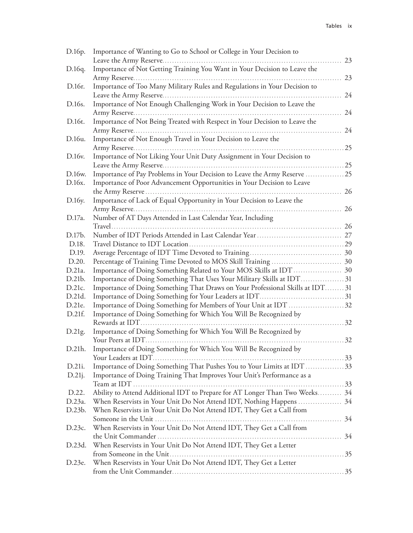| D.16p.    | Importance of Wanting to Go to School or College in Your Decision to           |     |
|-----------|--------------------------------------------------------------------------------|-----|
|           | Leave the Army Reserve                                                         | 23  |
| D.16q.    | Importance of Not Getting Training You Want in Your Decision to Leave the      |     |
|           |                                                                                | 23  |
| D.16r.    | Importance of Too Many Military Rules and Regulations in Your Decision to      |     |
|           |                                                                                | 24  |
| D.16s.    | Importance of Not Enough Challenging Work in Your Decision to Leave the        |     |
|           |                                                                                | 24  |
| D.16t.    | Importance of Not Being Treated with Respect in Your Decision to Leave the     |     |
|           |                                                                                | 24  |
| D.16u.    | Importance of Not Enough Travel in Your Decision to Leave the                  |     |
|           |                                                                                | 25  |
| D.16v.    | Importance of Not Liking Your Unit Duty Assignment in Your Decision to         |     |
|           |                                                                                | .25 |
| D.16w.    | Importance of Pay Problems in Your Decision to Leave the Army Reserve  25      |     |
| D.16x.    | Importance of Poor Advancement Opportunities in Your Decision to Leave         |     |
|           |                                                                                | 26  |
|           | .                                                                              |     |
| D.16y.    | Importance of Lack of Equal Opportunity in Your Decision to Leave the          |     |
|           |                                                                                | 26  |
| D.17a.    | Number of AT Days Attended in Last Calendar Year, Including                    |     |
|           |                                                                                |     |
| D.17b.    |                                                                                |     |
| D.18.     |                                                                                |     |
| D.19.     |                                                                                |     |
| D.20.     |                                                                                |     |
| D.21a.    |                                                                                |     |
| D.21b.    | Importance of Doing Something That Uses Your Military Skills at IDT31          |     |
| D.21c.    | Importance of Doing Something That Draws on Your Professional Skills at IDT 31 |     |
| D.21d.    |                                                                                |     |
| D.21e.    | Importance of Doing Something for Members of Your Unit at IDT 32               |     |
| D.21f.    | Importance of Doing Something for Which You Will Be Recognized by              |     |
|           |                                                                                | 32  |
| D.21g.    | Importance of Doing Something for Which You Will Be Recognized by              |     |
|           |                                                                                | 32  |
| D.21h.    | Importance of Doing Something for Which You Will Be Recognized by              |     |
|           |                                                                                |     |
| D.21i.    | Importance of Doing Something That Pushes You to Your Limits at IDT33          |     |
|           |                                                                                |     |
| $D.21$ j. | Importance of Doing Training That Improves Your Unit's Performance as a        |     |
|           |                                                                                |     |
| D.22.     | Ability to Attend Additional IDT to Prepare for AT Longer Than Two Weeks 34    |     |
| D.23a.    | When Reservists in Your Unit Do Not Attend IDT, Nothing Happens  34            |     |
| D.23b.    | When Reservists in Your Unit Do Not Attend IDT, They Get a Call from           |     |
|           |                                                                                |     |
| D.23c.    | When Reservists in Your Unit Do Not Attend IDT, They Get a Call from           |     |
|           |                                                                                |     |
| D.23d.    | When Reservists in Your Unit Do Not Attend IDT, They Get a Letter              |     |
|           |                                                                                |     |
| D.23e.    | When Reservists in Your Unit Do Not Attend IDT, They Get a Letter              |     |
|           |                                                                                |     |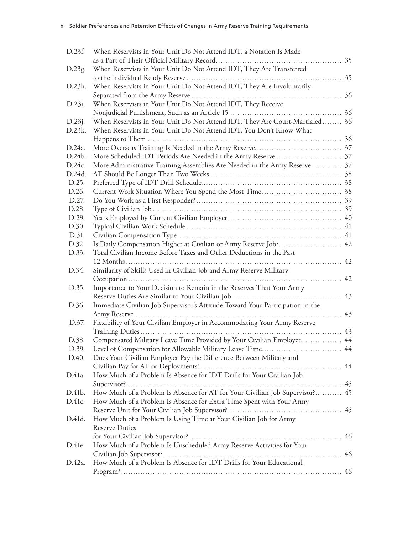| D.23f. | When Reservists in Your Unit Do Not Attend IDT, a Notation Is Made            |    |
|--------|-------------------------------------------------------------------------------|----|
|        |                                                                               | 35 |
| D.23g. | When Reservists in Your Unit Do Not Attend IDT, They Are Transferred          |    |
|        |                                                                               |    |
| D.23h. | When Reservists in Your Unit Do Not Attend IDT, They Are Involuntarily        |    |
|        |                                                                               | 36 |
| D.23i. | When Reservists in Your Unit Do Not Attend IDT, They Receive                  |    |
|        |                                                                               |    |
| D.23j. | When Reservists in Your Unit Do Not Attend IDT, They Are Court-Martialed 36   |    |
| D.23k. | When Reservists in Your Unit Do Not Attend IDT, You Don't Know What           |    |
|        |                                                                               |    |
| D.24a. |                                                                               |    |
| D.24b. |                                                                               |    |
| D.24c. | More Administrative Training Assemblies Are Needed in the Army Reserve 37     |    |
| D.24d. |                                                                               |    |
| D.25.  |                                                                               |    |
| D.26.  |                                                                               |    |
| D.27.  |                                                                               |    |
| D.28.  |                                                                               |    |
| D.29.  |                                                                               |    |
| D.30.  |                                                                               |    |
| D.31.  |                                                                               |    |
| D.32.  | Is Daily Compensation Higher at Civilian or Army Reserve Job? 42              |    |
| D.33.  | Total Civilian Income Before Taxes and Other Deductions in the Past           |    |
|        | 12 Months                                                                     | 42 |
| D.34.  | Similarity of Skills Used in Civilian Job and Army Reserve Military           |    |
|        |                                                                               | 42 |
| D.35.  | Importance to Your Decision to Remain in the Reserves That Your Army          |    |
|        |                                                                               |    |
| D.36.  | Immediate Civilian Job Supervisor's Attitude Toward Your Participation in the |    |
|        |                                                                               | 43 |
| D.37.  | Flexibility of Your Civilian Employer in Accommodating Your Army Reserve      |    |
|        |                                                                               | 43 |
| D.38.  | Compensated Military Leave Time Provided by Your Civilian Employer            | 44 |
| D.39.  |                                                                               |    |
| D.40.  | Does Your Civilian Employer Pay the Difference Between Military and           |    |
|        |                                                                               |    |
| D.41a. | How Much of a Problem Is Absence for IDT Drills for Your Civilian Job         |    |
|        |                                                                               |    |
| D.41b. | How Much of a Problem Is Absence for AT for Your Civilian Job Supervisor? 45  |    |
| D.41c. | How Much of a Problem Is Absence for Extra Time Spent with Your Army          |    |
|        |                                                                               |    |
| D.41d. | How Much of a Problem Is Using Time at Your Civilian Job for Army             |    |
|        | <b>Reserve Duties</b>                                                         |    |
|        |                                                                               |    |
| D.41e. | How Much of a Problem Is Unscheduled Army Reserve Activities for Your         |    |
|        |                                                                               |    |
| D.42a. | How Much of a Problem Is Absence for IDT Drills for Your Educational          |    |
|        |                                                                               |    |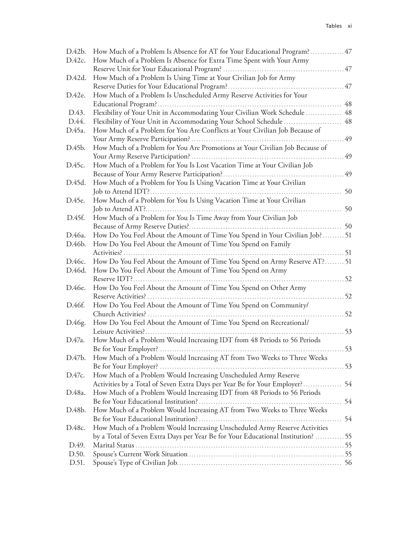| D.42b. | How Much of a Problem Is Absence for AT for Your Educational Program?47                                                                                 |      |
|--------|---------------------------------------------------------------------------------------------------------------------------------------------------------|------|
| D.42c. | How Much of a Problem Is Absence for Extra Time Spent with Your Army                                                                                    |      |
|        |                                                                                                                                                         |      |
| D.42d. | How Much of a Problem Is Using Time at Your Civilian Job for Army                                                                                       |      |
|        |                                                                                                                                                         |      |
| D.42e. | How Much of a Problem Is Unscheduled Army Reserve Activities for Your                                                                                   |      |
|        |                                                                                                                                                         |      |
| D.43.  | Flexibility of Your Unit in Accommodating Your Civilian Work Schedule                                                                                   | 48   |
| D.44.  | Flexibility of Your Unit in Accommodating Your School Schedule  48                                                                                      |      |
| D.45a. | How Much of a Problem for You Are Conflicts at Your Civilian Job Because of                                                                             |      |
|        |                                                                                                                                                         |      |
| D.45b. | How Much of a Problem for You Are Promotions at Your Civilian Job Because of                                                                            |      |
|        |                                                                                                                                                         | 49   |
| D.45c. | How Much of a Problem for You Is Lost Vacation Time at Your Civilian Job                                                                                |      |
|        |                                                                                                                                                         | 49   |
| D.45d. | How Much of a Problem for You Is Using Vacation Time at Your Civilian                                                                                   |      |
|        |                                                                                                                                                         | 50   |
| D.45e. | How Much of a Problem for You Is Using Vacation Time at Your Civilian                                                                                   |      |
|        |                                                                                                                                                         | 50   |
| D.45f. | How Much of a Problem for You Is Time Away from Your Civilian Job                                                                                       |      |
|        |                                                                                                                                                         |      |
| D.46a. | How Do You Feel About the Amount of Time You Spend in Your Civilian Job? 51                                                                             |      |
| D.46b. | How Do You Feel About the Amount of Time You Spend on Family                                                                                            |      |
|        |                                                                                                                                                         | . 51 |
| D.46c. | How Do You Feel About the Amount of Time You Spend on Army Reserve AT? 51                                                                               |      |
| D.46d. | How Do You Feel About the Amount of Time You Spend on Army                                                                                              |      |
|        | . 52                                                                                                                                                    |      |
| D.46e. | How Do You Feel About the Amount of Time You Spend on Other Army                                                                                        |      |
|        |                                                                                                                                                         |      |
| D.46f. | How Do You Feel About the Amount of Time You Spend on Community/                                                                                        |      |
|        |                                                                                                                                                         |      |
| D.46g. | How Do You Feel About the Amount of Time You Spend on Recreational/                                                                                     |      |
|        |                                                                                                                                                         | .53  |
| D.47a. | How Much of a Problem Would Increasing IDT from 48 Periods to 56 Periods                                                                                |      |
|        |                                                                                                                                                         | . 53 |
| D.47b. | How Much of a Problem Would Increasing AT from Two Weeks to Three Weeks                                                                                 |      |
| D.47c. |                                                                                                                                                         |      |
|        | How Much of a Problem Would Increasing Unscheduled Army Reserve                                                                                         |      |
| D.48a. | Activities by a Total of Seven Extra Days per Year Be for Your Employer? 54<br>How Much of a Problem Would Increasing IDT from 48 Periods to 56 Periods |      |
|        |                                                                                                                                                         | 54   |
| D.48b. | How Much of a Problem Would Increasing AT from Two Weeks to Three Weeks                                                                                 |      |
|        |                                                                                                                                                         |      |
| D.48c. | How Much of a Problem Would Increasing Unscheduled Army Reserve Activities                                                                              |      |
|        | by a Total of Seven Extra Days per Year Be for Your Educational Institution?  55                                                                        |      |
| D.49.  |                                                                                                                                                         |      |
| D.50.  |                                                                                                                                                         |      |
| D.51.  |                                                                                                                                                         |      |
|        |                                                                                                                                                         |      |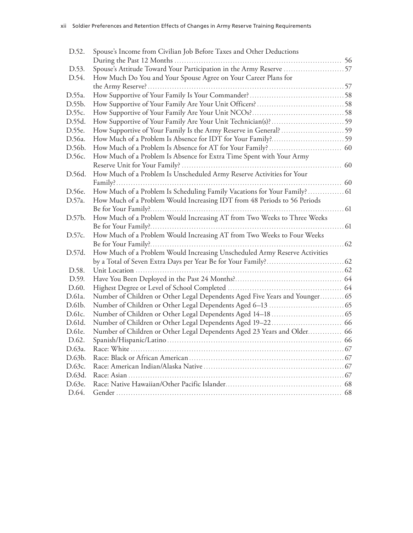| D.52.  | Spouse's Income from Civilian Job Before Taxes and Other Deductions         |  |
|--------|-----------------------------------------------------------------------------|--|
|        |                                                                             |  |
| D.53.  |                                                                             |  |
| D.54.  | How Much Do You and Your Spouse Agree on Your Career Plans for              |  |
|        |                                                                             |  |
| D.55a. |                                                                             |  |
| D.55b. |                                                                             |  |
| D.55c. |                                                                             |  |
| D.55d. |                                                                             |  |
| D.55e. | How Supportive of Your Family Is the Army Reserve in General?  59           |  |
| D.56a. |                                                                             |  |
| D.56b. |                                                                             |  |
| D.56c. | How Much of a Problem Is Absence for Extra Time Spent with Your Army        |  |
|        |                                                                             |  |
| D.56d. | How Much of a Problem Is Unscheduled Army Reserve Activities for Your       |  |
|        |                                                                             |  |
| D.56e. | How Much of a Problem Is Scheduling Family Vacations for Your Family?  61   |  |
| D.57a. | How Much of a Problem Would Increasing IDT from 48 Periods to 56 Periods    |  |
|        |                                                                             |  |
| D.57b. | How Much of a Problem Would Increasing AT from Two Weeks to Three Weeks     |  |
|        |                                                                             |  |
| D.57c. | How Much of a Problem Would Increasing AT from Two Weeks to Four Weeks      |  |
|        |                                                                             |  |
| D.57d. | How Much of a Problem Would Increasing Unscheduled Army Reserve Activities  |  |
|        |                                                                             |  |
| D.58.  |                                                                             |  |
| D.59.  |                                                                             |  |
| D.60.  |                                                                             |  |
| D.61a. | Number of Children or Other Legal Dependents Aged Five Years and Younger 65 |  |
| D.61b. |                                                                             |  |
| D.61c. |                                                                             |  |
| D.61d. |                                                                             |  |
| D.61e. | Number of Children or Other Legal Dependents Aged 23 Years and Older 66     |  |
| D.62.  |                                                                             |  |
| D.63a. |                                                                             |  |
| D.63b. |                                                                             |  |
| D.63c. |                                                                             |  |
| D.63d. |                                                                             |  |
| D.63e. |                                                                             |  |
| D.64.  |                                                                             |  |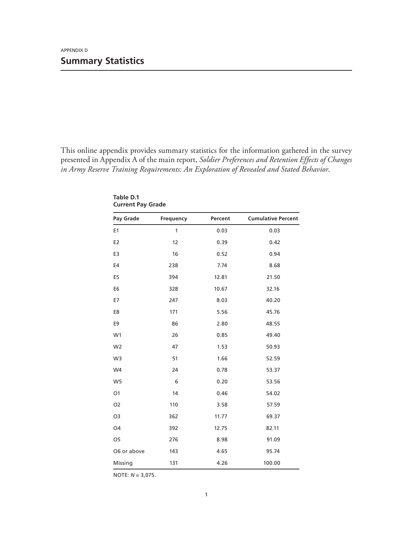This online appendix provides summary statistics for the information gathered in the survey presented in Appendix A of the main report, *Soldier Preferences and Retention Effects of Changes in Army Reserve Training Requirements: An Exploration of Revealed and Stated Behavior*.

| Pay Grade      | Frequency    | Percent | <b>Cumulative Percent</b> |
|----------------|--------------|---------|---------------------------|
| E <sub>1</sub> | $\mathbf{1}$ | 0.03    | 0.03                      |
| E <sub>2</sub> | 12           | 0.39    | 0.42                      |
| E3             | 16           | 0.52    | 0.94                      |
| E4             | 238          | 7.74    | 8.68                      |
| E <sub>5</sub> | 394          | 12.81   | 21.50                     |
| E <sub>6</sub> | 328          | 10.67   | 32.16                     |
| E7             | 247          | 8.03    | 40.20                     |
| E8             | 171          | 5.56    | 45.76                     |
| E <sub>9</sub> | 86           | 2.80    | 48.55                     |
| W <sub>1</sub> | 26           | 0.85    | 49.40                     |
| W <sub>2</sub> | 47           | 1.53    | 50.93                     |
| W <sub>3</sub> | 51           | 1.66    | 52.59                     |
| W4             | 24           | 0.78    | 53.37                     |
| W <sub>5</sub> | 6            | 0.20    | 53.56                     |
| O <sub>1</sub> | 14           | 0.46    | 54.02                     |
| O <sub>2</sub> | 110          | 3.58    | 57.59                     |
| O <sub>3</sub> | 362          | 11.77   | 69.37                     |
| O <sub>4</sub> | 392          | 12.75   | 82.11                     |
| O <sub>5</sub> | 276          | 8.98    | 91.09                     |
| O6 or above    | 143          | 4.65    | 95.74                     |
| Missing        | 131          | 4.26    | 100.00                    |

**Table D.1 Current Pay Grade**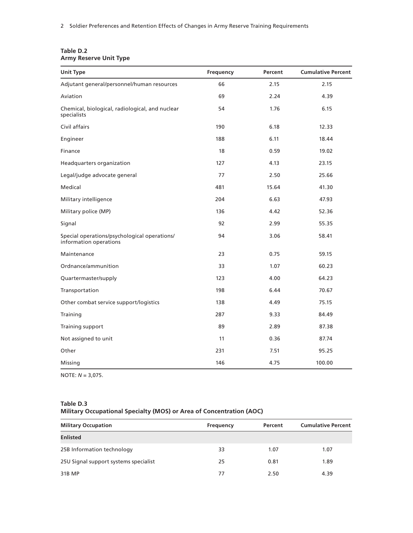| <b>Unit Type</b>                                                       | Frequency | Percent | <b>Cumulative Percent</b> |
|------------------------------------------------------------------------|-----------|---------|---------------------------|
| Adjutant general/personnel/human resources                             | 66        | 2.15    | 2.15                      |
| Aviation                                                               | 69        | 2.24    | 4.39                      |
| Chemical, biological, radiological, and nuclear<br>specialists         | 54        | 1.76    | 6.15                      |
| Civil affairs                                                          | 190       | 6.18    | 12.33                     |
| Engineer                                                               | 188       | 6.11    | 18.44                     |
| Finance                                                                | 18        | 0.59    | 19.02                     |
| Headquarters organization                                              | 127       | 4.13    | 23.15                     |
| Legal/judge advocate general                                           | 77        | 2.50    | 25.66                     |
| Medical                                                                | 481       | 15.64   | 41.30                     |
| Military intelligence                                                  | 204       | 6.63    | 47.93                     |
| Military police (MP)                                                   | 136       | 4.42    | 52.36                     |
| Signal                                                                 | 92        | 2.99    | 55.35                     |
| Special operations/psychological operations/<br>information operations | 94        | 3.06    | 58.41                     |
| Maintenance                                                            | 23        | 0.75    | 59.15                     |
| Ordnance/ammunition                                                    | 33        | 1.07    | 60.23                     |
| Quartermaster/supply                                                   | 123       | 4.00    | 64.23                     |
| Transportation                                                         | 198       | 6.44    | 70.67                     |
| Other combat service support/logistics                                 | 138       | 4.49    | 75.15                     |
| Training                                                               | 287       | 9.33    | 84.49                     |
| Training support                                                       | 89        | 2.89    | 87.38                     |
| Not assigned to unit                                                   | 11        | 0.36    | 87.74                     |
| Other                                                                  | 231       | 7.51    | 95.25                     |
| Missing                                                                | 146       | 4.75    | 100.00                    |

| Table D.2 |                               |  |
|-----------|-------------------------------|--|
|           | <b>Army Reserve Unit Type</b> |  |

NOTE: *N* = 3,075.

#### **Table D.3 Military Occupational Specialty (MOS) or Area of Concentration (AOC)**

| <b>Military Occupation</b>            | Frequency | Percent | <b>Cumulative Percent</b> |
|---------------------------------------|-----------|---------|---------------------------|
| <b>Enlisted</b>                       |           |         |                           |
| 25B Information technology            | 33        | 1.07    | 1.07                      |
| 25U Signal support systems specialist | 25        | 0.81    | 1.89                      |
| 31B MP                                | 77        | 2.50    | 4.39                      |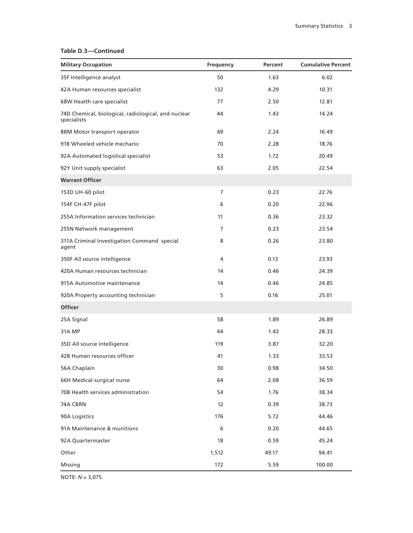# **Table D.3—Continued**

| <b>Military Occupation</b>                                         | Frequency      | Percent | <b>Cumulative Percent</b> |
|--------------------------------------------------------------------|----------------|---------|---------------------------|
| 35F Intelligence analyst                                           | 50             | 1.63    | 6.02                      |
| 42A Human resources specialist                                     | 132            | 4.29    | 10.31                     |
| 68W Health care specialist                                         | 77             | 2.50    | 12.81                     |
| 74D Chemical, biological, radiological, and nuclear<br>specialists | 44             | 1.43    | 14.24                     |
| 88M Motor transport operator                                       | 69             | 2.24    | 16.49                     |
| 91B Wheeled vehicle mechanic                                       | 70             | 2.28    | 18.76                     |
| 92A Automated logistical specialist                                | 53             | 1.72    | 20.49                     |
| 92Y Unit supply specialist                                         | 63             | 2.05    | 22.54                     |
| <b>Warrant Officer</b>                                             |                |         |                           |
| 153D UH-60 pilot                                                   | $\overline{7}$ | 0.23    | 22.76                     |
| 154F CH-47F pilot                                                  | 6              | 0.20    | 22.96                     |
| 255A Information services technician                               | 11             | 0.36    | 23.32                     |
| 255N Network management                                            | 7              | 0.23    | 23.54                     |
| 311A Criminal Investigation Command special<br>agent               | 8              | 0.26    | 23.80                     |
| 350F All source intelligence                                       | 4              | 0.13    | 23.93                     |
| 420A Human resources technician                                    | 14             | 0.46    | 24.39                     |
| 915A Automotive maintenance                                        | 14             | 0.46    | 24.85                     |
| 920A Property accounting technician                                | 5              | 0.16    | 25.01                     |
| <b>Officer</b>                                                     |                |         |                           |
| 25A Signal                                                         | 58             | 1.89    | 26.89                     |
| 31A MP                                                             | 44             | 1.43    | 28.33                     |
| 35D All source intelligence                                        | 119            | 3.87    | 32.20                     |
| 42B Human resources officer                                        | 41             | 1.33    | 33.53                     |
| 56A Chaplain                                                       | 30             | 0.98    | 34.50                     |
| 66H Medical-surgical nurse                                         | 64             | 2.08    | 36.59                     |
| 70B Health services administration                                 | 54             | 1.76    | 38.34                     |
| 74A CBRN                                                           | 12             | 0.39    | 38.73                     |
| 90A Logistics                                                      | 176            | 5.72    | 44.46                     |
| 91A Maintenance & munitions                                        | 6              | 0.20    | 44.65                     |
| 92A Quartermaster                                                  | 18             | 0.59    | 45.24                     |
| Other                                                              | 1,512          | 49.17   | 94.41                     |
| Missing                                                            | 172            | 5.59    | 100.00                    |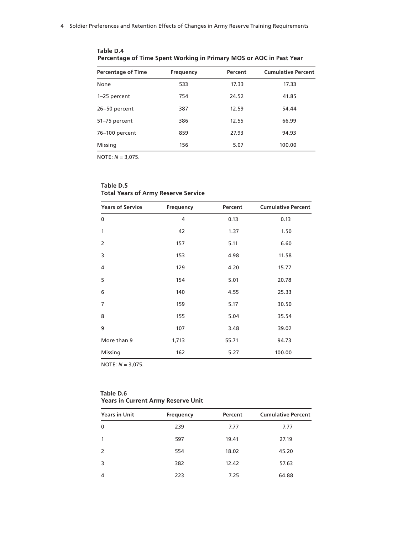| <b>Percentage of Time</b> | Frequency | Percent | <b>Cumulative Percent</b> |
|---------------------------|-----------|---------|---------------------------|
| None                      | 533       | 17.33   | 17.33                     |
| 1-25 percent              | 754       | 24.52   | 41.85                     |
| 26-50 percent             | 387       | 12.59   | 54.44                     |
| 51-75 percent             | 386       | 12.55   | 66.99                     |
| 76-100 percent            | 859       | 27.93   | 94.93                     |
| Missing                   | 156       | 5.07    | 100.00                    |

**Table D.4 Percentage of Time Spent Working in Primary MOS or AOC in Past Year**

NOTE: *N* = 3,075.

### **Table D.5 Total Years of Army Reserve Service**

| <b>Years of Service</b> | <b>Frequency</b> | Percent | <b>Cumulative Percent</b> |
|-------------------------|------------------|---------|---------------------------|
| 0                       | 4                | 0.13    | 0.13                      |
| 1                       | 42               | 1.37    | 1.50                      |
| $\overline{2}$          | 157              | 5.11    | 6.60                      |
| 3                       | 153              | 4.98    | 11.58                     |
| 4                       | 129              | 4.20    | 15.77                     |
| 5                       | 154              | 5.01    | 20.78                     |
| 6                       | 140              | 4.55    | 25.33                     |
| $\overline{7}$          | 159              | 5.17    | 30.50                     |
| 8                       | 155              | 5.04    | 35.54                     |
| 9                       | 107              | 3.48    | 39.02                     |
| More than 9             | 1,713            | 55.71   | 94.73                     |
| Missing                 | 162              | 5.27    | 100.00                    |

NOTE: *N* = 3,075.

#### **Table D.6 Years in Current Army Reserve Unit**

| <b>Years in Unit</b> | Frequency | Percent | <b>Cumulative Percent</b> |
|----------------------|-----------|---------|---------------------------|
| $\mathbf{0}$         | 239       | 7.77    | 7.77                      |
| $\mathbf{1}$         | 597       | 19.41   | 27.19                     |
| 2                    | 554       | 18.02   | 45.20                     |
| 3                    | 382       | 12.42   | 57.63                     |
| 4                    | 223       | 7.25    | 64.88                     |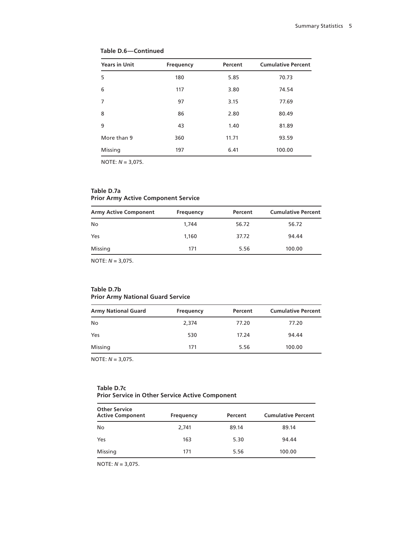| <b>Years in Unit</b> | Frequency | Percent | <b>Cumulative Percent</b> |
|----------------------|-----------|---------|---------------------------|
| 5                    | 180       | 5.85    | 70.73                     |
| 6                    | 117       | 3.80    | 74.54                     |
| 7                    | 97        | 3.15    | 77.69                     |
| 8                    | 86        | 2.80    | 80.49                     |
| 9                    | 43        | 1.40    | 81.89                     |
| More than 9          | 360       | 11.71   | 93.59                     |
| Missing              | 197       | 6.41    | 100.00                    |

# **Table D.6—Continued**

NOTE: *N* = 3,075.

#### **Table D.7a Prior Army Active Component Service**

| <b>Army Active Component</b> | <b>Frequency</b> | Percent | <b>Cumulative Percent</b> |
|------------------------------|------------------|---------|---------------------------|
| No                           | 1.744            | 56.72   | 56.72                     |
| Yes                          | 1.160            | 37.72   | 94.44                     |
| Missing                      | 171              | 5.56    | 100.00                    |

NOTE: *N* = 3,075.

#### **Table D.7b Prior Army National Guard Service**

| <b>Army National Guard</b> | Frequency | Percent | <b>Cumulative Percent</b> |
|----------------------------|-----------|---------|---------------------------|
| No                         | 2.374     | 77.20   | 77.20                     |
| Yes                        | 530       | 17.24   | 94.44                     |
| Missing                    | 171       | 5.56    | 100.00                    |

NOTE: *N* = 3,075.

#### **Table D.7c Prior Service in Other Service Active Component**

| <b>Other Service</b><br><b>Active Component</b> | <b>Frequency</b> | Percent | <b>Cumulative Percent</b> |
|-------------------------------------------------|------------------|---------|---------------------------|
| No                                              | 2,741            | 89.14   | 89.14                     |
| Yes                                             | 163              | 5.30    | 94.44                     |
| Missing                                         | 171              | 5.56    | 100.00                    |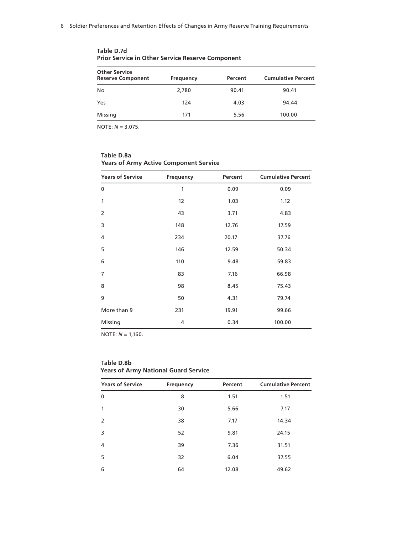| <b>Other Service</b>     |                  |         |                           |
|--------------------------|------------------|---------|---------------------------|
| <b>Reserve Component</b> | <b>Frequency</b> | Percent | <b>Cumulative Percent</b> |
| No                       | 2,780            | 90.41   | 90.41                     |
| Yes                      | 124              | 4.03    | 94.44                     |
| Missing                  | 171              | 5.56    | 100.00                    |

**Table D.7d Prior Service in Other Service Reserve Component**

NOTE: *N* = 3,075.

| rears of Army Active Component Service |                  |         |                           |
|----------------------------------------|------------------|---------|---------------------------|
| <b>Years of Service</b>                | <b>Frequency</b> | Percent | <b>Cumulative Percent</b> |
| 0                                      | 1                | 0.09    | 0.09                      |
| 1                                      | 12               | 1.03    | 1.12                      |
| $\overline{2}$                         | 43               | 3.71    | 4.83                      |
| 3                                      | 148              | 12.76   | 17.59                     |
| 4                                      | 234              | 20.17   | 37.76                     |
| 5                                      | 146              | 12.59   | 50.34                     |
| 6                                      | 110              | 9.48    | 59.83                     |
| $\overline{7}$                         | 83               | 7.16    | 66.98                     |
| 8                                      | 98               | 8.45    | 75.43                     |
| 9                                      | 50               | 4.31    | 79.74                     |
| More than 9                            | 231              | 19.91   | 99.66                     |
| Missing                                | 4                | 0.34    | 100.00                    |

**Table D.8a Years of Army Active Component Service**

NOTE: *N* = 1,160.

#### **Table D.8b Years of Army National Guard Service**

| <b>Years of Service</b> | <b>Frequency</b> | Percent | <b>Cumulative Percent</b> |
|-------------------------|------------------|---------|---------------------------|
| $\mathbf{0}$            | 8                | 1.51    | 1.51                      |
| 1                       | 30               | 5.66    | 7.17                      |
| $\overline{2}$          | 38               | 7.17    | 14.34                     |
| 3                       | 52               | 9.81    | 24.15                     |
| 4                       | 39               | 7.36    | 31.51                     |
| 5                       | 32               | 6.04    | 37.55                     |
| 6                       | 64               | 12.08   | 49.62                     |
|                         |                  |         |                           |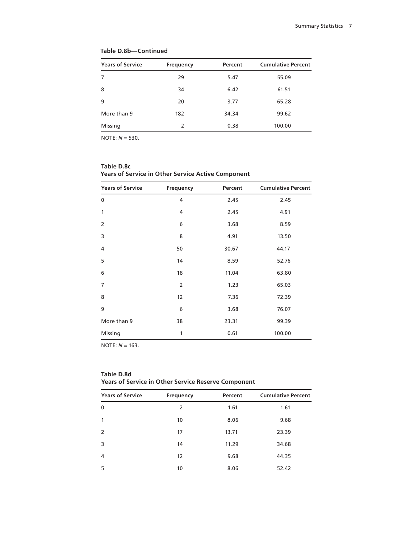| <b>Years of Service</b> | Frequency | Percent | <b>Cumulative Percent</b> |
|-------------------------|-----------|---------|---------------------------|
| 7                       | 29        | 5.47    | 55.09                     |
| 8                       | 34        | 6.42    | 61.51                     |
| 9                       | 20        | 3.77    | 65.28                     |
| More than 9             | 182       | 34.34   | 99.62                     |
| Missing                 | 2         | 0.38    | 100.00                    |

#### **Table D.8b—Continued**

NOTE: *N* = 530.

| Table D.8c                                                |
|-----------------------------------------------------------|
| <b>Years of Service in Other Service Active Component</b> |

| <b>Years of Service</b> | Frequency      | Percent | <b>Cumulative Percent</b> |
|-------------------------|----------------|---------|---------------------------|
| 0                       | 4              | 2.45    | 2.45                      |
| 1                       | 4              | 2.45    | 4.91                      |
| 2                       | 6              | 3.68    | 8.59                      |
| 3                       | 8              | 4.91    | 13.50                     |
| 4                       | 50             | 30.67   | 44.17                     |
| 5                       | 14             | 8.59    | 52.76                     |
| 6                       | 18             | 11.04   | 63.80                     |
| $\overline{7}$          | $\overline{2}$ | 1.23    | 65.03                     |
| 8                       | 12             | 7.36    | 72.39                     |
| 9                       | 6              | 3.68    | 76.07                     |
| More than 9             | 38             | 23.31   | 99.39                     |
| Missing                 | 1              | 0.61    | 100.00                    |

NOTE: *N* = 163.

| <b>Years of Service</b> | Frequency | Percent | <b>Cumulative Percent</b> |
|-------------------------|-----------|---------|---------------------------|
| 0                       | 2         | 1.61    | 1.61                      |
| 1                       | 10        | 8.06    | 9.68                      |
| 2                       | 17        | 13.71   | 23.39                     |
| 3                       | 14        | 11.29   | 34.68                     |
| 4                       | 12        | 9.68    | 44.35                     |
| 5                       | 10        | 8.06    | 52.42                     |

# **Table D.8d Years of Service in Other Service Reserve Component**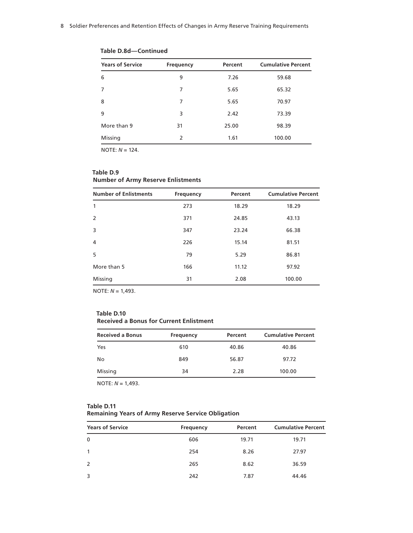| <b>Years of Service</b> | Frequency | Percent | <b>Cumulative Percent</b> |
|-------------------------|-----------|---------|---------------------------|
| 6                       | 9         | 7.26    | 59.68                     |
| 7                       | 7         | 5.65    | 65.32                     |
| 8                       | 7         | 5.65    | 70.97                     |
| 9                       | 3         | 2.42    | 73.39                     |
| More than 9             | 31        | 25.00   | 98.39                     |
| Missing                 | 2         | 1.61    | 100.00                    |

**Table D.8d—Continued**

NOTE: *N* = 124.

#### **Table D.9 Number of Army Reserve Enlistments**

| <b>Number of Enlistments</b> | Frequency | Percent | <b>Cumulative Percent</b> |
|------------------------------|-----------|---------|---------------------------|
| 1                            | 273       | 18.29   | 18.29                     |
| 2                            | 371       | 24.85   | 43.13                     |
| 3                            | 347       | 23.24   | 66.38                     |
| 4                            | 226       | 15.14   | 81.51                     |
| 5                            | 79        | 5.29    | 86.81                     |
| More than 5                  | 166       | 11.12   | 97.92                     |
| Missing                      | 31        | 2.08    | 100.00                    |

NOTE: *N* = 1,493.

#### **Table D.10 Received a Bonus for Current Enlistment**

| <b>Received a Bonus</b> | Frequency | Percent | <b>Cumulative Percent</b> |
|-------------------------|-----------|---------|---------------------------|
| Yes                     | 610       | 40.86   | 40.86                     |
| No                      | 849       | 56.87   | 97.72                     |
| Missing                 | 34        | 2.28    | 100.00                    |

NOTE: *N* = 1,493.

# **Table D.11 Remaining Years of Army Reserve Service Obligation**

| <b>Years of Service</b> | Frequency | Percent | <b>Cumulative Percent</b> |
|-------------------------|-----------|---------|---------------------------|
| $\mathbf{0}$            | 606       | 19.71   | 19.71                     |
| $\mathbf{1}$            | 254       | 8.26    | 27.97                     |
| 2                       | 265       | 8.62    | 36.59                     |
| 3                       | 242       | 7.87    | 44.46                     |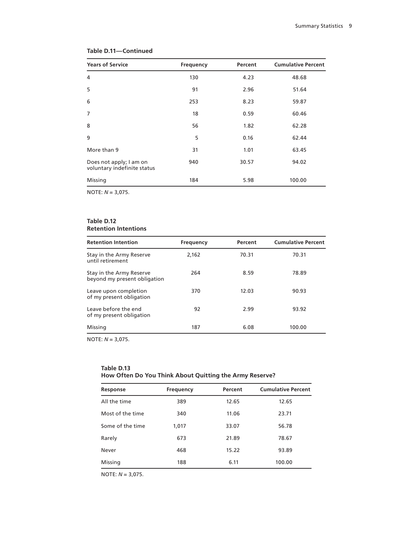| <b>Years of Service</b>                                | <b>Frequency</b> | Percent | <b>Cumulative Percent</b> |
|--------------------------------------------------------|------------------|---------|---------------------------|
| 4                                                      | 130              | 4.23    | 48.68                     |
| 5                                                      | 91               | 2.96    | 51.64                     |
| 6                                                      | 253              | 8.23    | 59.87                     |
| $\overline{7}$                                         | 18               | 0.59    | 60.46                     |
| 8                                                      | 56               | 1.82    | 62.28                     |
| 9                                                      | 5                | 0.16    | 62.44                     |
| More than 9                                            | 31               | 1.01    | 63.45                     |
| Does not apply; I am on<br>voluntary indefinite status | 940              | 30.57   | 94.02                     |
| Missing                                                | 184              | 5.98    | 100.00                    |

# **Table D.11—Continued**

NOTE: *N* = 3,075.

#### **Table D.12 Retention Intentions**

| <b>Retention Intention</b>                               | Frequency | Percent | <b>Cumulative Percent</b> |
|----------------------------------------------------------|-----------|---------|---------------------------|
| Stay in the Army Reserve<br>until retirement             | 2.162     | 70.31   | 70.31                     |
| Stay in the Army Reserve<br>beyond my present obligation | 264       | 8.59    | 78.89                     |
| Leave upon completion<br>of my present obligation        | 370       | 12.03   | 90.93                     |
| Leave before the end<br>of my present obligation         | 92        | 2.99    | 93.92                     |
| Missing                                                  | 187       | 6.08    | 100.00                    |

NOTE: *N* = 3,075.

#### **Table D.13 How Often Do You Think About Quitting the Army Reserve?**

| Response         | <b>Frequency</b> | Percent | <b>Cumulative Percent</b> |
|------------------|------------------|---------|---------------------------|
| All the time     | 389              | 12.65   | 12.65                     |
| Most of the time | 340              | 11.06   | 23.71                     |
| Some of the time | 1,017            | 33.07   | 56.78                     |
| Rarely           | 673              | 21.89   | 78.67                     |
| Never            | 468              | 15.22   | 93.89                     |
| Missing          | 188              | 6.11    | 100.00                    |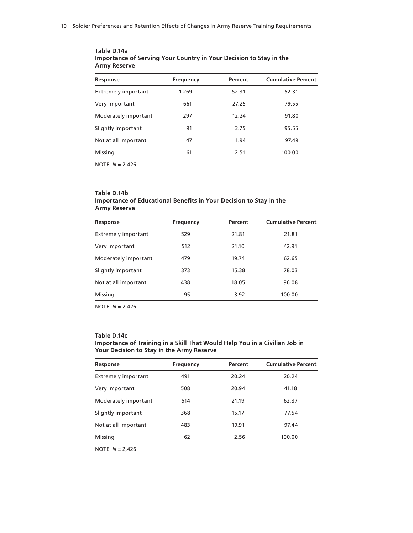| Response                   | <b>Frequency</b> | Percent | <b>Cumulative Percent</b> |
|----------------------------|------------------|---------|---------------------------|
| <b>Extremely important</b> | 1.269            | 52.31   | 52.31                     |
| Very important             | 661              | 27.25   | 79.55                     |
| Moderately important       | 297              | 12.24   | 91.80                     |
| Slightly important         | 91               | 3.75    | 95.55                     |
| Not at all important       | 47               | 1.94    | 97.49                     |
| Missing                    | 61               | 2.51    | 100.00                    |
|                            |                  |         |                           |

#### **Table D.14a Importance of Serving Your Country in Your Decision to Stay in the Army Reserve**

NOTE: *N* = 2,426.

#### **Table D.14b Importance of Educational Benefits in Your Decision to Stay in the Army Reserve**

| Response                   | Frequency | Percent | <b>Cumulative Percent</b> |
|----------------------------|-----------|---------|---------------------------|
| <b>Extremely important</b> | 529       | 21.81   | 21.81                     |
| Very important             | 512       | 21.10   | 42.91                     |
| Moderately important       | 479       | 19.74   | 62.65                     |
| Slightly important         | 373       | 15.38   | 78.03                     |
| Not at all important       | 438       | 18.05   | 96.08                     |
| Missing                    | 95        | 3.92    | 100.00                    |

NOTE: *N* = 2,426.

#### **Table D.14c**

#### **Importance of Training in a Skill That Would Help You in a Civilian Job in Your Decision to Stay in the Army Reserve**

| Response                   | <b>Frequency</b> | Percent | <b>Cumulative Percent</b> |
|----------------------------|------------------|---------|---------------------------|
| <b>Extremely important</b> | 491              | 20.24   | 20.24                     |
| Very important             | 508              | 20.94   | 41.18                     |
| Moderately important       | 514              | 21.19   | 62.37                     |
| Slightly important         | 368              | 15.17   | 77.54                     |
| Not at all important       | 483              | 19.91   | 97.44                     |
| Missing                    | 62               | 2.56    | 100.00                    |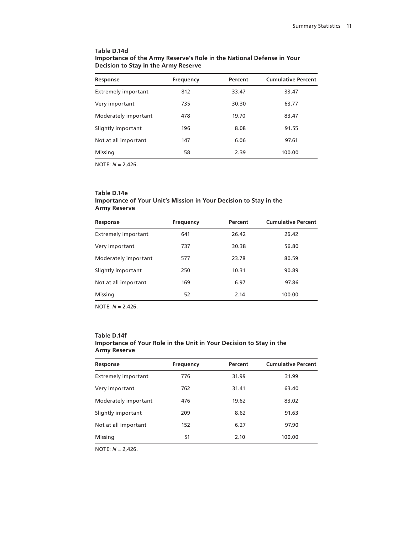#### **Table D.14d Importance of the Army Reserve's Role in the National Defense in Your Decision to Stay in the Army Reserve**

| Response                   | <b>Frequency</b> | Percent | <b>Cumulative Percent</b> |
|----------------------------|------------------|---------|---------------------------|
| <b>Extremely important</b> | 812              | 33.47   | 33.47                     |
| Very important             | 735              | 30.30   | 63.77                     |
| Moderately important       | 478              | 19.70   | 83.47                     |
| Slightly important         | 196              | 8.08    | 91.55                     |
| Not at all important       | 147              | 6.06    | 97.61                     |
| Missing                    | 58               | 2.39    | 100.00                    |

NOTE: *N* = 2,426.

#### **Table D.14e Importance of Your Unit's Mission in Your Decision to Stay in the Army Reserve**

| Response                   | <b>Frequency</b> | Percent | <b>Cumulative Percent</b> |
|----------------------------|------------------|---------|---------------------------|
| <b>Extremely important</b> | 641              | 26.42   | 26.42                     |
| Very important             | 737              | 30.38   | 56.80                     |
| Moderately important       | 577              | 23.78   | 80.59                     |
| Slightly important         | 250              | 10.31   | 90.89                     |
| Not at all important       | 169              | 6.97    | 97.86                     |
| Missing                    | 52               | 2.14    | 100.00                    |
|                            |                  |         |                           |

NOTE: *N* = 2,426.

#### **Table D.14f Importance of Your Role in the Unit in Your Decision to Stay in the Army Reserve**

| Response                   | <b>Frequency</b> | Percent | <b>Cumulative Percent</b> |
|----------------------------|------------------|---------|---------------------------|
| <b>Extremely important</b> | 776              | 31.99   | 31.99                     |
| Very important             | 762              | 31.41   | 63.40                     |
| Moderately important       | 476              | 19.62   | 83.02                     |
| Slightly important         | 209              | 8.62    | 91.63                     |
| Not at all important       | 152              | 6.27    | 97.90                     |
| Missing                    | 51               | 2.10    | 100.00                    |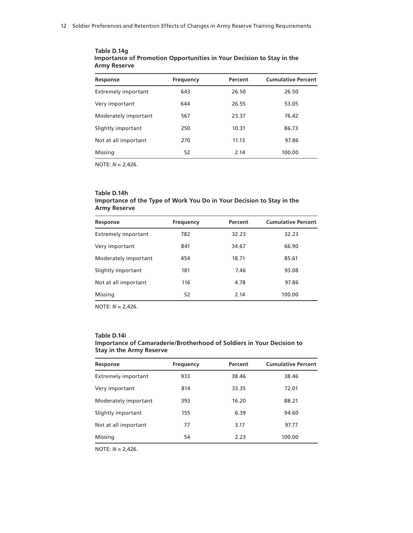| Response                   | <b>Frequency</b> | Percent | <b>Cumulative Percent</b> |
|----------------------------|------------------|---------|---------------------------|
| <b>Extremely important</b> | 643              | 26.50   | 26.50                     |
| Very important             | 644              | 26.55   | 53.05                     |
| Moderately important       | 567              | 23.37   | 76.42                     |
| Slightly important         | 250              | 10.31   | 86.73                     |
| Not at all important       | 270              | 11.13   | 97.86                     |
| Missing                    | 52               | 2.14    | 100.00                    |
|                            |                  |         |                           |

**Table D.14g Importance of Promotion Opportunities in Your Decision to Stay in the Army Reserve**

#### **Table D.14h Importance of the Type of Work You Do in Your Decision to Stay in the Army Reserve**

| Response             | <b>Frequency</b> | Percent | <b>Cumulative Percent</b> |
|----------------------|------------------|---------|---------------------------|
| Extremely important  | 782              | 32.23   | 32.23                     |
| Very important       | 841              | 34.67   | 66.90                     |
| Moderately important | 454              | 18.71   | 85.61                     |
| Slightly important   | 181              | 7.46    | 93.08                     |
| Not at all important | 116              | 4.78    | 97.86                     |
| Missing              | 52               | 2.14    | 100.00                    |

NOTE: *N* = 2,426.

#### **Table D.14i Importance of Camaraderie/Brotherhood of Soldiers in Your Decision to Stay in the Army Reserve**

| Response                   | Frequency | Percent | <b>Cumulative Percent</b> |
|----------------------------|-----------|---------|---------------------------|
| <b>Extremely important</b> | 933       | 38.46   | 38.46                     |
| Very important             | 814       | 33.35   | 72.01                     |
| Moderately important       | 393       | 16.20   | 88.21                     |
| Slightly important         | 155       | 6.39    | 94.60                     |
| Not at all important       | 77        | 3.17    | 97.77                     |
| Missing                    | 54        | 2.23    | 100.00                    |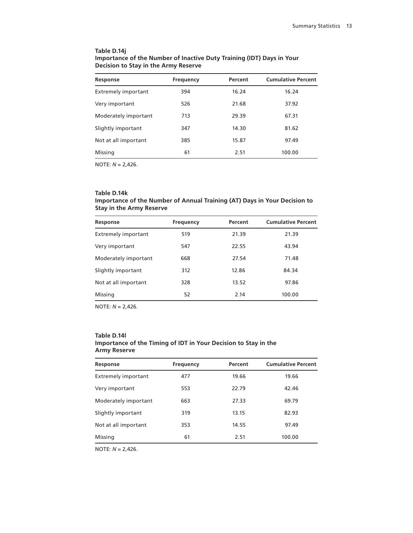| Table D.14i                                                           |
|-----------------------------------------------------------------------|
| Importance of the Number of Inactive Duty Training (IDT) Days in Your |
| Decision to Stay in the Army Reserve                                  |

| Response                   | <b>Frequency</b> | Percent | <b>Cumulative Percent</b> |
|----------------------------|------------------|---------|---------------------------|
| <b>Extremely important</b> | 394              | 16.24   | 16.24                     |
| Very important             | 526              | 21.68   | 37.92                     |
| Moderately important       | 713              | 29.39   | 67.31                     |
| Slightly important         | 347              | 14.30   | 81.62                     |
| Not at all important       | 385              | 15.87   | 97.49                     |
| Missing                    | 61               | 2.51    | 100.00                    |

#### **Table D.14k Importance of the Number of Annual Training (AT) Days in Your Decision to Stay in the Army Reserve**

| Response                   | <b>Frequency</b> | Percent | <b>Cumulative Percent</b> |
|----------------------------|------------------|---------|---------------------------|
| <b>Extremely important</b> | 519              | 21.39   | 21.39                     |
| Very important             | 547              | 22.55   | 43.94                     |
| Moderately important       | 668              | 27.54   | 71.48                     |
| Slightly important         | 312              | 12.86   | 84.34                     |
| Not at all important       | 328              | 13.52   | 97.86                     |
| Missing                    | 52               | 2.14    | 100.00                    |
|                            |                  |         |                           |

NOTE: *N* = 2,426.

#### **Table D.14l Importance of the Timing of IDT in Your Decision to Stay in the Army Reserve**

| Response                   | <b>Frequency</b> | Percent | <b>Cumulative Percent</b> |
|----------------------------|------------------|---------|---------------------------|
| <b>Extremely important</b> | 477              | 19.66   | 19.66                     |
| Very important             | 553              | 22.79   | 42.46                     |
| Moderately important       | 663              | 27.33   | 69.79                     |
| Slightly important         | 319              | 13.15   | 82.93                     |
| Not at all important       | 353              | 14.55   | 97.49                     |
| Missing                    | 61               | 2.51    | 100.00                    |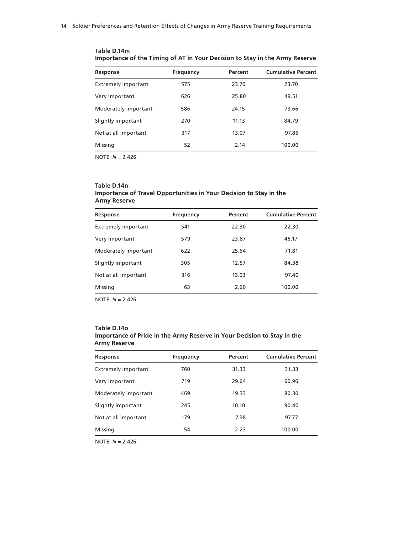| Response                   | <b>Frequency</b> | Percent | <b>Cumulative Percent</b> |
|----------------------------|------------------|---------|---------------------------|
| <b>Extremely important</b> | 575              | 23.70   | 23.70                     |
| Very important             | 626              | 25.80   | 49.51                     |
| Moderately important       | 586              | 24.15   | 73.66                     |
| Slightly important         | 270              | 11.13   | 84.79                     |
| Not at all important       | 317              | 13.07   | 97.86                     |
| Missing                    | 52               | 2.14    | 100.00                    |

**Table D.14m Importance of the Timing of AT in Your Decision to Stay in the Army Reserve**

#### **Table D.14n Importance of Travel Opportunities in Your Decision to Stay in the Army Reserve**

| Response                   | <b>Frequency</b> | Percent | <b>Cumulative Percent</b> |
|----------------------------|------------------|---------|---------------------------|
| <b>Extremely important</b> | 541              | 22.30   | 22.30                     |
| Very important             | 579              | 23.87   | 46.17                     |
| Moderately important       | 622              | 25.64   | 71.81                     |
| Slightly important         | 305              | 12.57   | 84.38                     |
| Not at all important       | 316              | 13.03   | 97.40                     |
| Missing                    | 63               | 2.60    | 100.00                    |

NOTE: *N* = 2,426.

#### **Table D.14o Importance of Pride in the Army Reserve in Your Decision to Stay in the Army Reserve**

| Frequency | Percent | <b>Cumulative Percent</b> |
|-----------|---------|---------------------------|
| 760       | 31.33   | 31.33                     |
| 719       | 29.64   | 60.96                     |
| 469       | 19.33   | 80.30                     |
| 245       | 10.10   | 90.40                     |
| 179       | 7.38    | 97.77                     |
| 54        | 2.23    | 100.00                    |
|           |         |                           |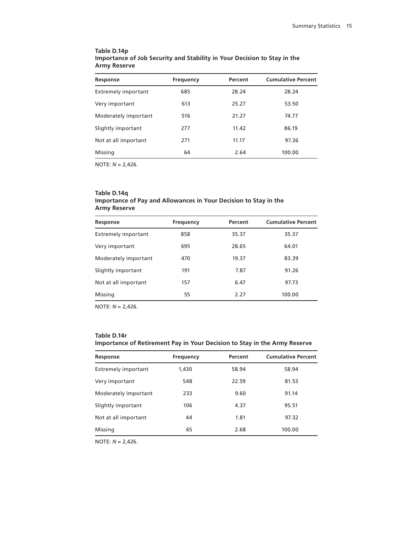| Table D.14p                                                              |  |
|--------------------------------------------------------------------------|--|
| Importance of Job Security and Stability in Your Decision to Stay in the |  |
| <b>Army Reserve</b>                                                      |  |

| Response                   | <b>Frequency</b> | Percent | <b>Cumulative Percent</b> |
|----------------------------|------------------|---------|---------------------------|
| <b>Extremely important</b> | 685              | 28.24   | 28.24                     |
| Very important             | 613              | 25.27   | 53.50                     |
| Moderately important       | 516              | 21.27   | 74.77                     |
| Slightly important         | 277              | 11.42   | 86.19                     |
| Not at all important       | 271              | 11.17   | 97.36                     |
| Missing                    | 64               | 2.64    | 100.00                    |

#### **Table D.14q Importance of Pay and Allowances in Your Decision to Stay in the Army Reserve**

| Response             | <b>Frequency</b> | Percent | <b>Cumulative Percent</b> |
|----------------------|------------------|---------|---------------------------|
| Extremely important  | 858              | 35.37   | 35.37                     |
| Very important       | 695              | 28.65   | 64.01                     |
| Moderately important | 470              | 19.37   | 83.39                     |
| Slightly important   | 191              | 7.87    | 91.26                     |
| Not at all important | 157              | 6.47    | 97.73                     |
| Missing              | 55               | 2.27    | 100.00                    |
|                      |                  |         |                           |

NOTE: *N* = 2,426.

### **Table D.14r Importance of Retirement Pay in Your Decision to Stay in the Army Reserve**

| Response                   | <b>Frequency</b> | Percent | <b>Cumulative Percent</b> |
|----------------------------|------------------|---------|---------------------------|
| <b>Extremely important</b> | 1,430            | 58.94   | 58.94                     |
| Very important             | 548              | 22.59   | 81.53                     |
| Moderately important       | 233              | 9.60    | 91.14                     |
| Slightly important         | 106              | 4.37    | 95.51                     |
| Not at all important       | 44               | 1.81    | 97.32                     |
| Missing                    | 65               | 2.68    | 100.00                    |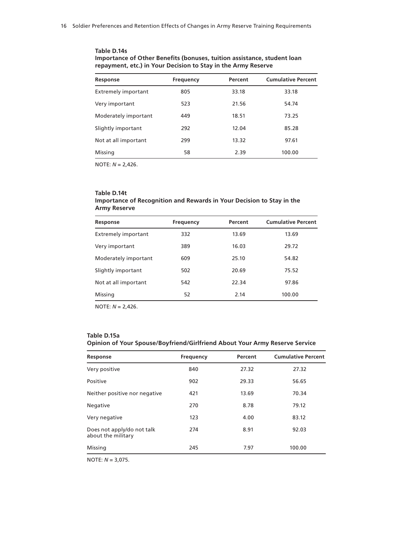| Table D.14s                                                             |
|-------------------------------------------------------------------------|
| Importance of Other Benefits (bonuses, tuition assistance, student loan |
| repayment, etc.) in Your Decision to Stay in the Army Reserve           |

| Response                   | <b>Frequency</b> | Percent | <b>Cumulative Percent</b> |
|----------------------------|------------------|---------|---------------------------|
| <b>Extremely important</b> | 805              | 33.18   | 33.18                     |
| Very important             | 523              | 21.56   | 54.74                     |
| Moderately important       | 449              | 18.51   | 73.25                     |
| Slightly important         | 292              | 12.04   | 85.28                     |
| Not at all important       | 299              | 13.32   | 97.61                     |
| Missing                    | 58               | 2.39    | 100.00                    |

#### **Table D.14t Importance of Recognition and Rewards in Your Decision to Stay in the Army Reserve**

| Response                   | <b>Frequency</b> | Percent | <b>Cumulative Percent</b> |
|----------------------------|------------------|---------|---------------------------|
| <b>Extremely important</b> | 332              | 13.69   | 13.69                     |
| Very important             | 389              | 16.03   | 29.72                     |
| Moderately important       | 609              | 25.10   | 54.82                     |
| Slightly important         | 502              | 20.69   | 75.52                     |
| Not at all important       | 542              | 22.34   | 97.86                     |
| Missing                    | 52               | 2.14    | 100.00                    |

NOTE: *N* = 2,426.

### **Table D.15a Opinion of Your Spouse/Boyfriend/Girlfriend About Your Army Reserve Service**

| Response                                         | <b>Frequency</b> | Percent | <b>Cumulative Percent</b> |
|--------------------------------------------------|------------------|---------|---------------------------|
| Very positive                                    | 840              | 27.32   | 27.32                     |
| Positive                                         | 902              | 29.33   | 56.65                     |
| Neither positive nor negative                    | 421              | 13.69   | 70.34                     |
| Negative                                         | 270              | 8.78    | 79.12                     |
| Very negative                                    | 123              | 4.00    | 83.12                     |
| Does not apply/do not talk<br>about the military | 274              | 8.91    | 92.03                     |
| Missing                                          | 245              | 7.97    | 100.00                    |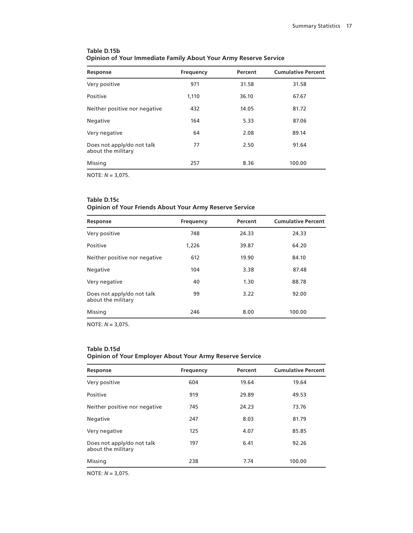| Response                                         | <b>Frequency</b> | Percent | <b>Cumulative Percent</b> |
|--------------------------------------------------|------------------|---------|---------------------------|
| Very positive                                    | 971              | 31.58   | 31.58                     |
| Positive                                         | 1,110            | 36.10   | 67.67                     |
| Neither positive nor negative                    | 432              | 14.05   | 81.72                     |
| Negative                                         | 164              | 5.33    | 87.06                     |
| Very negative                                    | 64               | 2.08    | 89.14                     |
| Does not apply/do not talk<br>about the military | 77               | 2.50    | 91.64                     |
| Missing                                          | 257              | 8.36    | 100.00                    |
|                                                  |                  |         |                           |

# **Table D.15b Opinion of Your Immediate Family About Your Army Reserve Service**

NOTE: *N* = 3,075.

# **Table D.15c Opinion of Your Friends About Your Army Reserve Service**

| Response                                         | <b>Frequency</b> | Percent | <b>Cumulative Percent</b> |
|--------------------------------------------------|------------------|---------|---------------------------|
| Very positive                                    | 748              | 24.33   | 24.33                     |
| Positive                                         | 1,226            | 39.87   | 64.20                     |
| Neither positive nor negative                    | 612              | 19.90   | 84.10                     |
| Negative                                         | 104              | 3.38    | 87.48                     |
| Very negative                                    | 40               | 1.30    | 88.78                     |
| Does not apply/do not talk<br>about the military | 99               | 3.22    | 92.00                     |
| Missing                                          | 246              | 8.00    | 100.00                    |

NOTE: *N* = 3,075.

#### **Table D.15d Opinion of Your Employer About Your Army Reserve Service**

| Response                                         | <b>Frequency</b> | Percent | <b>Cumulative Percent</b> |
|--------------------------------------------------|------------------|---------|---------------------------|
| Very positive                                    | 604              | 19.64   | 19.64                     |
| Positive                                         | 919              | 29.89   | 49.53                     |
| Neither positive nor negative                    | 745              | 24.23   | 73.76                     |
| Negative                                         | 247              | 8.03    | 81.79                     |
| Very negative                                    | 125              | 4.07    | 85.85                     |
| Does not apply/do not talk<br>about the military | 197              | 6.41    | 92.26                     |
| Missing                                          | 238              | 7.74    | 100.00                    |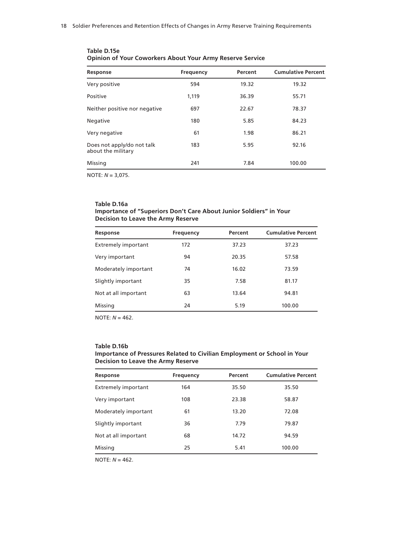| Response                                         | <b>Frequency</b> | Percent | <b>Cumulative Percent</b> |
|--------------------------------------------------|------------------|---------|---------------------------|
| Very positive                                    | 594              | 19.32   | 19.32                     |
| Positive                                         | 1,119            | 36.39   | 55.71                     |
| Neither positive nor negative                    | 697              | 22.67   | 78.37                     |
| Negative                                         | 180              | 5.85    | 84.23                     |
| Very negative                                    | 61               | 1.98    | 86.21                     |
| Does not apply/do not talk<br>about the military | 183              | 5.95    | 92.16                     |
| Missing                                          | 241              | 7.84    | 100.00                    |
|                                                  |                  |         |                           |

**Table D.15e Opinion of Your Coworkers About Your Army Reserve Service**

NOTE: *N* = 3,075.

#### **Table D.16a Importance of "Superiors Don't Care About Junior Soldiers" in Your Decision to Leave the Army Reserve**

| Response                   | <b>Frequency</b> | Percent | <b>Cumulative Percent</b> |
|----------------------------|------------------|---------|---------------------------|
| <b>Extremely important</b> | 172              | 37.23   | 37.23                     |
| Very important             | 94               | 20.35   | 57.58                     |
| Moderately important       | 74               | 16.02   | 73.59                     |
| Slightly important         | 35               | 7.58    | 81.17                     |
| Not at all important       | 63               | 13.64   | 94.81                     |
| Missing                    | 24               | 5.19    | 100.00                    |
|                            |                  |         |                           |

NOTE: *N* = 462.

#### **Table D.16b Importance of Pressures Related to Civilian Employment or School in Your Decision to Leave the Army Reserve**

| Response                   | <b>Frequency</b> | Percent | <b>Cumulative Percent</b> |
|----------------------------|------------------|---------|---------------------------|
| <b>Extremely important</b> | 164              | 35.50   | 35.50                     |
| Very important             | 108              | 23.38   | 58.87                     |
| Moderately important       | 61               | 13.20   | 72.08                     |
| Slightly important         | 36               | 7.79    | 79.87                     |
| Not at all important       | 68               | 14.72   | 94.59                     |
| Missing                    | 25               | 5.41    | 100.00                    |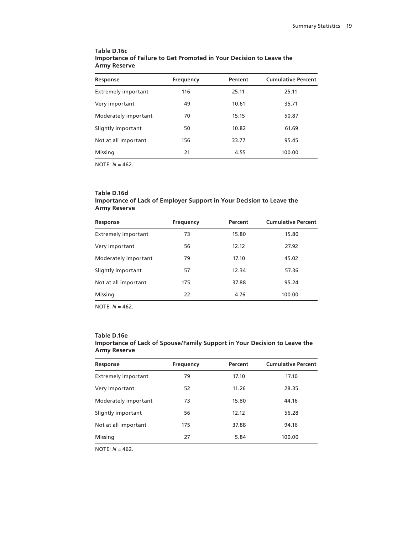| Table D.16c                                                         |
|---------------------------------------------------------------------|
| Importance of Failure to Get Promoted in Your Decision to Leave the |
| <b>Army Reserve</b>                                                 |

| Response                   | <b>Frequency</b> | Percent | <b>Cumulative Percent</b> |
|----------------------------|------------------|---------|---------------------------|
| <b>Extremely important</b> | 116              | 25.11   | 25.11                     |
| Very important             | 49               | 10.61   | 35.71                     |
| Moderately important       | 70               | 15.15   | 50.87                     |
| Slightly important         | 50               | 10.82   | 61.69                     |
| Not at all important       | 156              | 33.77   | 95.45                     |
| Missing                    | 21               | 4.55    | 100.00                    |

#### **Table D.16d Importance of Lack of Employer Support in Your Decision to Leave the Army Reserve**

| Response                   | <b>Frequency</b> | Percent | <b>Cumulative Percent</b> |
|----------------------------|------------------|---------|---------------------------|
| <b>Extremely important</b> | 73               | 15.80   | 15.80                     |
| Very important             | 56               | 12.12   | 27.92                     |
| Moderately important       | 79               | 17.10   | 45.02                     |
| Slightly important         | 57               | 12.34   | 57.36                     |
| Not at all important       | 175              | 37.88   | 95.24                     |
| Missing                    | 22               | 4.76    | 100.00                    |

NOTE: *N* = 462.

#### **Table D.16e**

| <b>Army Reserve</b>        |           |         |                           |
|----------------------------|-----------|---------|---------------------------|
| Response                   | Frequency | Percent | <b>Cumulative Percent</b> |
| <b>Extremely important</b> | 79        | 17.10   | 17.10                     |
| Very important             | 52        | 11.26   | 28.35                     |

Moderately important 73 15.80 44.16 Slightly important 56 56 12.12 56.28 Not at all important 175 175 37.88 94.16 Missing 27 5.84 100.00

#### **Importance of Lack of Spouse/Family Support in Your Decision to Leave the Army Reserve**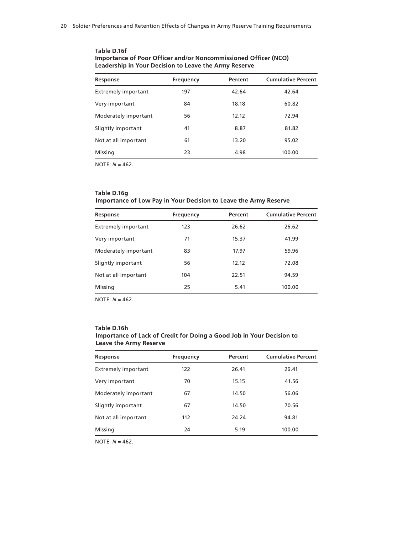| <b>Frequency</b> | Percent | <b>Cumulative Percent</b> |
|------------------|---------|---------------------------|
| 197              | 42.64   | 42.64                     |
| 84               | 18.18   | 60.82                     |
| 56               | 12.12   | 72.94                     |
| 41               | 8.87    | 81.82                     |
| 61               | 13.20   | 95.02                     |
| 23               | 4.98    | 100.00                    |
|                  |         |                           |

#### **Table D.16f Importance of Poor Officer and/or Noncommissioned Officer (NCO) Leadership in Your Decision to Leave the Army Reserve**

NOTE: *N* = 462.

# **Table D.16g Importance of Low Pay in Your Decision to Leave the Army Reserve**

| Response                   | <b>Frequency</b> | Percent | <b>Cumulative Percent</b> |
|----------------------------|------------------|---------|---------------------------|
| <b>Extremely important</b> | 123              | 26.62   | 26.62                     |
| Very important             | 71               | 15.37   | 41.99                     |
| Moderately important       | 83               | 17.97   | 59.96                     |
| Slightly important         | 56               | 12.12   | 72.08                     |
| Not at all important       | 104              | 22.51   | 94.59                     |
| Missing                    | 25               | 5.41    | 100.00                    |

NOTE: *N* = 462.

#### **Table D.16h Importance of Lack of Credit for Doing a Good Job in Your Decision to Leave the Army Reserve**

| Response                   | <b>Frequency</b> | Percent | <b>Cumulative Percent</b> |
|----------------------------|------------------|---------|---------------------------|
| <b>Extremely important</b> | 122              | 26.41   | 26.41                     |
| Very important             | 70               | 15.15   | 41.56                     |
| Moderately important       | 67               | 14.50   | 56.06                     |
| Slightly important         | 67               | 14.50   | 70.56                     |
| Not at all important       | 112              | 24.24   | 94.81                     |
| Missing                    | 24               | 5.19    | 100.00                    |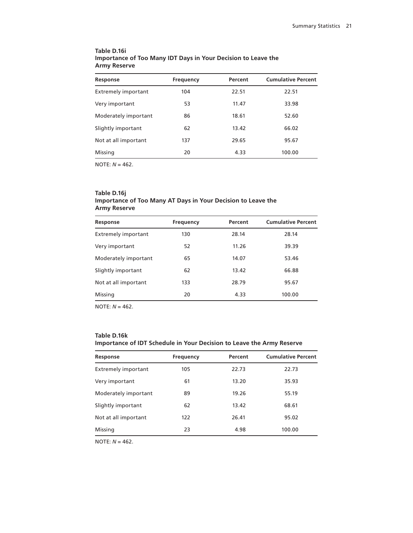| Table D.16i                                                   |  |
|---------------------------------------------------------------|--|
| Importance of Too Many IDT Days in Your Decision to Leave the |  |
| <b>Army Reserve</b>                                           |  |

| <b>Frequency</b> | Percent | <b>Cumulative Percent</b> |
|------------------|---------|---------------------------|
| 104              | 22.51   | 22.51                     |
| 53               | 11.47   | 33.98                     |
| 86               | 18.61   | 52.60                     |
| 62               | 13.42   | 66.02                     |
| 137              | 29.65   | 95.67                     |
| 20               | 4.33    | 100.00                    |
|                  |         |                           |

#### **Table D.16j Importance of Too Many AT Days in Your Decision to Leave the Army Reserve**

| Response                   | Frequency | Percent | <b>Cumulative Percent</b> |
|----------------------------|-----------|---------|---------------------------|
| <b>Extremely important</b> | 130       | 28.14   | 28.14                     |
| Very important             | 52        | 11.26   | 39.39                     |
| Moderately important       | 65        | 14.07   | 53.46                     |
| Slightly important         | 62        | 13.42   | 66.88                     |
| Not at all important       | 133       | 28.79   | 95.67                     |
| Missing                    | 20        | 4.33    | 100.00                    |
|                            |           |         |                           |

NOTE: *N* = 462.

### **Table D.16k Importance of IDT Schedule in Your Decision to Leave the Army Reserve**

| Response                   | Frequency | Percent | <b>Cumulative Percent</b> |
|----------------------------|-----------|---------|---------------------------|
| <b>Extremely important</b> | 105       | 22.73   | 22.73                     |
| Very important             | 61        | 13.20   | 35.93                     |
| Moderately important       | 89        | 19.26   | 55.19                     |
| Slightly important         | 62        | 13.42   | 68.61                     |
| Not at all important       | 122       | 26.41   | 95.02                     |
| Missing                    | 23        | 4.98    | 100.00                    |
|                            |           |         |                           |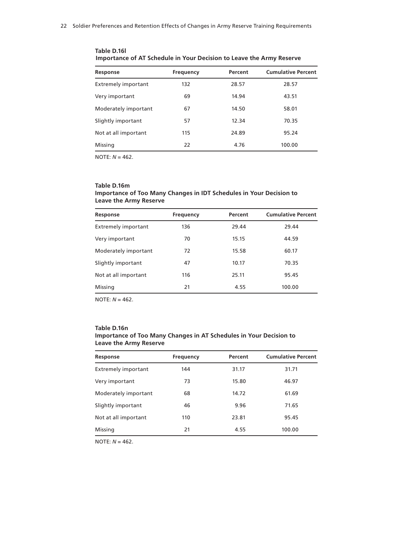| Response                   | <b>Frequency</b> | Percent | <b>Cumulative Percent</b> |
|----------------------------|------------------|---------|---------------------------|
| <b>Extremely important</b> | 132              | 28.57   | 28.57                     |
| Very important             | 69               | 14.94   | 43.51                     |
| Moderately important       | 67               | 14.50   | 58.01                     |
| Slightly important         | 57               | 12.34   | 70.35                     |
| Not at all important       | 115              | 24.89   | 95.24                     |
| Missing                    | 22               | 4.76    | 100.00                    |

**Table D.16l Importance of AT Schedule in Your Decision to Leave the Army Reserve**

#### **Table D.16m Importance of Too Many Changes in IDT Schedules in Your Decision to Leave the Army Reserve**

| Response                   | <b>Frequency</b> | Percent | <b>Cumulative Percent</b> |
|----------------------------|------------------|---------|---------------------------|
| <b>Extremely important</b> | 136              | 29.44   | 29.44                     |
| Very important             | 70               | 15.15   | 44.59                     |
| Moderately important       | 72               | 15.58   | 60.17                     |
| Slightly important         | 47               | 10.17   | 70.35                     |
| Not at all important       | 116              | 25.11   | 95.45                     |
| Missing                    | 21               | 4.55    | 100.00                    |

NOTE: *N* = 462.

#### **Table D.16n Importance of Too Many Changes in AT Schedules in Your Decision to Leave the Army Reserve**

| Response                   | <b>Frequency</b> | Percent | <b>Cumulative Percent</b> |
|----------------------------|------------------|---------|---------------------------|
| <b>Extremely important</b> | 144              | 31.17   | 31.71                     |
| Very important             | 73               | 15.80   | 46.97                     |
| Moderately important       | 68               | 14.72   | 61.69                     |
| Slightly important         | 46               | 9.96    | 71.65                     |
| Not at all important       | 110              | 23.81   | 95.45                     |
| Missing                    | 21               | 4.55    | 100.00                    |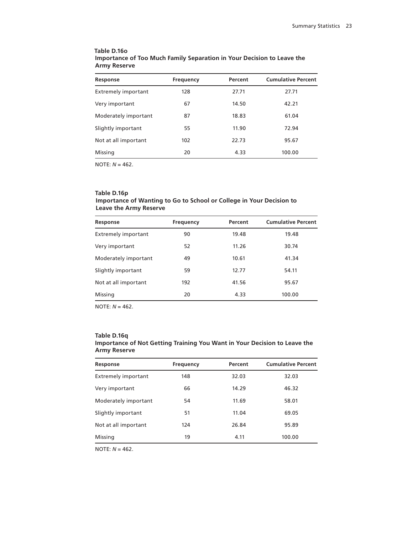| Table D.16o                                                            |
|------------------------------------------------------------------------|
| Importance of Too Much Family Separation in Your Decision to Leave the |
| <b>Army Reserve</b>                                                    |

| Response                   | Frequency | Percent | <b>Cumulative Percent</b> |
|----------------------------|-----------|---------|---------------------------|
| <b>Extremely important</b> | 128       | 27.71   | 27.71                     |
| Very important             | 67        | 14.50   | 42.21                     |
| Moderately important       | 87        | 18.83   | 61.04                     |
| Slightly important         | 55        | 11.90   | 72.94                     |
| Not at all important       | 102       | 22.73   | 95.67                     |
| Missing                    | 20        | 4.33    | 100.00                    |

#### **Table D.16p Importance of Wanting to Go to School or College in Your Decision to Leave the Army Reserve**

| Response                   | <b>Frequency</b> | Percent | <b>Cumulative Percent</b> |
|----------------------------|------------------|---------|---------------------------|
| <b>Extremely important</b> | 90               | 19.48   | 19.48                     |
| Very important             | 52               | 11.26   | 30.74                     |
| Moderately important       | 49               | 10.61   | 41.34                     |
| Slightly important         | 59               | 12.77   | 54.11                     |
| Not at all important       | 192              | 41.56   | 95.67                     |
| Missing                    | 20               | 4.33    | 100.00                    |

NOTE: *N* = 462.

# **Table D.16q**

| Importance of Not Getting Training You Want in Your Decision to Leave the |  |  |
|---------------------------------------------------------------------------|--|--|
| Army Reserve                                                              |  |  |

| Response                   | <b>Frequency</b> | Percent | <b>Cumulative Percent</b> |
|----------------------------|------------------|---------|---------------------------|
| <b>Extremely important</b> | 148              | 32.03   | 32.03                     |
| Very important             | 66               | 14.29   | 46.32                     |
| Moderately important       | 54               | 11.69   | 58.01                     |
| Slightly important         | 51               | 11.04   | 69.05                     |
| Not at all important       | 124              | 26.84   | 95.89                     |
| Missing                    | 19               | 4.11    | 100.00                    |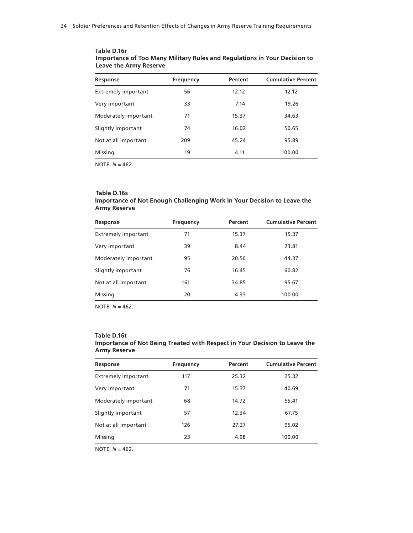| Response                   | Frequency | Percent | <b>Cumulative Percent</b> |
|----------------------------|-----------|---------|---------------------------|
| <b>Extremely important</b> | 56        | 12.12   | 12.12                     |
| Very important             | 33        | 7.14    | 19.26                     |
| Moderately important       | 71        | 15.37   | 34.63                     |
| Slightly important         | 74        | 16.02   | 50.65                     |
| Not at all important       | 209       | 45.24   | 95.89                     |
| Missing                    | 19        | 4.11    | 100.00                    |
|                            |           |         |                           |

**Table D.16r Importance of Too Many Military Rules and Regulations in Your Decision to Leave the Army Reserve**

#### **Table D.16s Importance of Not Enough Challenging Work in Your Decision to Leave the Army Reserve**

| Response                   | <b>Frequency</b> | Percent | <b>Cumulative Percent</b> |
|----------------------------|------------------|---------|---------------------------|
| <b>Extremely important</b> | 71               | 15.37   | 15.37                     |
| Very important             | 39               | 8.44    | 23.81                     |
| Moderately important       | 95               | 20.56   | 44.37                     |
| Slightly important         | 76               | 16.45   | 60.82                     |
| Not at all important       | 161              | 34.85   | 95.67                     |
| Missing                    | 20               | 4.33    | 100.00                    |
|                            |                  |         |                           |

NOTE: *N* = 462.

#### **Table D.16t**

| <b>Army Reserve</b>                                                        |  |  |  |  |
|----------------------------------------------------------------------------|--|--|--|--|
| Importance of Not Being Treated with Respect in Your Decision to Leave the |  |  |  |  |
|                                                                            |  |  |  |  |

| Response                   | <b>Frequency</b> | Percent | <b>Cumulative Percent</b> |
|----------------------------|------------------|---------|---------------------------|
| <b>Extremely important</b> | 117              | 25.32   | 25.32                     |
| Very important             | 71               | 15.37   | 40.69                     |
| Moderately important       | 68               | 14.72   | 55.41                     |
| Slightly important         | 57               | 12.34   | 67.75                     |
| Not at all important       | 126              | 27.27   | 95.02                     |
| Missing                    | 23               | 4.98    | 100.00                    |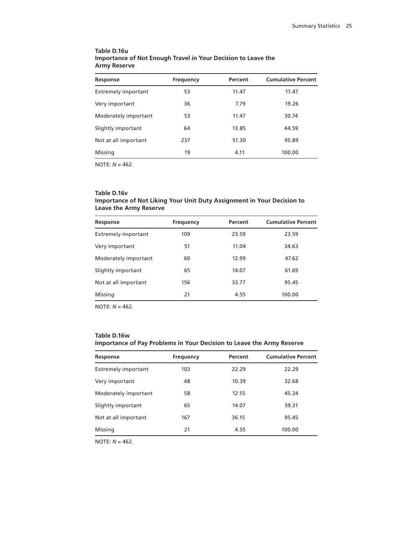| Response                   | <b>Frequency</b> | Percent | <b>Cumulative Percent</b> |
|----------------------------|------------------|---------|---------------------------|
| <b>Extremely important</b> | 53               | 11.47   | 11.47                     |
| Very important             | 36               | 7.79    | 19.26                     |
| Moderately important       | 53               | 11.47   | 30.74                     |
| Slightly important         | 64               | 13.85   | 44.59                     |
| Not at all important       | 237              | 51.30   | 95.89                     |
| Missing                    | 19               | 4.11    | 100.00                    |
|                            |                  |         |                           |

## **Table D.16u Importance of Not Enough Travel in Your Decision to Leave the Army Reserve**

NOTE: *N* = 462.

## **Table D.16v Importance of Not Liking Your Unit Duty Assignment in Your Decision to Leave the Army Reserve**

| Response                   | <b>Frequency</b> | Percent | <b>Cumulative Percent</b> |
|----------------------------|------------------|---------|---------------------------|
| <b>Extremely important</b> | 109              | 23.59   | 23.59                     |
| Very important             | 51               | 11.04   | 34.63                     |
| Moderately important       | 60               | 12.99   | 47.62                     |
| Slightly important         | 65               | 14.07   | 61.69                     |
| Not at all important       | 156              | 33.77   | 95.45                     |
| Missing                    | 21               | 4.55    | 100.00                    |
|                            |                  |         |                           |

NOTE: *N* = 462.

## **Table D.16w Importance of Pay Problems in Your Decision to Leave the Army Reserve**

| 22.29 |        |
|-------|--------|
|       | 22.29  |
| 10.39 | 32.68  |
| 12.55 | 45.24  |
| 14.07 | 59.31  |
| 36.15 | 95.45  |
| 4.55  | 100.00 |
|       |        |

NOTE: *N* = 462.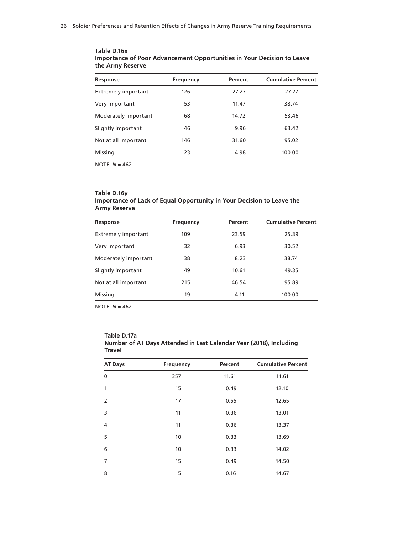| Response                   | <b>Frequency</b> | Percent | <b>Cumulative Percent</b> |
|----------------------------|------------------|---------|---------------------------|
| <b>Extremely important</b> | 126              | 27.27   | 27.27                     |
| Very important             | 53               | 11.47   | 38.74                     |
| Moderately important       | 68               | 14.72   | 53.46                     |
| Slightly important         | 46               | 9.96    | 63.42                     |
| Not at all important       | 146              | 31.60   | 95.02                     |
| Missing                    | 23               | 4.98    | 100.00                    |
|                            |                  |         |                           |

**Table D.16x Importance of Poor Advancement Opportunities in Your Decision to Leave the Army Reserve**

NOTE: *N* = 462.

#### **Table D.16y Importance of Lack of Equal Opportunity in Your Decision to Leave the Army Reserve**

| Response                   | <b>Frequency</b> | Percent | <b>Cumulative Percent</b> |
|----------------------------|------------------|---------|---------------------------|
| <b>Extremely important</b> | 109              | 23.59   | 25.39                     |
| Very important             | 32               | 6.93    | 30.52                     |
| Moderately important       | 38               | 8.23    | 38.74                     |
| Slightly important         | 49               | 10.61   | 49.35                     |
| Not at all important       | 215              | 46.54   | 95.89                     |
| Missing                    | 19               | 4.11    | 100.00                    |

NOTE: *N* = 462.

| Table D.17a                                                        |
|--------------------------------------------------------------------|
| Number of AT Days Attended in Last Calendar Year (2018), Including |
| Travel                                                             |

| <b>AT Days</b> | <b>Frequency</b> | Percent | <b>Cumulative Percent</b> |
|----------------|------------------|---------|---------------------------|
| $\mathbf{0}$   | 357              | 11.61   | 11.61                     |
| 1              | 15               | 0.49    | 12.10                     |
| 2              | 17               | 0.55    | 12.65                     |
| 3              | 11               | 0.36    | 13.01                     |
| 4              | 11               | 0.36    | 13.37                     |
| 5              | 10               | 0.33    | 13.69                     |
| 6              | 10               | 0.33    | 14.02                     |
| 7              | 15               | 0.49    | 14.50                     |
| 8              | 5                | 0.16    | 14.67                     |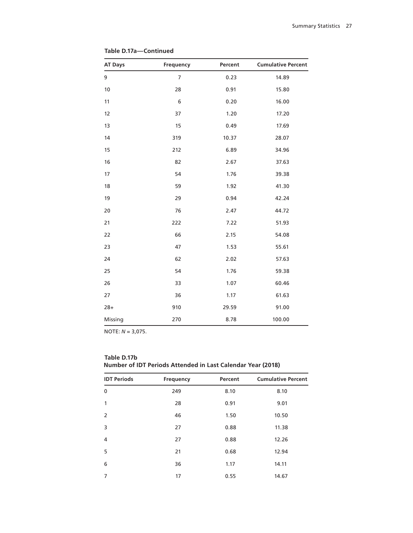| <b>AT Days</b> | Frequency      | Percent | <b>Cumulative Percent</b> |
|----------------|----------------|---------|---------------------------|
| 9              | $\overline{7}$ | 0.23    | 14.89                     |
| 10             | 28             | 0.91    | 15.80                     |
| 11             | 6              | 0.20    | 16.00                     |
| 12             | 37             | 1.20    | 17.20                     |
| 13             | 15             | 0.49    | 17.69                     |
| 14             | 319            | 10.37   | 28.07                     |
| 15             | 212            | 6.89    | 34.96                     |
| 16             | 82             | 2.67    | 37.63                     |
| 17             | 54             | 1.76    | 39.38                     |
| 18             | 59             | 1.92    | 41.30                     |
| 19             | 29             | 0.94    | 42.24                     |
| 20             | 76             | 2.47    | 44.72                     |
| 21             | 222            | 7.22    | 51.93                     |
| 22             | 66             | 2.15    | 54.08                     |
| 23             | 47             | 1.53    | 55.61                     |
| 24             | 62             | 2.02    | 57.63                     |
| 25             | 54             | 1.76    | 59.38                     |
| 26             | 33             | 1.07    | 60.46                     |
| 27             | 36             | 1.17    | 61.63                     |
| $28+$          | 910            | 29.59   | 91.00                     |
| Missing        | 270            | 8.78    | 100.00                    |

**Table D.17a—Continued**

| <b>IDT Periods</b> | <b>Frequency</b> | Percent | <b>Cumulative Percent</b> |
|--------------------|------------------|---------|---------------------------|
| $\mathbf 0$        | 249              | 8.10    | 8.10                      |
| 1                  | 28               | 0.91    | 9.01                      |
| 2                  | 46               | 1.50    | 10.50                     |
| 3                  | 27               | 0.88    | 11.38                     |
| $\overline{4}$     | 27               | 0.88    | 12.26                     |
| 5                  | 21               | 0.68    | 12.94                     |
| 6                  | 36               | 1.17    | 14.11                     |
| 7                  | 17               | 0.55    | 14.67                     |

**Table D.17b Number of IDT Periods Attended in Last Calendar Year (2018)**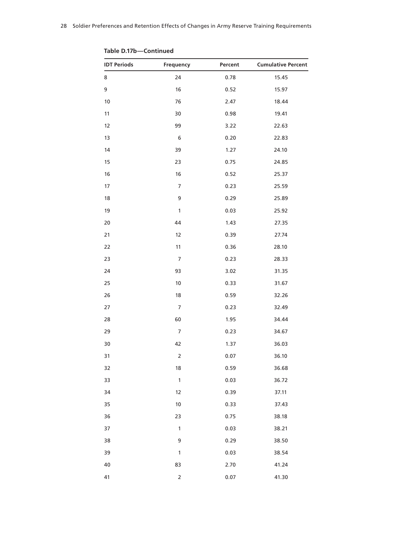| <b>IDT Periods</b> | Frequency               | Percent | <b>Cumulative Percent</b> |
|--------------------|-------------------------|---------|---------------------------|
| 8                  | 24                      | 0.78    | 15.45                     |
| 9                  | 16                      | 0.52    | 15.97                     |
| $10$               | 76                      | 2.47    | 18.44                     |
| 11                 | 30                      | 0.98    | 19.41                     |
| 12                 | 99                      | 3.22    | 22.63                     |
| 13                 | 6                       | 0.20    | 22.83                     |
| 14                 | 39                      | 1.27    | 24.10                     |
| 15                 | 23                      | 0.75    | 24.85                     |
| 16                 | 16                      | 0.52    | 25.37                     |
| 17                 | $\overline{7}$          | 0.23    | 25.59                     |
| 18                 | 9                       | 0.29    | 25.89                     |
| 19                 | $\mathbf{1}$            | 0.03    | 25.92                     |
| 20                 | 44                      | 1.43    | 27.35                     |
| 21                 | 12                      | 0.39    | 27.74                     |
| 22                 | 11                      | 0.36    | 28.10                     |
| 23                 | $\overline{7}$          | 0.23    | 28.33                     |
| 24                 | 93                      | 3.02    | 31.35                     |
| 25                 | $10$                    | 0.33    | 31.67                     |
| 26                 | 18                      | 0.59    | 32.26                     |
| 27                 | $\overline{7}$          | 0.23    | 32.49                     |
| 28                 | 60                      | 1.95    | 34.44                     |
| 29                 | $\overline{7}$          | 0.23    | 34.67                     |
| 30                 | 42                      | 1.37    | 36.03                     |
| 31                 | $\overline{\mathbf{c}}$ | 0.07    | 36.10                     |
| 32                 | 18                      | 0.59    | 36.68                     |
| 33                 | $\mathbf{1}$            | 0.03    | 36.72                     |
| 34                 | 12                      | 0.39    | 37.11                     |
| 35                 | 10                      | 0.33    | 37.43                     |
| 36                 | 23                      | 0.75    | 38.18                     |
| 37                 | $\mathbf 1$             | 0.03    | 38.21                     |
| 38                 | 9                       | 0.29    | 38.50                     |
| 39                 | $\mathbf{1}$            | 0.03    | 38.54                     |
| 40                 | 83                      | 2.70    | 41.24                     |
| 41                 | $\overline{\mathbf{c}}$ | 0.07    | 41.30                     |

**Table D.17b—Continued**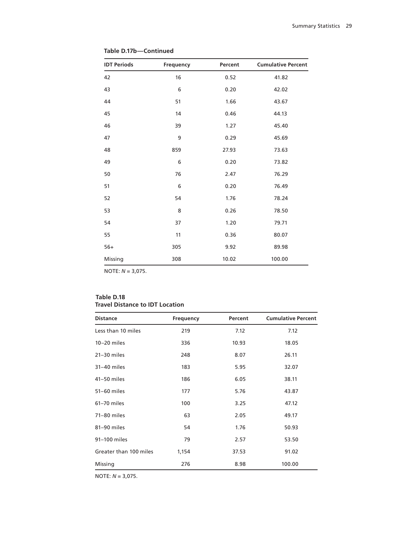| <b>IDT Periods</b> | Frequency | Percent | <b>Cumulative Percent</b> |
|--------------------|-----------|---------|---------------------------|
| 42                 | 16        | 0.52    | 41.82                     |
| 43                 | 6         | 0.20    | 42.02                     |
| 44                 | 51        | 1.66    | 43.67                     |
| 45                 | 14        | 0.46    | 44.13                     |
| 46                 | 39        | 1.27    | 45.40                     |
| 47                 | 9         | 0.29    | 45.69                     |
| 48                 | 859       | 27.93   | 73.63                     |
| 49                 | 6         | 0.20    | 73.82                     |
| 50                 | 76        | 2.47    | 76.29                     |
| 51                 | 6         | 0.20    | 76.49                     |
| 52                 | 54        | 1.76    | 78.24                     |
| 53                 | 8         | 0.26    | 78.50                     |
| 54                 | 37        | 1.20    | 79.71                     |
| 55                 | 11        | 0.36    | 80.07                     |
| $56+$              | 305       | 9.92    | 89.98                     |
| Missing            | 308       | 10.02   | 100.00                    |

**Table D.17b—Continued**

## **Table D.18 Travel Distance to IDT Location**

| <b>Distance</b>        | <b>Frequency</b> | Percent | <b>Cumulative Percent</b> |
|------------------------|------------------|---------|---------------------------|
| Less than 10 miles     | 219              | 7.12    | 7.12                      |
| $10-20$ miles          | 336              | 10.93   | 18.05                     |
| $21-30$ miles          | 248              | 8.07    | 26.11                     |
| $31-40$ miles          | 183              | 5.95    | 32.07                     |
| 41-50 miles            | 186              | 6.05    | 38.11                     |
| 51-60 miles            | 177              | 5.76    | 43.87                     |
| 61-70 miles            | 100              | 3.25    | 47.12                     |
| 71-80 miles            | 63               | 2.05    | 49.17                     |
| 81-90 miles            | 54               | 1.76    | 50.93                     |
| 91-100 miles           | 79               | 2.57    | 53.50                     |
| Greater than 100 miles | 1,154            | 37.53   | 91.02                     |
| Missing                | 276              | 8.98    | 100.00                    |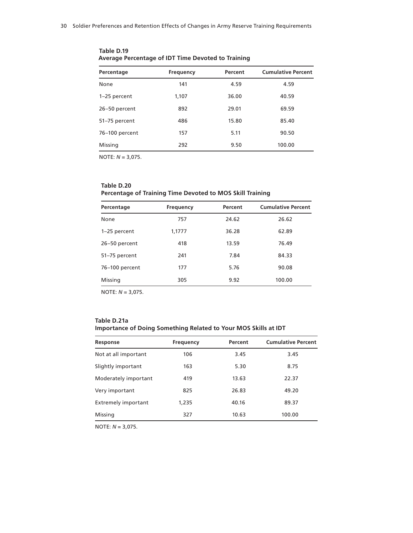| Percentage     | <b>Frequency</b> | Percent | <b>Cumulative Percent</b> |
|----------------|------------------|---------|---------------------------|
| None           | 141              | 4.59    | 4.59                      |
| 1-25 percent   | 1,107            | 36.00   | 40.59                     |
| 26-50 percent  | 892              | 29.01   | 69.59                     |
| 51-75 percent  | 486              | 15.80   | 85.40                     |
| 76-100 percent | 157              | 5.11    | 90.50                     |
| Missing        | 292              | 9.50    | 100.00                    |

**Table D.19 Average Percentage of IDT Time Devoted to Training**

# **Table D.20 Percentage of Training Time Devoted to MOS Skill Training**

| Percentage     | <b>Frequency</b> | Percent | <b>Cumulative Percent</b> |
|----------------|------------------|---------|---------------------------|
| None           | 757              | 24.62   | 26.62                     |
| 1-25 percent   | 1,1777           | 36.28   | 62.89                     |
| 26-50 percent  | 418              | 13.59   | 76.49                     |
| 51-75 percent  | 241              | 7.84    | 84.33                     |
| 76-100 percent | 177              | 5.76    | 90.08                     |
| Missing        | 305              | 9.92    | 100.00                    |

NOTE: *N* = 3,075.

| Table D.21a                                                     |
|-----------------------------------------------------------------|
| Importance of Doing Something Related to Your MOS Skills at IDT |

| Response                   | <b>Frequency</b> | Percent | <b>Cumulative Percent</b> |
|----------------------------|------------------|---------|---------------------------|
| Not at all important       | 106              | 3.45    | 3.45                      |
| Slightly important         | 163              | 5.30    | 8.75                      |
| Moderately important       | 419              | 13.63   | 22.37                     |
| Very important             | 825              | 26.83   | 49.20                     |
| <b>Extremely important</b> | 1,235            | 40.16   | 89.37                     |
| Missing                    | 327              | 10.63   | 100.00                    |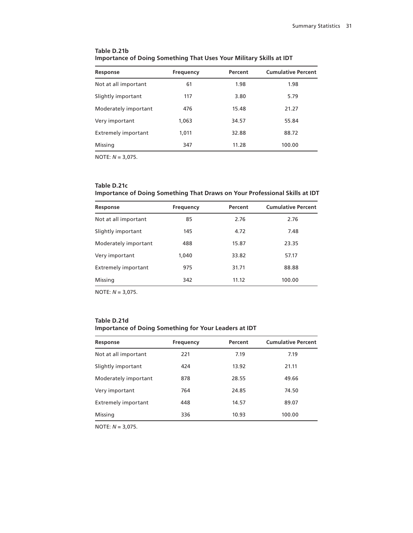| Response                   | Frequency | Percent | <b>Cumulative Percent</b> |
|----------------------------|-----------|---------|---------------------------|
| Not at all important       | 61        | 1.98    | 1.98                      |
| Slightly important         | 117       | 3.80    | 5.79                      |
| Moderately important       | 476       | 15.48   | 21.27                     |
| Very important             | 1,063     | 34.57   | 55.84                     |
| <b>Extremely important</b> | 1,011     | 32.88   | 88.72                     |
| Missing                    | 347       | 11.28   | 100.00                    |

# **Table D.21b Importance of Doing Something That Uses Your Military Skills at IDT**

NOTE: *N* = 3,075.

## **Table D.21c Importance of Doing Something That Draws on Your Professional Skills at IDT**

| Response                   | Frequency | Percent | <b>Cumulative Percent</b> |
|----------------------------|-----------|---------|---------------------------|
| Not at all important       | 85        | 2.76    | 2.76                      |
| Slightly important         | 145       | 4.72    | 7.48                      |
| Moderately important       | 488       | 15.87   | 23.35                     |
| Very important             | 1,040     | 33.82   | 57.17                     |
| <b>Extremely important</b> | 975       | 31.71   | 88.88                     |
| Missing                    | 342       | 11.12   | 100.00                    |

NOTE: *N* = 3,075.

| Table D.21d                                                  |  |  |
|--------------------------------------------------------------|--|--|
| <b>Importance of Doing Something for Your Leaders at IDT</b> |  |  |

| Response                   | <b>Frequency</b> | Percent | <b>Cumulative Percent</b> |
|----------------------------|------------------|---------|---------------------------|
| Not at all important       | 221              | 7.19    | 7.19                      |
| Slightly important         | 424              | 13.92   | 21.11                     |
| Moderately important       | 878              | 28.55   | 49.66                     |
| Very important             | 764              | 24.85   | 74.50                     |
| <b>Extremely important</b> | 448              | 14.57   | 89.07                     |
| Missing                    | 336              | 10.93   | 100.00                    |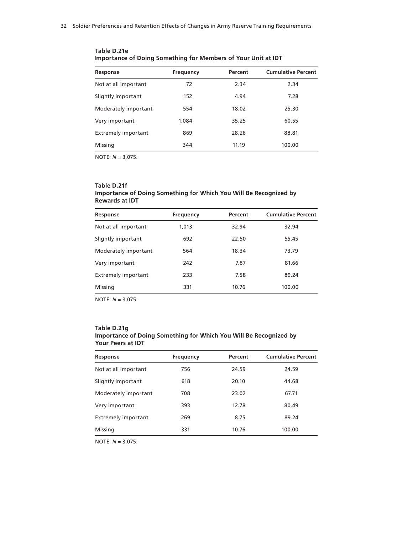| Response                   | Frequency | Percent | <b>Cumulative Percent</b> |
|----------------------------|-----------|---------|---------------------------|
| Not at all important       | 72        | 2.34    | 2.34                      |
| Slightly important         | 152       | 4.94    | 7.28                      |
| Moderately important       | 554       | 18.02   | 25.30                     |
| Very important             | 1,084     | 35.25   | 60.55                     |
| <b>Extremely important</b> | 869       | 28.26   | 88.81                     |
| Missing                    | 344       | 11.19   | 100.00                    |

**Table D.21e Importance of Doing Something for Members of Your Unit at IDT**

## **Table D.21f Importance of Doing Something for Which You Will Be Recognized by Rewards at IDT**

| Response                   | <b>Frequency</b> | Percent | <b>Cumulative Percent</b> |
|----------------------------|------------------|---------|---------------------------|
| Not at all important       | 1,013            | 32.94   | 32.94                     |
| Slightly important         | 692              | 22.50   | 55.45                     |
| Moderately important       | 564              | 18.34   | 73.79                     |
| Very important             | 242              | 7.87    | 81.66                     |
| <b>Extremely important</b> | 233              | 7.58    | 89.24                     |
| Missing                    | 331              | 10.76   | 100.00                    |

NOTE: *N* = 3,075.

#### **Table D.21g Importance of Doing Something for Which You Will Be Recognized by Your Peers at IDT**

| Response                   | <b>Frequency</b> | Percent | <b>Cumulative Percent</b> |
|----------------------------|------------------|---------|---------------------------|
| Not at all important       | 756              | 24.59   | 24.59                     |
| Slightly important         | 618              | 20.10   | 44.68                     |
| Moderately important       | 708              | 23.02   | 67.71                     |
| Very important             | 393              | 12.78   | 80.49                     |
| <b>Extremely important</b> | 269              | 8.75    | 89.24                     |
| Missing                    | 331              | 10.76   | 100.00                    |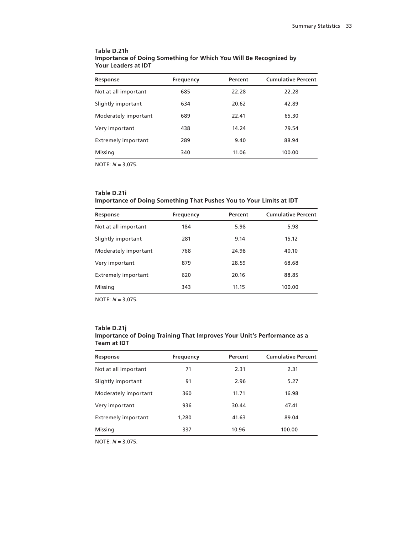| Response                   | <b>Frequency</b> | Percent | <b>Cumulative Percent</b> |
|----------------------------|------------------|---------|---------------------------|
| Not at all important       | 685              | 22.28   | 22.28                     |
| Slightly important         | 634              | 20.62   | 42.89                     |
| Moderately important       | 689              | 22.41   | 65.30                     |
| Very important             | 438              | 14.24   | 79.54                     |
| <b>Extremely important</b> | 289              | 9.40    | 88.94                     |
| Missing                    | 340              | 11.06   | 100.00                    |

#### **Table D.21h Importance of Doing Something for Which You Will Be Recognized by Your Leaders at IDT**

NOTE: *N* = 3,075.

# **Table D.21i Importance of Doing Something That Pushes You to Your Limits at IDT**

| Response                   | <b>Frequency</b> | Percent | <b>Cumulative Percent</b> |
|----------------------------|------------------|---------|---------------------------|
| Not at all important       | 184              | 5.98    | 5.98                      |
| Slightly important         | 281              | 9.14    | 15.12                     |
| Moderately important       | 768              | 24.98   | 40.10                     |
| Very important             | 879              | 28.59   | 68.68                     |
| <b>Extremely important</b> | 620              | 20.16   | 88.85                     |
| Missing                    | 343              | 11.15   | 100.00                    |

NOTE: *N* = 3,075.

#### **Table D.21j Importance of Doing Training That Improves Your Unit's Performance as a Team at IDT**

| <b>Frequency</b> | Percent | <b>Cumulative Percent</b> |
|------------------|---------|---------------------------|
| 71               | 2.31    | 2.31                      |
| 91               | 2.96    | 5.27                      |
| 360              | 11.71   | 16.98                     |
| 936              | 30.44   | 47.41                     |
| 1,280            | 41.63   | 89.04                     |
| 337              | 10.96   | 100.00                    |
|                  |         |                           |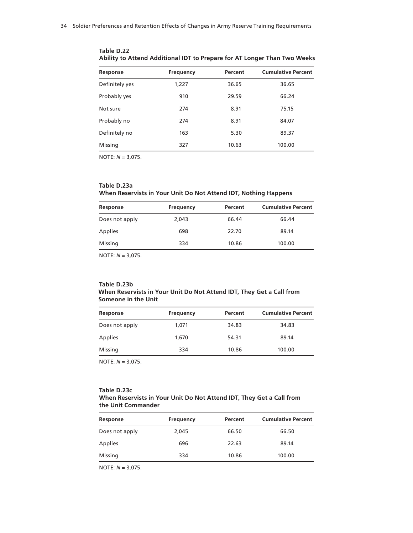| Response       | <b>Frequency</b> | Percent | <b>Cumulative Percent</b> |
|----------------|------------------|---------|---------------------------|
| Definitely yes | 1,227            | 36.65   | 36.65                     |
| Probably yes   | 910              | 29.59   | 66.24                     |
| Not sure       | 274              | 8.91    | 75.15                     |
| Probably no    | 274              | 8.91    | 84.07                     |
| Definitely no  | 163              | 5.30    | 89.37                     |
| Missing        | 327              | 10.63   | 100.00                    |

**Table D.22 Ability to Attend Additional IDT to Prepare for AT Longer Than Two Weeks**

# **Table D.23a When Reservists in Your Unit Do Not Attend IDT, Nothing Happens**

| Response       | Frequency | Percent | <b>Cumulative Percent</b> |
|----------------|-----------|---------|---------------------------|
| Does not apply | 2,043     | 66.44   | 66.44                     |
| <b>Applies</b> | 698       | 22.70   | 89.14                     |
| Missing        | 334       | 10.86   | 100.00                    |

NOTE: *N* = 3,075.

#### **Table D.23b When Reservists in Your Unit Do Not Attend IDT, They Get a Call from Someone in the Unit**

| Frequency | Percent | <b>Cumulative Percent</b> |
|-----------|---------|---------------------------|
| 1,071     | 34.83   | 34.83                     |
| 1,670     | 54.31   | 89.14                     |
| 334       | 10.86   | 100.00                    |
|           |         |                           |

NOTE: *N* = 3,075.

#### **Table D.23c When Reservists in Your Unit Do Not Attend IDT, They Get a Call from the Unit Commander**

| Response       | Frequency | Percent | <b>Cumulative Percent</b> |
|----------------|-----------|---------|---------------------------|
| Does not apply | 2.045     | 66.50   | 66.50                     |
| Applies        | 696       | 22.63   | 89.14                     |
| Missing        | 334       | 10.86   | 100.00                    |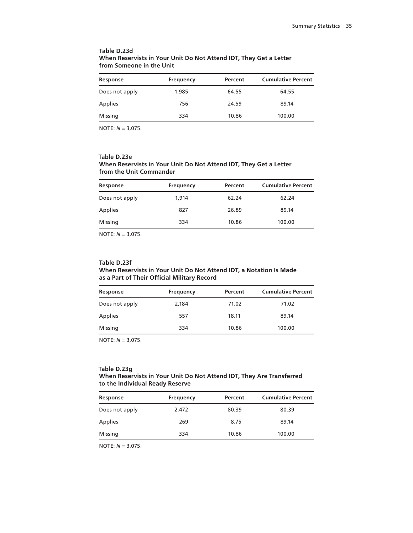| Response       | Frequency | Percent | <b>Cumulative Percent</b> |
|----------------|-----------|---------|---------------------------|
| Does not apply | 1,985     | 64.55   | 64.55                     |
| Applies        | 756       | 24.59   | 89.14                     |
| Missing        | 334       | 10.86   | 100.00                    |
|                |           |         |                           |

#### **Table D.23d When Reservists in Your Unit Do Not Attend IDT, They Get a Letter from Someone in the Unit**

NOTE: *N* = 3,075.

#### **Table D.23e When Reservists in Your Unit Do Not Attend IDT, They Get a Letter from the Unit Commander**

| Response       | Frequency | Percent | <b>Cumulative Percent</b> |
|----------------|-----------|---------|---------------------------|
| Does not apply | 1.914     | 62.24   | 62.24                     |
| Applies        | 827       | 26.89   | 89.14                     |
| Missing        | 334       | 10.86   | 100.00                    |

NOTE: *N* = 3,075.

# **Table D.23f**

#### **When Reservists in Your Unit Do Not Attend IDT, a Notation Is Made as a Part of Their Official Military Record**

| Response       | Frequency | Percent | <b>Cumulative Percent</b> |
|----------------|-----------|---------|---------------------------|
| Does not apply | 2,184     | 71.02   | 71.02                     |
| Applies        | 557       | 18.11   | 89.14                     |
| Missing        | 334       | 10.86   | 100.00                    |

NOTE: *N* = 3,075.

#### **Table D.23g**

#### **When Reservists in Your Unit Do Not Attend IDT, They Are Transferred to the Individual Ready Reserve**

| Response       | Frequency | Percent | <b>Cumulative Percent</b> |
|----------------|-----------|---------|---------------------------|
| Does not apply | 2,472     | 80.39   | 80.39                     |
| Applies        | 269       | 8.75    | 89.14                     |
| Missing        | 334       | 10.86   | 100.00                    |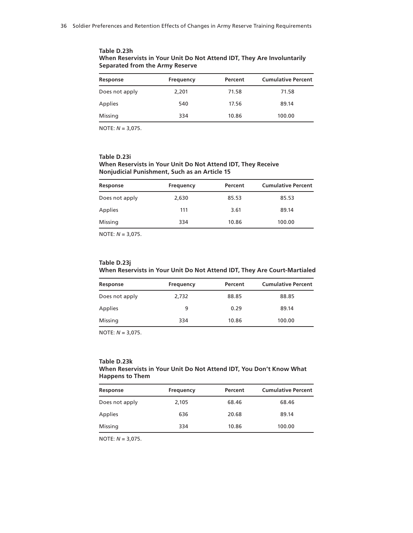| Response       | Frequency | Percent | <b>Cumulative Percent</b> |
|----------------|-----------|---------|---------------------------|
| Does not apply | 2,201     | 71.58   | 71.58                     |
| Applies        | 540       | 17.56   | 89.14                     |
| Missing        | 334       | 10.86   | 100.00                    |

**Table D.23h When Reservists in Your Unit Do Not Attend IDT, They Are Involuntarily Separated from the Army Reserve**

#### **Table D.23i When Reservists in Your Unit Do Not Attend IDT, They Receive Nonjudicial Punishment, Such as an Article 15**

| Response       | Frequency | Percent | <b>Cumulative Percent</b> |
|----------------|-----------|---------|---------------------------|
| Does not apply | 2,630     | 85.53   | 85.53                     |
| Applies        | 111       | 3.61    | 89.14                     |
| Missing        | 334       | 10.86   | 100.00                    |

NOTE: *N* = 3,075.

## **Table D.23j When Reservists in Your Unit Do Not Attend IDT, They Are Court-Martialed**

| Response       | Frequency | Percent | <b>Cumulative Percent</b> |
|----------------|-----------|---------|---------------------------|
| Does not apply | 2,732     | 88.85   | 88.85                     |
| Applies        | 9         | 0.29    | 89.14                     |
| Missing        | 334       | 10.86   | 100.00                    |

NOTE: *N* = 3,075.

#### **Table D.23k**

## **When Reservists in Your Unit Do Not Attend IDT, You Don't Know What Happens to Them**

| Response       | Frequency | Percent | <b>Cumulative Percent</b> |
|----------------|-----------|---------|---------------------------|
| Does not apply | 2,105     | 68.46   | 68.46                     |
| <b>Applies</b> | 636       | 20.68   | 89.14                     |
| Missing        | 334       | 10.86   | 100.00                    |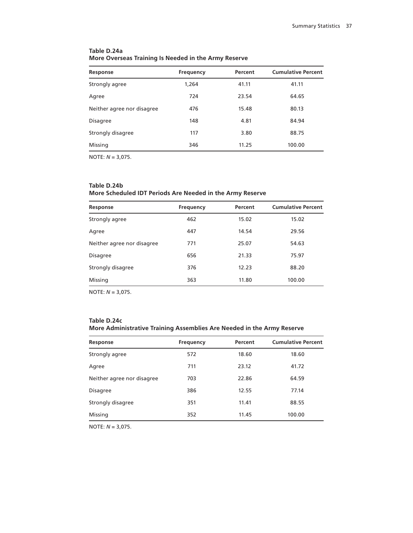| Response                   | <b>Frequency</b> | Percent | <b>Cumulative Percent</b> |
|----------------------------|------------------|---------|---------------------------|
| Strongly agree             | 1,264            | 41.11   | 41.11                     |
| Agree                      | 724              | 23.54   | 64.65                     |
| Neither agree nor disagree | 476              | 15.48   | 80.13                     |
| <b>Disagree</b>            | 148              | 4.81    | 84.94                     |
| Strongly disagree          | 117              | 3.80    | 88.75                     |
| Missing                    | 346              | 11.25   | 100.00                    |

## **Table D.24a More Overseas Training Is Needed in the Army Reserve**

NOTE: *N* = 3,075.

## **Table D.24b**

## **More Scheduled IDT Periods Are Needed in the Army Reserve**

| Response                   | Frequency | Percent | <b>Cumulative Percent</b> |
|----------------------------|-----------|---------|---------------------------|
| Strongly agree             | 462       | 15.02   | 15.02                     |
| Agree                      | 447       | 14.54   | 29.56                     |
| Neither agree nor disagree | 771       | 25.07   | 54.63                     |
| <b>Disagree</b>            | 656       | 21.33   | 75.97                     |
| Strongly disagree          | 376       | 12.23   | 88.20                     |
| Missing                    | 363       | 11.80   | 100.00                    |

NOTE: *N* = 3,075.

# **Table D.24c More Administrative Training Assemblies Are Needed in the Army Reserve**

| Response                   | <b>Frequency</b> | Percent | <b>Cumulative Percent</b> |
|----------------------------|------------------|---------|---------------------------|
| Strongly agree             | 572              | 18.60   | 18.60                     |
| Agree                      | 711              | 23.12   | 41.72                     |
| Neither agree nor disagree | 703              | 22.86   | 64.59                     |
| <b>Disagree</b>            | 386              | 12.55   | 77.14                     |
| Strongly disagree          | 351              | 11.41   | 88.55                     |
| Missing                    | 352              | 11.45   | 100.00                    |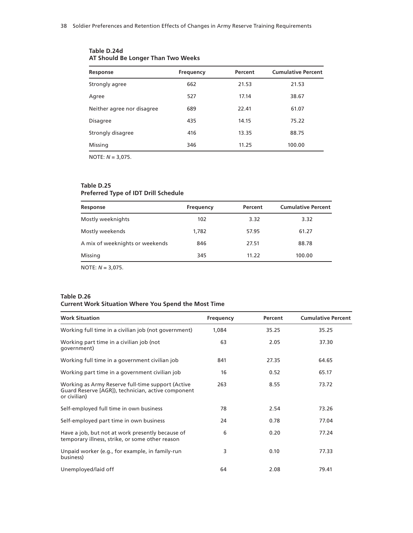| Response                   | Frequency | Percent | <b>Cumulative Percent</b> |
|----------------------------|-----------|---------|---------------------------|
| Strongly agree             | 662       | 21.53   | 21.53                     |
| Agree                      | 527       | 17.14   | 38.67                     |
| Neither agree nor disagree | 689       | 22.41   | 61.07                     |
| <b>Disagree</b>            | 435       | 14.15   | 75.22                     |
| Strongly disagree          | 416       | 13.35   | 88.75                     |
| Missing                    | 346       | 11.25   | 100.00                    |

## **Table D.24d AT Should Be Longer Than Two Weeks**

NOTE: *N* = 3,075.

## **Table D.25**

## **Preferred Type of IDT Drill Schedule**

| Response                        | <b>Frequency</b> | Percent | <b>Cumulative Percent</b> |
|---------------------------------|------------------|---------|---------------------------|
| Mostly weeknights               | 102              | 3.32    | 3.32                      |
| Mostly weekends                 | 1,782            | 57.95   | 61.27                     |
| A mix of weeknights or weekends | 846              | 27.51   | 88.78                     |
| Missing                         | 345              | 11.22   | 100.00                    |
|                                 |                  |         |                           |

NOTE: *N* = 3,075.

#### **Table D.26 Current Work Situation Where You Spend the Most Time**

| <b>Work Situation</b>                                                                                                   | Frequency | Percent | <b>Cumulative Percent</b> |
|-------------------------------------------------------------------------------------------------------------------------|-----------|---------|---------------------------|
| Working full time in a civilian job (not government)                                                                    | 1,084     | 35.25   | 35.25                     |
| Working part time in a civilian job (not<br>qovernment)                                                                 | 63        | 2.05    | 37.30                     |
| Working full time in a government civilian job                                                                          | 841       | 27.35   | 64.65                     |
| Working part time in a government civilian job                                                                          | 16        | 0.52    | 65.17                     |
| Working as Army Reserve full-time support (Active<br>Guard Reserve [AGR]), technician, active component<br>or civilian) | 263       | 8.55    | 73.72                     |
| Self-employed full time in own business                                                                                 | 78        | 2.54    | 73.26                     |
| Self-employed part time in own business                                                                                 | 24        | 0.78    | 77.04                     |
| Have a job, but not at work presently because of<br>temporary illness, strike, or some other reason                     | 6         | 0.20    | 77.24                     |
| Unpaid worker (e.g., for example, in family-run<br>business)                                                            | 3         | 0.10    | 77.33                     |
| Unemployed/laid off                                                                                                     | 64        | 2.08    | 79.41                     |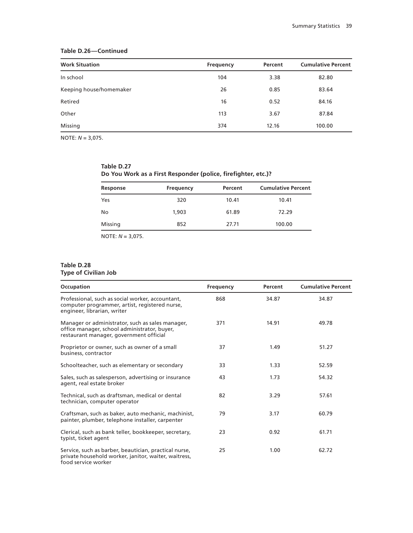## **Table D.26—Continued**

| <b>Work Situation</b>   | Frequency | Percent | <b>Cumulative Percent</b> |
|-------------------------|-----------|---------|---------------------------|
| In school               | 104       | 3.38    | 82.80                     |
| Keeping house/homemaker | 26        | 0.85    | 83.64                     |
| Retired                 | 16        | 0.52    | 84.16                     |
| Other                   | 113       | 3.67    | 87.84                     |
| Missing                 | 374       | 12.16   | 100.00                    |

NOTE: *N* = 3,075.

| Table D.27 |                                                               |  |  |
|------------|---------------------------------------------------------------|--|--|
|            | Do You Work as a First Responder (police, firefighter, etc.)? |  |  |

| Response | <b>Frequency</b> | Percent | <b>Cumulative Percent</b> |
|----------|------------------|---------|---------------------------|
| Yes      | 320              | 10.41   | 10.41                     |
| No       | 1,903            | 61.89   | 72.29                     |
| Missing  | 852              | 27.71   | 100.00                    |

NOTE: *N* = 3,075.

## **Table D.28 Type of Civilian Job**

| Occupation                                                                                                                                  | <b>Frequency</b> | Percent | <b>Cumulative Percent</b> |
|---------------------------------------------------------------------------------------------------------------------------------------------|------------------|---------|---------------------------|
| Professional, such as social worker, accountant,<br>computer programmer, artist, registered nurse,<br>engineer, librarian, writer           | 868              | 34.87   | 34.87                     |
| Manager or administrator, such as sales manager,<br>office manager, school administrator, buyer,<br>restaurant manager, government official | 371              | 14.91   | 49.78                     |
| Proprietor or owner, such as owner of a small<br>business, contractor                                                                       | 37               | 1.49    | 51.27                     |
| Schoolteacher, such as elementary or secondary                                                                                              | 33               | 1.33    | 52.59                     |
| Sales, such as salesperson, advertising or insurance<br>agent, real estate broker                                                           | 43               | 1.73    | 54.32                     |
| Technical, such as draftsman, medical or dental<br>technician, computer operator                                                            | 82               | 3.29    | 57.61                     |
| Craftsman, such as baker, auto mechanic, machinist,<br>painter, plumber, telephone installer, carpenter                                     | 79               | 3.17    | 60.79                     |
| Clerical, such as bank teller, bookkeeper, secretary,<br>typist, ticket agent                                                               | 23               | 0.92    | 61.71                     |
| Service, such as barber, beautician, practical nurse,<br>private household worker, janitor, waiter, waitress,<br>food service worker        | 25               | 1.00    | 62.72                     |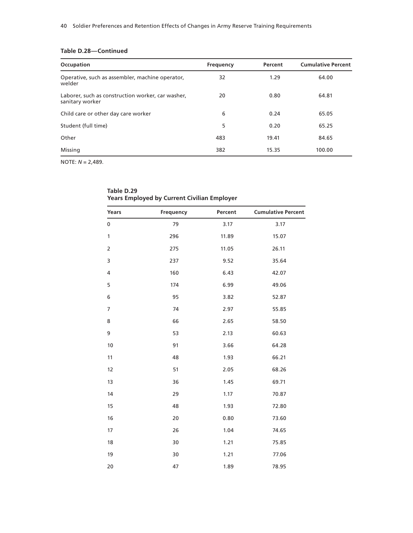| Table D.28-Continued |
|----------------------|
|----------------------|

| Occupation                                                           | Frequency | Percent | <b>Cumulative Percent</b> |
|----------------------------------------------------------------------|-----------|---------|---------------------------|
| Operative, such as assembler, machine operator,<br>welder            | 32        | 1.29    | 64.00                     |
| Laborer, such as construction worker, car washer,<br>sanitary worker | 20        | 0.80    | 64.81                     |
| Child care or other day care worker                                  | 6         | 0.24    | 65.05                     |
| Student (full time)                                                  | 5         | 0.20    | 65.25                     |
| Other                                                                | 483       | 19.41   | 84.65                     |
| Missing                                                              | 382       | 15.35   | 100.00                    |

| Years          | Frequency | Percent | <b>Cumulative Percent</b> |
|----------------|-----------|---------|---------------------------|
| $\pmb{0}$      | 79        | 3.17    | 3.17                      |
| $\mathbf{1}$   | 296       | 11.89   | 15.07                     |
| $\overline{2}$ | 275       | 11.05   | 26.11                     |
| 3              | 237       | 9.52    | 35.64                     |
| $\overline{4}$ | 160       | 6.43    | 42.07                     |
| 5              | 174       | 6.99    | 49.06                     |
| 6              | 95        | 3.82    | 52.87                     |
| $\overline{7}$ | 74        | 2.97    | 55.85                     |
| 8              | 66        | 2.65    | 58.50                     |
| 9              | 53        | 2.13    | 60.63                     |
| 10             | 91        | 3.66    | 64.28                     |
| 11             | 48        | 1.93    | 66.21                     |
| 12             | 51        | 2.05    | 68.26                     |
| 13             | 36        | 1.45    | 69.71                     |
| 14             | 29        | 1.17    | 70.87                     |
| 15             | 48        | 1.93    | 72.80                     |
| 16             | 20        | 0.80    | 73.60                     |
| 17             | 26        | 1.04    | 74.65                     |
| 18             | 30        | 1.21    | 75.85                     |
| 19             | 30        | 1.21    | 77.06                     |
| 20             | 47        | 1.89    | 78.95                     |

| Table D.29                                         |
|----------------------------------------------------|
| <b>Years Employed by Current Civilian Employer</b> |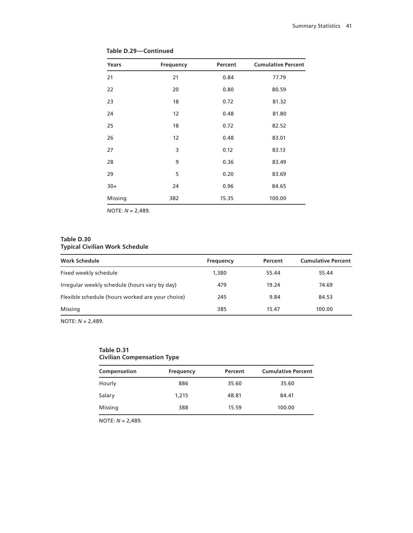| Years   | <b>Frequency</b> | Percent | <b>Cumulative Percent</b> |
|---------|------------------|---------|---------------------------|
| 21      | 21               | 0.84    | 77.79                     |
| 22      | 20               | 0.80    | 80.59                     |
| 23      | 18               | 0.72    | 81.32                     |
| 24      | 12               | 0.48    | 81.80                     |
| 25      | 18               | 0.72    | 82.52                     |
| 26      | 12               | 0.48    | 83.01                     |
| 27      | 3                | 0.12    | 83.13                     |
| 28      | 9                | 0.36    | 83.49                     |
| 29      | 5                | 0.20    | 83.69                     |
| $30+$   | 24               | 0.96    | 84.65                     |
| Missing | 382              | 15.35   | 100.00                    |

**Table D.29—Continued**

# **Table D.30 Typical Civilian Work Schedule**

| <b>Work Schedule</b>                             | Frequency | Percent | <b>Cumulative Percent</b> |
|--------------------------------------------------|-----------|---------|---------------------------|
| Fixed weekly schedule                            | 1,380     | 55.44   | 55.44                     |
| Irregular weekly schedule (hours vary by day)    | 479       | 19.24   | 74.69                     |
| Flexible schedule (hours worked are your choice) | 245       | 9.84    | 84.53                     |
| Missing                                          | 385       | 15.47   | 100.00                    |
|                                                  |           |         |                           |

NOTE: *N* = 2,489.

## **Table D.31 Civilian Compensation Type**

| Compensation | Frequency | Percent | <b>Cumulative Percent</b> |
|--------------|-----------|---------|---------------------------|
| Hourly       | 886       | 35.60   | 35.60                     |
| Salary       | 1,215     | 48.81   | 84.41                     |
| Missing      | 388       | 15.59   | 100.00                    |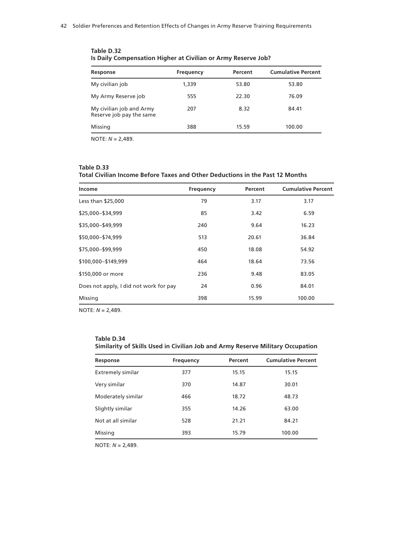| <b>Frequency</b> | Percent | <b>Cumulative Percent</b> |
|------------------|---------|---------------------------|
| 1,339            | 53.80   | 53.80                     |
| 555              | 22.30   | 76.09                     |
| 207              | 8.32    | 84.41                     |
| 388              | 15.59   | 100.00                    |
|                  |         |                           |

**Table D.32 Is Daily Compensation Higher at Civilian or Army Reserve Job?**

#### **Table D.33**

**Total Civilian Income Before Taxes and Other Deductions in the Past 12 Months**

| Income                                 | Frequency | Percent | <b>Cumulative Percent</b> |
|----------------------------------------|-----------|---------|---------------------------|
| Less than \$25,000                     | 79        | 3.17    | 3.17                      |
| \$25,000-\$34,999                      | 85        | 3.42    | 6.59                      |
| \$35,000-\$49,999                      | 240       | 9.64    | 16.23                     |
| \$50,000-\$74,999                      | 513       | 20.61   | 36.84                     |
| \$75,000-\$99,999                      | 450       | 18.08   | 54.92                     |
| \$100,000-\$149,999                    | 464       | 18.64   | 73.56                     |
| \$150,000 or more                      | 236       | 9.48    | 83.05                     |
| Does not apply, I did not work for pay | 24        | 0.96    | 84.01                     |
| Missing                                | 398       | 15.99   | 100.00                    |

NOTE: *N* = 2,489.

#### **Table D.34 Similarity of Skills Used in Civilian Job and Army Reserve Military Occupation**

| Response                 | <b>Frequency</b> | Percent | <b>Cumulative Percent</b> |
|--------------------------|------------------|---------|---------------------------|
| <b>Extremely similar</b> | 377              | 15.15   | 15.15                     |
| Very similar             | 370              | 14.87   | 30.01                     |
| Moderately similar       | 466              | 18.72   | 48.73                     |
| Slightly similar         | 355              | 14.26   | 63.00                     |
| Not at all similar       | 528              | 21.21   | 84.21                     |
| Missing                  | 393              | 15.79   | 100.00                    |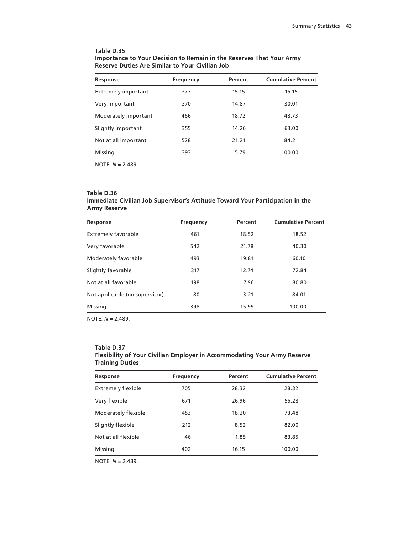| Table D.35                                                           |
|----------------------------------------------------------------------|
| Importance to Your Decision to Remain in the Reserves That Your Army |
| <b>Reserve Duties Are Similar to Your Civilian Job</b>               |

| Response                   | <b>Frequency</b> | Percent | <b>Cumulative Percent</b> |
|----------------------------|------------------|---------|---------------------------|
| <b>Extremely important</b> | 377              | 15.15   | 15.15                     |
| Very important             | 370              | 14.87   | 30.01                     |
| Moderately important       | 466              | 18.72   | 48.73                     |
| Slightly important         | 355              | 14.26   | 63.00                     |
| Not at all important       | 528              | 21.21   | 84.21                     |
| Missing                    | 393              | 15.79   | 100.00                    |

# **Table D.36**

## **Immediate Civilian Job Supervisor's Attitude Toward Your Participation in the Army Reserve**

| Response                       | <b>Frequency</b> | Percent | <b>Cumulative Percent</b> |
|--------------------------------|------------------|---------|---------------------------|
| <b>Extremely favorable</b>     | 461              | 18.52   | 18.52                     |
| Very favorable                 | 542              | 21.78   | 40.30                     |
| Moderately favorable           | 493              | 19.81   | 60.10                     |
| Slightly favorable             | 317              | 12.74   | 72.84                     |
| Not at all favorable           | 198              | 7.96    | 80.80                     |
| Not applicable (no supervisor) | 80               | 3.21    | 84.01                     |
| Missing                        | 398              | 15.99   | 100.00                    |

NOTE: *N* = 2,489.

#### **Table D.37 Flexibility of Your Civilian Employer in Accommodating Your Army Reserve Training Duties**

| Response                  | <b>Frequency</b> | Percent | <b>Cumulative Percent</b> |
|---------------------------|------------------|---------|---------------------------|
| <b>Extremely flexible</b> | 705              | 28.32   | 28.32                     |
| Very flexible             | 671              | 26.96   | 55.28                     |
| Moderately flexible       | 453              | 18.20   | 73.48                     |
| Slightly flexible         | 212              | 8.52    | 82.00                     |
| Not at all flexible       | 46               | 1.85    | 83.85                     |
| Missing                   | 402              | 16.15   | 100.00                    |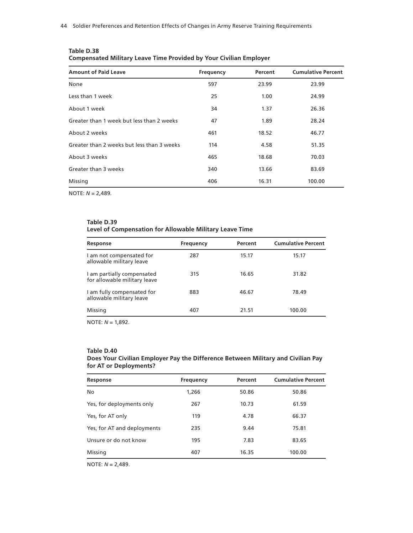| <b>Amount of Paid Leave</b>                | Frequency | Percent | <b>Cumulative Percent</b> |
|--------------------------------------------|-----------|---------|---------------------------|
| None                                       | 597       | 23.99   | 23.99                     |
| Less than 1 week                           | 25        | 1.00    | 24.99                     |
| About 1 week                               | 34        | 1.37    | 26.36                     |
| Greater than 1 week but less than 2 weeks  | 47        | 1.89    | 28.24                     |
| About 2 weeks                              | 461       | 18.52   | 46.77                     |
| Greater than 2 weeks but less than 3 weeks | 114       | 4.58    | 51.35                     |
| About 3 weeks                              | 465       | 18.68   | 70.03                     |
| Greater than 3 weeks                       | 340       | 13.66   | 83.69                     |
| Missing                                    | 406       | 16.31   | 100.00                    |

| Table D.38                                                                |
|---------------------------------------------------------------------------|
| <b>Compensated Military Leave Time Provided by Your Civilian Employer</b> |

## **Table D.39 Level of Compensation for Allowable Military Leave Time**

| Response                                                   | Frequency | Percent | <b>Cumulative Percent</b> |
|------------------------------------------------------------|-----------|---------|---------------------------|
| I am not compensated for<br>allowable military leave       | 287       | 15.17   | 15.17                     |
| I am partially compensated<br>for allowable military leave | 315       | 16.65   | 31.82                     |
| I am fully compensated for<br>allowable military leave     | 883       | 46.67   | 78.49                     |
| Missing                                                    | 407       | 21.51   | 100.00                    |

NOTE: *N* = 1,892.

#### **Table D.40**

## **Does Your Civilian Employer Pay the Difference Between Military and Civilian Pay for AT or Deployments?**

| Response                    | <b>Frequency</b> | Percent | <b>Cumulative Percent</b> |
|-----------------------------|------------------|---------|---------------------------|
| No                          | 1,266            | 50.86   | 50.86                     |
| Yes, for deployments only   | 267              | 10.73   | 61.59                     |
| Yes, for AT only            | 119              | 4.78    | 66.37                     |
| Yes, for AT and deployments | 235              | 9.44    | 75.81                     |
| Unsure or do not know       | 195              | 7.83    | 83.65                     |
| Missing                     | 407              | 16.35   | 100.00                    |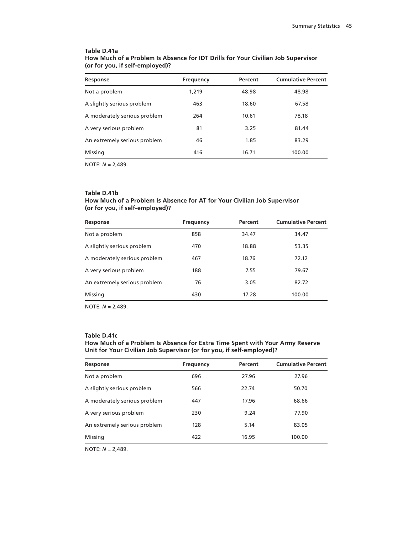#### **Table D.41a How Much of a Problem Is Absence for IDT Drills for Your Civilian Job Supervisor (or for you, if self-employed)?**

| Response                     | <b>Frequency</b> | Percent | <b>Cumulative Percent</b> |
|------------------------------|------------------|---------|---------------------------|
| Not a problem                | 1,219            | 48.98   | 48.98                     |
| A slightly serious problem   | 463              | 18.60   | 67.58                     |
| A moderately serious problem | 264              | 10.61   | 78.18                     |
| A very serious problem       | 81               | 3.25    | 81.44                     |
| An extremely serious problem | 46               | 1.85    | 83.29                     |
| Missing                      | 416              | 16.71   | 100.00                    |

NOTE: *N* = 2,489.

#### **Table D.41b How Much of a Problem Is Absence for AT for Your Civilian Job Supervisor (or for you, if self-employed)?**

| Response                     | <b>Frequency</b> | Percent | <b>Cumulative Percent</b> |
|------------------------------|------------------|---------|---------------------------|
| Not a problem                | 858              | 34.47   | 34.47                     |
| A slightly serious problem   | 470              | 18.88   | 53.35                     |
| A moderately serious problem | 467              | 18.76   | 72.12                     |
| A very serious problem       | 188              | 7.55    | 79.67                     |
| An extremely serious problem | 76               | 3.05    | 82.72                     |
| Missing                      | 430              | 17.28   | 100.00                    |

NOTE: *N* = 2,489.

#### **Table D.41c**

#### **How Much of a Problem Is Absence for Extra Time Spent with Your Army Reserve Unit for Your Civilian Job Supervisor (or for you, if self-employed)?**

| Response                     | <b>Frequency</b> | Percent | <b>Cumulative Percent</b> |
|------------------------------|------------------|---------|---------------------------|
| Not a problem                | 696              | 27.96   | 27.96                     |
| A slightly serious problem   | 566              | 22.74   | 50.70                     |
| A moderately serious problem | 447              | 17.96   | 68.66                     |
| A very serious problem       | 230              | 9.24    | 77.90                     |
| An extremely serious problem | 128              | 5.14    | 83.05                     |
| Missing                      | 422              | 16.95   | 100.00                    |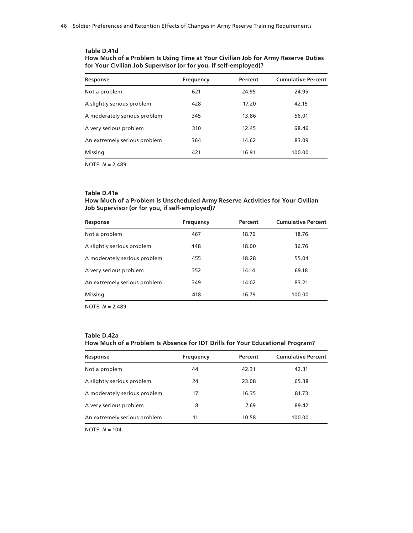# **Table D.41d**

| How Much of a Problem Is Using Time at Your Civilian Job for Army Reserve Duties |
|----------------------------------------------------------------------------------|
| for Your Civilian Job Supervisor (or for you, if self-employed)?                 |

| <b>Cumulative Percent</b> |
|---------------------------|
|                           |
|                           |
|                           |
|                           |
|                           |
|                           |
| 68.46<br>100.00           |

NOTE: *N* = 2,489.

## **Table D.41e**

#### **How Much of a Problem Is Unscheduled Army Reserve Activities for Your Civilian Job Supervisor (or for you, if self-employed)?**

| Response                     | Frequency | Percent | <b>Cumulative Percent</b> |
|------------------------------|-----------|---------|---------------------------|
| Not a problem                | 467       | 18.76   | 18.76                     |
| A slightly serious problem   | 448       | 18.00   | 36.76                     |
| A moderately serious problem | 455       | 18.28   | 55.04                     |
| A very serious problem       | 352       | 14.14   | 69.18                     |
| An extremely serious problem | 349       | 14.02   | 83.21                     |
| Missing                      | 418       | 16.79   | 100.00                    |

NOTE: *N* = 2,489.

## **Table D.42a How Much of a Problem Is Absence for IDT Drills for Your Educational Program?**

| Response                     | <b>Frequency</b> | Percent | <b>Cumulative Percent</b> |
|------------------------------|------------------|---------|---------------------------|
| Not a problem                | 44               | 42.31   | 42.31                     |
| A slightly serious problem   | 24               | 23.08   | 65.38                     |
| A moderately serious problem | 17               | 16.35   | 81.73                     |
| A very serious problem       | 8                | 7.69    | 89.42                     |
| An extremely serious problem | 11               | 10.58   | 100.00                    |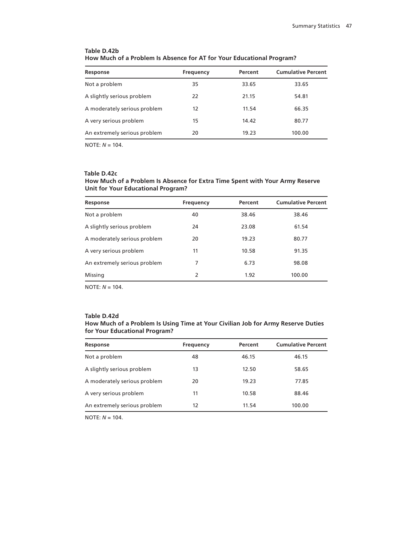| Response                     | Frequency | Percent | <b>Cumulative Percent</b> |
|------------------------------|-----------|---------|---------------------------|
| Not a problem                | 35        | 33.65   | 33.65                     |
| A slightly serious problem   | 22        | 21.15   | 54.81                     |
| A moderately serious problem | 12        | 11.54   | 66.35                     |
| A very serious problem       | 15        | 14.42   | 80.77                     |
| An extremely serious problem | 20        | 19.23   | 100.00                    |

# **Table D.42b How Much of a Problem Is Absence for AT for Your Educational Program?**

NOTE: *N* = 104.

#### **Table D.42c**

## **How Much of a Problem Is Absence for Extra Time Spent with Your Army Reserve Unit for Your Educational Program?**

| Response                     | Frequency | Percent | <b>Cumulative Percent</b> |
|------------------------------|-----------|---------|---------------------------|
| Not a problem                | 40        | 38.46   | 38.46                     |
| A slightly serious problem   | 24        | 23.08   | 61.54                     |
| A moderately serious problem | 20        | 19.23   | 80.77                     |
| A very serious problem       | 11        | 10.58   | 91.35                     |
| An extremely serious problem | 7         | 6.73    | 98.08                     |
| Missing                      | 2         | 1.92    | 100.00                    |

NOTE: *N* = 104.

#### **Table D.42d**

## **How Much of a Problem Is Using Time at Your Civilian Job for Army Reserve Duties for Your Educational Program?**

| Frequency | Percent | <b>Cumulative Percent</b> |
|-----------|---------|---------------------------|
| 48        | 46.15   | 46.15                     |
| 13        | 12.50   | 58.65                     |
| 20        | 19.23   | 77.85                     |
| 11        | 10.58   | 88.46                     |
| 12        | 11.54   | 100.00                    |
|           |         |                           |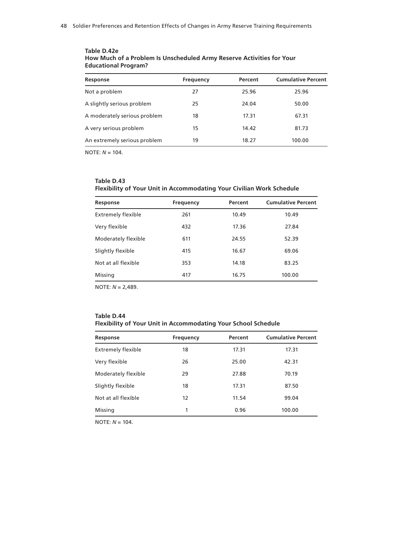| Response                     | Frequency | Percent | <b>Cumulative Percent</b> |
|------------------------------|-----------|---------|---------------------------|
| Not a problem                | 27        | 25.96   | 25.96                     |
| A slightly serious problem   | 25        | 24.04   | 50.00                     |
| A moderately serious problem | 18        | 17.31   | 67.31                     |
| A very serious problem       | 15        | 14.42   | 81.73                     |
| An extremely serious problem | 19        | 18.27   | 100.00                    |

#### **Table D.42e How Much of a Problem Is Unscheduled Army Reserve Activities for Your Educational Program?**

NOTE: *N* = 104.

## **Table D.43 Flexibility of Your Unit in Accommodating Your Civilian Work Schedule**

| Response                  | <b>Frequency</b> | Percent | <b>Cumulative Percent</b> |
|---------------------------|------------------|---------|---------------------------|
| <b>Extremely flexible</b> | 261              | 10.49   | 10.49                     |
| Very flexible             | 432              | 17.36   | 27.84                     |
| Moderately flexible       | 611              | 24.55   | 52.39                     |
| Slightly flexible         | 415              | 16.67   | 69.06                     |
| Not at all flexible       | 353              | 14.18   | 83.25                     |
| Missing                   | 417              | 16.75   | 100.00                    |

NOTE: *N* = 2,489.

# **Table D.44 Flexibility of Your Unit in Accommodating Your School Schedule**

| Response                  | <b>Frequency</b> | Percent | <b>Cumulative Percent</b> |
|---------------------------|------------------|---------|---------------------------|
| <b>Extremely flexible</b> | 18               | 17.31   | 17.31                     |
| Very flexible             | 26               | 25.00   | 42.31                     |
| Moderately flexible       | 29               | 27.88   | 70.19                     |
| Slightly flexible         | 18               | 17.31   | 87.50                     |
| Not at all flexible       | 12               | 11.54   | 99.04                     |
| Missing                   | 1                | 0.96    | 100.00                    |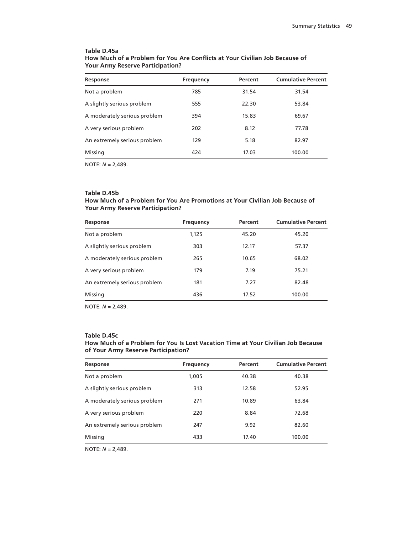#### **Table D.45a How Much of a Problem for You Are Conflicts at Your Civilian Job Because of Your Army Reserve Participation?**

| Response                     | Frequency | Percent | <b>Cumulative Percent</b> |
|------------------------------|-----------|---------|---------------------------|
| Not a problem                | 785       | 31.54   | 31.54                     |
| A slightly serious problem   | 555       | 22.30   | 53.84                     |
| A moderately serious problem | 394       | 15.83   | 69.67                     |
| A very serious problem       | 202       | 8.12    | 77.78                     |
| An extremely serious problem | 129       | 5.18    | 82.97                     |
| Missing                      | 424       | 17.03   | 100.00                    |

NOTE: *N* = 2,489.

## **Table D.45b**

## **How Much of a Problem for You Are Promotions at Your Civilian Job Because of Your Army Reserve Participation?**

| Response                     | Frequency | Percent | <b>Cumulative Percent</b> |
|------------------------------|-----------|---------|---------------------------|
| Not a problem                | 1,125     | 45.20   | 45.20                     |
| A slightly serious problem   | 303       | 12.17   | 57.37                     |
| A moderately serious problem | 265       | 10.65   | 68.02                     |
| A very serious problem       | 179       | 7.19    | 75.21                     |
| An extremely serious problem | 181       | 7.27    | 82.48                     |
| Missing                      | 436       | 17.52   | 100.00                    |

NOTE: *N* = 2,489.

#### **Table D.45c**

#### **How Much of a Problem for You Is Lost Vacation Time at Your Civilian Job Because of Your Army Reserve Participation?**

| Response                     | Frequency | Percent | <b>Cumulative Percent</b> |
|------------------------------|-----------|---------|---------------------------|
| Not a problem                | 1,005     | 40.38   | 40.38                     |
| A slightly serious problem   | 313       | 12.58   | 52.95                     |
| A moderately serious problem | 271       | 10.89   | 63.84                     |
| A very serious problem       | 220       | 8.84    | 72.68                     |
| An extremely serious problem | 247       | 9.92    | 82.60                     |
| Missing                      | 433       | 17.40   | 100.00                    |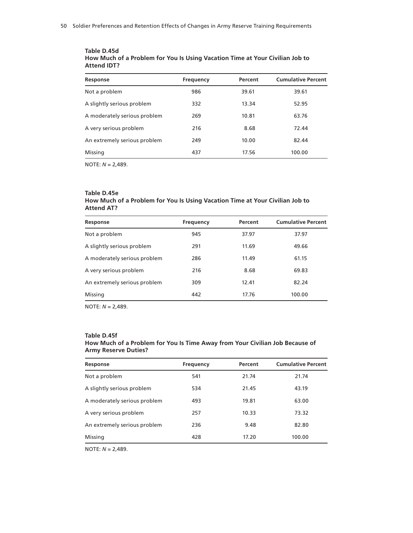| Response                     | Frequency | Percent | <b>Cumulative Percent</b> |
|------------------------------|-----------|---------|---------------------------|
| Not a problem                | 986       | 39.61   | 39.61                     |
| A slightly serious problem   | 332       | 13.34   | 52.95                     |
| A moderately serious problem | 269       | 10.81   | 63.76                     |
| A very serious problem       | 216       | 8.68    | 72.44                     |
| An extremely serious problem | 249       | 10.00   | 82.44                     |
| Missing                      | 437       | 17.56   | 100.00                    |
|                              |           |         |                           |

#### **Table D.45d How Much of a Problem for You Is Using Vacation Time at Your Civilian Job to Attend IDT?**

NOTE: *N* = 2,489.

# **Table D.45e**

## **How Much of a Problem for You Is Using Vacation Time at Your Civilian Job to Attend AT?**

| Response                     | <b>Frequency</b> | Percent | <b>Cumulative Percent</b> |
|------------------------------|------------------|---------|---------------------------|
| Not a problem                | 945              | 37.97   | 37.97                     |
| A slightly serious problem   | 291              | 11.69   | 49.66                     |
| A moderately serious problem | 286              | 11.49   | 61.15                     |
| A very serious problem       | 216              | 8.68    | 69.83                     |
| An extremely serious problem | 309              | 12.41   | 82.24                     |
| Missing                      | 442              | 17.76   | 100.00                    |

NOTE: *N* = 2,489.

#### **Table D.45f How Much of a Problem for You Is Time Away from Your Civilian Job Because of**

| <b>Army Reserve Duties?</b> |           |         |                           |
|-----------------------------|-----------|---------|---------------------------|
| Response                    | Frequency | Percent | <b>Cumulative Percent</b> |
| Not a problem               | 541       | 21 74   | 21 74                     |

| <b>Frequency</b> | Percent | <b>Cumulative Percen</b> |
|------------------|---------|--------------------------|
| 541              | 21.74   | 21.74                    |
| 534              | 21.45   | 43.19                    |
|                  |         |                          |

A moderately serious problem 493 19.81 63.00 A very serious problem 257 10.33 73.32 An extremely serious problem 236 9.48 9.48 82.80 Missing 100.00 128 17.20 100.00 100.00 128 17.20 100.00 100.00 100.00 100.00 100

|  | NOTE: $N = 2,489$ . |
|--|---------------------|
|--|---------------------|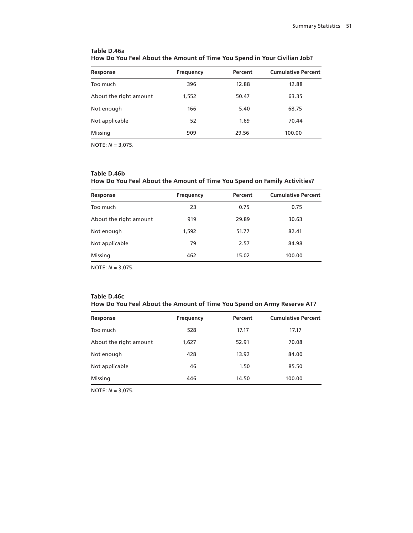| Response               | Frequency | Percent | <b>Cumulative Percent</b> |
|------------------------|-----------|---------|---------------------------|
| Too much               | 396       | 12.88   | 12.88                     |
| About the right amount | 1,552     | 50.47   | 63.35                     |
| Not enough             | 166       | 5.40    | 68.75                     |
| Not applicable         | 52        | 1.69    | 70.44                     |
| Missing                | 909       | 29.56   | 100.00                    |

## **Table D.46a How Do You Feel About the Amount of Time You Spend in Your Civilian Job?**

NOTE: *N* = 3,075.

## **Table D.46b How Do You Feel About the Amount of Time You Spend on Family Activities?**

| Response               | Frequency | Percent | <b>Cumulative Percent</b> |
|------------------------|-----------|---------|---------------------------|
| Too much               | 23        | 0.75    | 0.75                      |
| About the right amount | 919       | 29.89   | 30.63                     |
| Not enough             | 1,592     | 51.77   | 82.41                     |
| Not applicable         | 79        | 2.57    | 84.98                     |
| Missing                | 462       | 15.02   | 100.00                    |
|                        |           |         |                           |

NOTE: *N* = 3,075.

#### **Table D.46c How Do You Feel About the Amount of Time You Spend on Army Reserve AT?**

| Response               | <b>Frequency</b> | Percent | <b>Cumulative Percent</b> |
|------------------------|------------------|---------|---------------------------|
| Too much               | 528              | 17.17   | 17.17                     |
| About the right amount | 1,627            | 52.91   | 70.08                     |
| Not enough             | 428              | 13.92   | 84.00                     |
| Not applicable         | 46               | 1.50    | 85.50                     |
| Missing                | 446              | 14.50   | 100.00                    |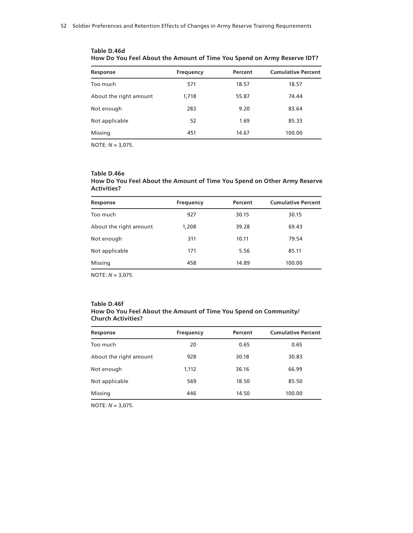| <b>Cumulative Percent</b><br>Percent<br>Response<br>Frequency<br>571<br>Too much<br>18.57<br>18.57 |  |
|----------------------------------------------------------------------------------------------------|--|
|                                                                                                    |  |
|                                                                                                    |  |
| About the right amount<br>74.44<br>1,718<br>55.87                                                  |  |
| 283<br>83.64<br>Not enough<br>9.20                                                                 |  |
| Not applicable<br>52<br>1.69<br>85.33                                                              |  |
| Missing<br>451<br>100.00<br>14.67                                                                  |  |

**Table D.46d How Do You Feel About the Amount of Time You Spend on Army Reserve IDT?**

#### **Table D.46e How Do You Feel About the Amount of Time You Spend on Other Army Reserve Activities?**

| Response               | <b>Frequency</b> | Percent | <b>Cumulative Percent</b> |
|------------------------|------------------|---------|---------------------------|
| Too much               | 927              | 30.15   | 30.15                     |
| About the right amount | 1,208            | 39.28   | 69.43                     |
| Not enough             | 311              | 10.11   | 79.54                     |
| Not applicable         | 171              | 5.56    | 85.11                     |
| Missing                | 458              | 14.89   | 100.00                    |

NOTE: *N* = 3,075.

#### **Table D.46f How Do You Feel About the Amount of Time You Spend on Community/ Church Activities?**

| Response               | Frequency | Percent | <b>Cumulative Percent</b> |
|------------------------|-----------|---------|---------------------------|
| Too much               | 20        | 0.65    | 0.65                      |
| About the right amount | 928       | 30.18   | 30.83                     |
| Not enough             | 1,112     | 36.16   | 66.99                     |
| Not applicable         | 569       | 18.50   | 85.50                     |
| Missing                | 446       | 14.50   | 100.00                    |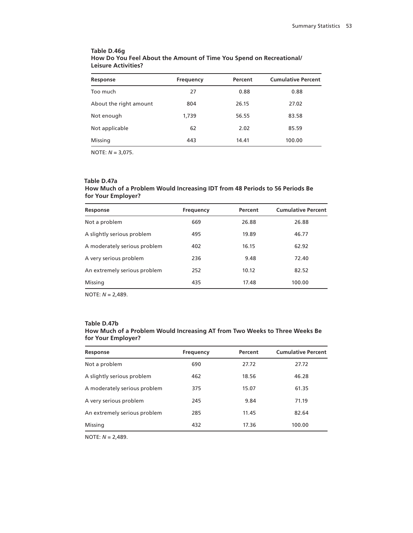## **Table D.46g How Do You Feel About the Amount of Time You Spend on Recreational/ Leisure Activities?**

| Response               | Frequency | Percent | <b>Cumulative Percent</b> |
|------------------------|-----------|---------|---------------------------|
| Too much               | 27        | 0.88    | 0.88                      |
| About the right amount | 804       | 26.15   | 27.02                     |
| Not enough             | 1,739     | 56.55   | 83.58                     |
| Not applicable         | 62        | 2.02    | 85.59                     |
| Missing                | 443       | 14.41   | 100.00                    |

NOTE: *N* = 3,075.

#### **Table D.47a**

## **How Much of a Problem Would Increasing IDT from 48 Periods to 56 Periods Be for Your Employer?**

| Response                     | <b>Frequency</b> | Percent | <b>Cumulative Percent</b> |
|------------------------------|------------------|---------|---------------------------|
| Not a problem                | 669              | 26.88   | 26.88                     |
| A slightly serious problem   | 495              | 19.89   | 46.77                     |
| A moderately serious problem | 402              | 16.15   | 62.92                     |
| A very serious problem       | 236              | 9.48    | 72.40                     |
| An extremely serious problem | 252              | 10.12   | 82.52                     |
| Missing                      | 435              | 17.48   | 100.00                    |

NOTE: *N* = 2,489.

#### **Table D.47b**

| How Much of a Problem Would Increasing AT from Two Weeks to Three Weeks Be |  |
|----------------------------------------------------------------------------|--|
| for Your Employer?                                                         |  |

| Response                     | <b>Frequency</b> | Percent | <b>Cumulative Percent</b> |
|------------------------------|------------------|---------|---------------------------|
| Not a problem                | 690              | 27.72   | 27.72                     |
| A slightly serious problem   | 462              | 18.56   | 46.28                     |
| A moderately serious problem | 375              | 15.07   | 61.35                     |
| A very serious problem       | 245              | 9.84    | 71.19                     |
| An extremely serious problem | 285              | 11.45   | 82.64                     |
| Missing                      | 432              | 17.36   | 100.00                    |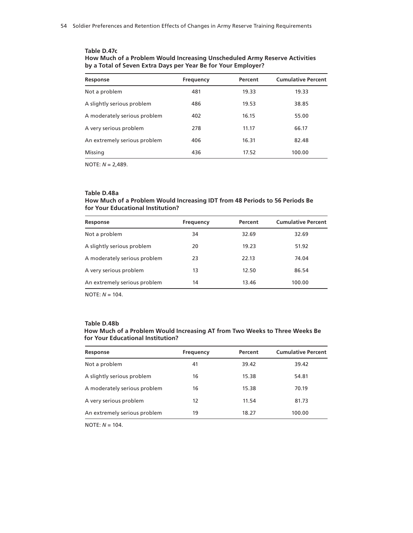#### **Table D.47c How Much of a Problem Would Increasing Unscheduled Army Reserve Activities by a Total of Seven Extra Days per Year Be for Your Employer?**

| Response                     | Frequency | Percent | <b>Cumulative Percent</b> |
|------------------------------|-----------|---------|---------------------------|
| Not a problem                | 481       | 19.33   | 19.33                     |
| A slightly serious problem   | 486       | 19.53   | 38.85                     |
| A moderately serious problem | 402       | 16.15   | 55.00                     |
| A very serious problem       | 278       | 11.17   | 66.17                     |
| An extremely serious problem | 406       | 16.31   | 82.48                     |
| Missing                      | 436       | 17.52   | 100.00                    |

NOTE: *N* = 2,489.

## **Table D.48a**

#### **How Much of a Problem Would Increasing IDT from 48 Periods to 56 Periods Be for Your Educational Institution?**

| Response                     | Frequency | Percent | <b>Cumulative Percent</b> |
|------------------------------|-----------|---------|---------------------------|
| Not a problem                | 34        | 32.69   | 32.69                     |
| A slightly serious problem   | 20        | 19.23   | 51.92                     |
| A moderately serious problem | 23        | 22.13   | 74.04                     |
| A very serious problem       | 13        | 12.50   | 86.54                     |
| An extremely serious problem | 14        | 13.46   | 100.00                    |

NOTE: *N* = 104.

#### **Table D.48b**

# **How Much of a Problem Would Increasing AT from Two Weeks to Three Weeks Be for Your Educational Institution?**

| Response                     | Frequency | Percent | <b>Cumulative Percent</b> |
|------------------------------|-----------|---------|---------------------------|
| Not a problem                | 41        | 39.42   | 39.42                     |
| A slightly serious problem   | 16        | 15.38   | 54.81                     |
| A moderately serious problem | 16        | 15.38   | 70.19                     |
| A very serious problem       | 12        | 11.54   | 81.73                     |
| An extremely serious problem | 19        | 18.27   | 100.00                    |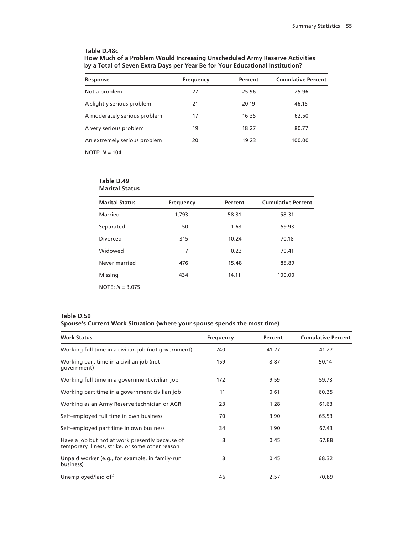## **Table D.48c**

| How Much of a Problem Would Increasing Unscheduled Army Reserve Activities   |
|------------------------------------------------------------------------------|
| by a Total of Seven Extra Days per Year Be for Your Educational Institution? |

| Response                     | Frequency | Percent | <b>Cumulative Percent</b> |
|------------------------------|-----------|---------|---------------------------|
| Not a problem                | 27        | 25.96   | 25.96                     |
| A slightly serious problem   | 21        | 20.19   | 46.15                     |
| A moderately serious problem | 17        | 16.35   | 62.50                     |
| A very serious problem       | 19        | 18.27   | 80.77                     |
| An extremely serious problem | 20        | 19.23   | 100.00                    |

NOTE: *N* = 104.

## **Table D.49 Marital Status**

| <b>Marital Status</b> | Frequency | Percent | <b>Cumulative Percent</b> |
|-----------------------|-----------|---------|---------------------------|
| Married               | 1,793     | 58.31   | 58.31                     |
| Separated             | 50        | 1.63    | 59.93                     |
| Divorced              | 315       | 10.24   | 70.18                     |
| Widowed               | 7         | 0.23    | 70.41                     |
| Never married         | 476       | 15.48   | 85.89                     |
| Missing               | 434       | 14.11   | 100.00                    |

NOTE: *N* = 3,075.

## **Table D.50**

# **Spouse's Current Work Situation (where your spouse spends the most time)**

| <b>Work Status</b>                                                                                 | Frequency | Percent | <b>Cumulative Percent</b> |
|----------------------------------------------------------------------------------------------------|-----------|---------|---------------------------|
| Working full time in a civilian job (not government)                                               | 740       | 41.27   | 41.27                     |
| Working part time in a civilian job (not<br>qovernment)                                            | 159       | 8.87    | 50.14                     |
| Working full time in a government civilian job                                                     | 172       | 9.59    | 59.73                     |
| Working part time in a government civilian job                                                     | 11        | 0.61    | 60.35                     |
| Working as an Army Reserve technician or AGR                                                       | 23        | 1.28    | 61.63                     |
| Self-employed full time in own business                                                            | 70        | 3.90    | 65.53                     |
| Self-employed part time in own business                                                            | 34        | 1.90    | 67.43                     |
| Have a job but not at work presently because of<br>temporary illness, strike, or some other reason | 8         | 0.45    | 67.88                     |
| Unpaid worker (e.g., for example, in family-run<br>business)                                       | 8         | 0.45    | 68.32                     |
| Unemployed/laid off                                                                                | 46        | 2.57    | 70.89                     |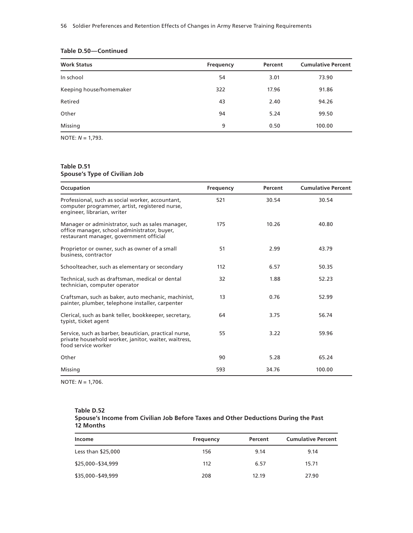| <b>Work Status</b>      | Frequency | Percent | <b>Cumulative Percent</b> |
|-------------------------|-----------|---------|---------------------------|
| In school               | 54        | 3.01    | 73.90                     |
| Keeping house/homemaker | 322       | 17.96   | 91.86                     |
| Retired                 | 43        | 2.40    | 94.26                     |
| Other                   | 94        | 5.24    | 99.50                     |
| Missing                 | 9         | 0.50    | 100.00                    |

# **Table D.50—Continued**

NOTE: *N* = 1,793.

# **Table D.51**

# **Spouse's Type of Civilian Job**

| Occupation                                                                                                                                  | Frequency | Percent | <b>Cumulative Percent</b> |
|---------------------------------------------------------------------------------------------------------------------------------------------|-----------|---------|---------------------------|
| Professional, such as social worker, accountant,<br>computer programmer, artist, registered nurse,<br>engineer, librarian, writer           | 521       | 30.54   | 30.54                     |
| Manager or administrator, such as sales manager,<br>office manager, school administrator, buyer,<br>restaurant manager, government official | 175       | 10.26   | 40.80                     |
| Proprietor or owner, such as owner of a small<br>business, contractor                                                                       | 51        | 2.99    | 43.79                     |
| Schoolteacher, such as elementary or secondary                                                                                              | 112       | 6.57    | 50.35                     |
| Technical, such as draftsman, medical or dental<br>technician, computer operator                                                            | 32        | 1.88    | 52.23                     |
| Craftsman, such as baker, auto mechanic, machinist,<br>painter, plumber, telephone installer, carpenter                                     | 13        | 0.76    | 52.99                     |
| Clerical, such as bank teller, bookkeeper, secretary,<br>typist, ticket agent                                                               | 64        | 3.75    | 56.74                     |
| Service, such as barber, beautician, practical nurse,<br>private household worker, janitor, waiter, waitress,<br>food service worker        | 55        | 3.22    | 59.96                     |
| Other                                                                                                                                       | 90        | 5.28    | 65.24                     |
| Missing                                                                                                                                     | 593       | 34.76   | 100.00                    |

NOTE: *N* = 1,706.

| Table D.52                                                                          |
|-------------------------------------------------------------------------------------|
| Spouse's Income from Civilian Job Before Taxes and Other Deductions During the Past |
| 12 Months                                                                           |

| Income             | Frequency | Percent | <b>Cumulative Percent</b> |
|--------------------|-----------|---------|---------------------------|
| Less than \$25,000 | 156       | 9.14    | 9.14                      |
| \$25,000-\$34,999  | 112       | 6.57    | 15.71                     |
| \$35,000-\$49,999  | 208       | 12.19   | 27.90                     |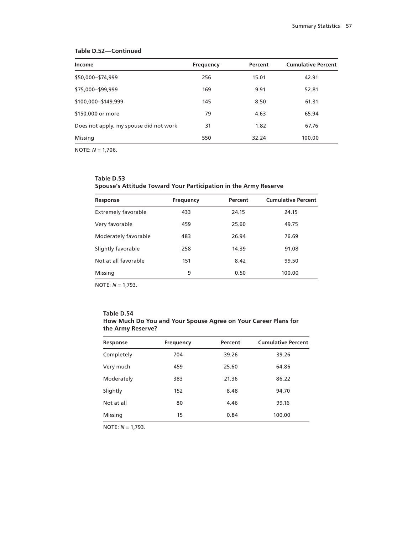## **Table D.52—Continued**

| Income                                 | Frequency | Percent | <b>Cumulative Percent</b> |
|----------------------------------------|-----------|---------|---------------------------|
| \$50,000-\$74,999                      | 256       | 15.01   | 42.91                     |
| \$75,000-\$99,999                      | 169       | 9.91    | 52.81                     |
| \$100,000-\$149,999                    | 145       | 8.50    | 61.31                     |
| \$150,000 or more                      | 79        | 4.63    | 65.94                     |
| Does not apply, my spouse did not work | 31        | 1.82    | 67.76                     |
| Missing                                | 550       | 32.24   | 100.00                    |

NOTE: *N* = 1,706.

| Table D.53                                                      |
|-----------------------------------------------------------------|
| Spouse's Attitude Toward Your Participation in the Army Reserve |

| Response                   | Frequency | Percent | <b>Cumulative Percent</b> |
|----------------------------|-----------|---------|---------------------------|
| <b>Extremely favorable</b> | 433       | 24.15   | 24.15                     |
| Very favorable             | 459       | 25.60   | 49.75                     |
| Moderately favorable       | 483       | 26.94   | 76.69                     |
| Slightly favorable         | 258       | 14.39   | 91.08                     |
| Not at all favorable       | 151       | 8.42    | 99.50                     |
| Missing                    | 9         | 0.50    | 100.00                    |

NOTE: *N* = 1,793.

| Table D.54                                                     |
|----------------------------------------------------------------|
| How Much Do You and Your Spouse Agree on Your Career Plans for |
| the Army Reserve?                                              |

| Response   | <b>Frequency</b> | Percent | <b>Cumulative Percent</b> |
|------------|------------------|---------|---------------------------|
| Completely | 704              | 39.26   | 39.26                     |
| Very much  | 459              | 25.60   | 64.86                     |
| Moderately | 383              | 21.36   | 86.22                     |
| Slightly   | 152              | 8.48    | 94.70                     |
| Not at all | 80               | 4.46    | 99.16                     |
| Missing    | 15               | 0.84    | 100.00                    |

NOTE: *N* = 1,793.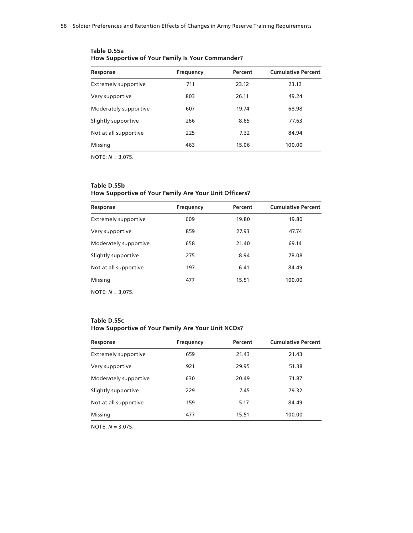| Response                    | <b>Frequency</b> | Percent | <b>Cumulative Percent</b> |
|-----------------------------|------------------|---------|---------------------------|
| <b>Extremely supportive</b> | 711              | 23.12   | 23.12                     |
| Very supportive             | 803              | 26.11   | 49.24                     |
| Moderately supportive       | 607              | 19.74   | 68.98                     |
| Slightly supportive         | 266              | 8.65    | 77.63                     |
| Not at all supportive       | 225              | 7.32    | 84.94                     |
| Missing                     | 463              | 15.06   | 100.00                    |

**Table D.55a How Supportive of Your Family Is Your Commander?**

## **Table D.55b**

# **How Supportive of Your Family Are Your Unit Officers?**

| Response                    | Frequency | Percent | <b>Cumulative Percent</b> |
|-----------------------------|-----------|---------|---------------------------|
| <b>Extremely supportive</b> | 609       | 19.80   | 19.80                     |
| Very supportive             | 859       | 27.93   | 47.74                     |
| Moderately supportive       | 658       | 21.40   | 69.14                     |
| Slightly supportive         | 275       | 8.94    | 78.08                     |
| Not at all supportive       | 197       | 6.41    | 84.49                     |
| Missing                     | 477       | 15.51   | 100.00                    |

NOTE: *N* = 3,075.

| Table D.55c                                       |
|---------------------------------------------------|
| How Supportive of Your Family Are Your Unit NCOs? |

| Response                    | <b>Frequency</b> | Percent | <b>Cumulative Percent</b> |
|-----------------------------|------------------|---------|---------------------------|
| <b>Extremely supportive</b> | 659              | 21.43   | 21.43                     |
| Very supportive             | 921              | 29.95   | 51.38                     |
| Moderately supportive       | 630              | 20.49   | 71.87                     |
| Slightly supportive         | 229              | 7.45    | 79.32                     |
| Not at all supportive       | 159              | 5.17    | 84.49                     |
| Missing                     | 477              | 15.51   | 100.00                    |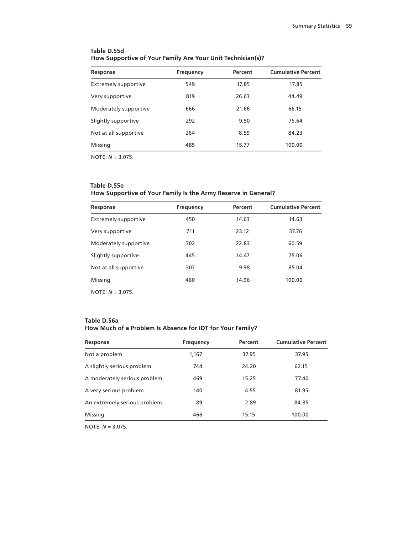| Response                    | Frequency | Percent | <b>Cumulative Percent</b> |
|-----------------------------|-----------|---------|---------------------------|
| <b>Extremely supportive</b> | 549       | 17.85   | 17.85                     |
| Very supportive             | 819       | 26.63   | 44.49                     |
| Moderately supportive       | 666       | 21.66   | 66.15                     |
| Slightly supportive         | 292       | 9.50    | 75.64                     |
| Not at all supportive       | 264       | 8.59    | 84.23                     |
| Missing                     | 485       | 15.77   | 100.00                    |

# **Table D.55d How Supportive of Your Family Are Your Unit Technician(s)?**

NOTE: *N* = 3,075.

## **Table D.55e**

# **How Supportive of Your Family Is the Army Reserve in General?**

| Response                    | <b>Frequency</b> | Percent | <b>Cumulative Percent</b> |
|-----------------------------|------------------|---------|---------------------------|
| <b>Extremely supportive</b> | 450              | 14.63   | 14.63                     |
| Very supportive             | 711              | 23.12   | 37.76                     |
| Moderately supportive       | 702              | 22.83   | 60.59                     |
| Slightly supportive         | 445              | 14.47   | 75.06                     |
| Not at all supportive       | 307              | 9.98    | 85.04                     |
| Missing                     | 460              | 14.96   | 100.00                    |

NOTE: *N* = 3,075.

## **Table D.56a How Much of a Problem Is Absence for IDT for Your Family?**

| Response                     | Frequency | Percent | <b>Cumulative Percent</b> |
|------------------------------|-----------|---------|---------------------------|
| Not a problem                | 1,167     | 37.95   | 37.95                     |
| A slightly serious problem   | 744       | 24.20   | 62.15                     |
| A moderately serious problem | 469       | 15.25   | 77.40                     |
| A very serious problem       | 140       | 4.55    | 81.95                     |
| An extremely serious problem | 89        | 2.89    | 84.85                     |
| Missing                      | 466       | 15.15   | 100.00                    |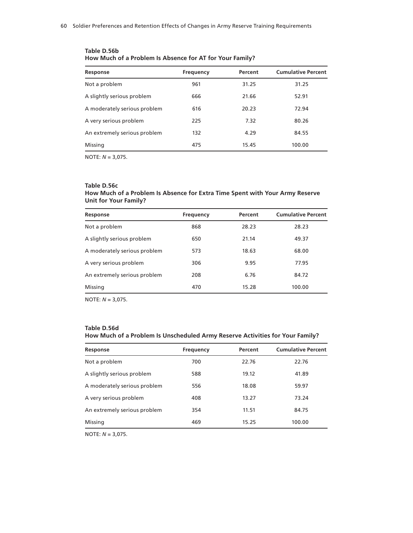| Response                     | Frequency | Percent | <b>Cumulative Percent</b> |
|------------------------------|-----------|---------|---------------------------|
| Not a problem                | 961       | 31.25   | 31.25                     |
| A slightly serious problem   | 666       | 21.66   | 52.91                     |
| A moderately serious problem | 616       | 20.23   | 72.94                     |
| A very serious problem       | 225       | 7.32    | 80.26                     |
| An extremely serious problem | 132       | 4.29    | 84.55                     |
| Missing                      | 475       | 15.45   | 100.00                    |

**Table D.56b How Much of a Problem Is Absence for AT for Your Family?**

## **Table D.56c**

## **How Much of a Problem Is Absence for Extra Time Spent with Your Army Reserve Unit for Your Family?**

| Response                     | Frequency | Percent | <b>Cumulative Percent</b> |
|------------------------------|-----------|---------|---------------------------|
| Not a problem                | 868       | 28.23   | 28.23                     |
| A slightly serious problem   | 650       | 21.14   | 49.37                     |
| A moderately serious problem | 573       | 18.63   | 68.00                     |
| A very serious problem       | 306       | 9.95    | 77.95                     |
| An extremely serious problem | 208       | 6.76    | 84.72                     |
| Missing                      | 470       | 15.28   | 100.00                    |

NOTE: *N* = 3,075.

#### **Table D.56d**

## **How Much of a Problem Is Unscheduled Army Reserve Activities for Your Family?**

| Response                     | Frequency | Percent | <b>Cumulative Percent</b> |
|------------------------------|-----------|---------|---------------------------|
| Not a problem                | 700       | 22.76   | 22.76                     |
| A slightly serious problem   | 588       | 19.12   | 41.89                     |
| A moderately serious problem | 556       | 18.08   | 59.97                     |
| A very serious problem       | 408       | 13.27   | 73.24                     |
| An extremely serious problem | 354       | 11.51   | 84.75                     |
| Missing                      | 469       | 15.25   | 100.00                    |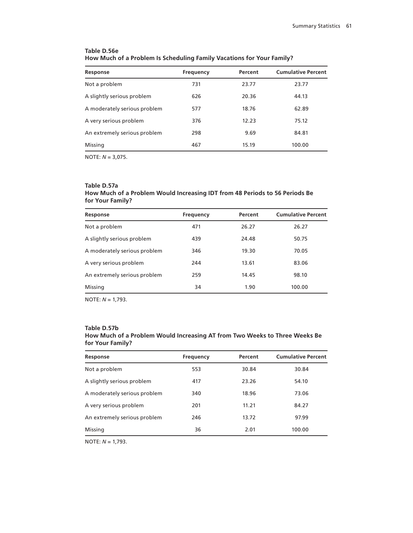| Response                     | Frequency | Percent | <b>Cumulative Percent</b> |
|------------------------------|-----------|---------|---------------------------|
| Not a problem                | 731       | 23.77   | 23.77                     |
| A slightly serious problem   | 626       | 20.36   | 44.13                     |
| A moderately serious problem | 577       | 18.76   | 62.89                     |
| A very serious problem       | 376       | 12.23   | 75.12                     |
| An extremely serious problem | 298       | 9.69    | 84.81                     |
| Missing                      | 467       | 15.19   | 100.00                    |

# **Table D.56e How Much of a Problem Is Scheduling Family Vacations for Your Family?**

NOTE: *N* = 3,075.

#### **Table D.57a**

# **How Much of a Problem Would Increasing IDT from 48 Periods to 56 Periods Be for Your Family?**

| Response                     | <b>Frequency</b> | Percent | <b>Cumulative Percent</b> |
|------------------------------|------------------|---------|---------------------------|
| Not a problem                | 471              | 26.27   | 26.27                     |
| A slightly serious problem   | 439              | 24.48   | 50.75                     |
| A moderately serious problem | 346              | 19.30   | 70.05                     |
| A very serious problem       | 244              | 13.61   | 83.06                     |
| An extremely serious problem | 259              | 14.45   | 98.10                     |
| Missing                      | 34               | 1.90    | 100.00                    |

NOTE: *N* = 1,793.

#### **Table D.57b**

# **How Much of a Problem Would Increasing AT from Two Weeks to Three Weeks Be for Your Family?**

| Response                     | Frequency | Percent | <b>Cumulative Percent</b> |
|------------------------------|-----------|---------|---------------------------|
| Not a problem                | 553       | 30.84   | 30.84                     |
| A slightly serious problem   | 417       | 23.26   | 54.10                     |
| A moderately serious problem | 340       | 18.96   | 73.06                     |
| A very serious problem       | 201       | 11.21   | 84.27                     |
| An extremely serious problem | 246       | 13.72   | 97.99                     |
| Missing                      | 36        | 2.01    | 100.00                    |
|                              |           |         |                           |

NOTE: *N* = 1,793.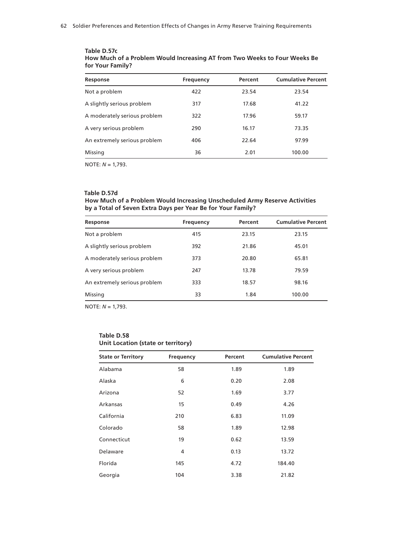| Response                     | Frequency | Percent | <b>Cumulative Percent</b> |
|------------------------------|-----------|---------|---------------------------|
| Not a problem                | 422       | 23.54   | 23.54                     |
| A slightly serious problem   | 317       | 17.68   | 41.22                     |
| A moderately serious problem | 322       | 17.96   | 59.17                     |
| A very serious problem       | 290       | 16.17   | 73.35                     |
| An extremely serious problem | 406       | 22.64   | 97.99                     |
| Missing                      | 36        | 2.01    | 100.00                    |
|                              |           |         |                           |

#### **Table D.57c How Much of a Problem Would Increasing AT from Two Weeks to Four Weeks Be for Your Family?**

NOTE: *N* = 1,793.

# **Table D.57d**

#### **How Much of a Problem Would Increasing Unscheduled Army Reserve Activities by a Total of Seven Extra Days per Year Be for Your Family?**

| Response                     | <b>Frequency</b> | Percent | <b>Cumulative Percent</b> |
|------------------------------|------------------|---------|---------------------------|
| Not a problem                | 415              | 23.15   | 23.15                     |
| A slightly serious problem   | 392              | 21.86   | 45.01                     |
| A moderately serious problem | 373              | 20.80   | 65.81                     |
| A very serious problem       | 247              | 13.78   | 79.59                     |
| An extremely serious problem | 333              | 18.57   | 98.16                     |
| Missing                      | 33               | 1.84    | 100.00                    |

NOTE: *N* = 1,793.

#### **Table D.58 Unit Location (state or territory)**

| <b>State or Territory</b> | Frequency | Percent | <b>Cumulative Percent</b> |
|---------------------------|-----------|---------|---------------------------|
| Alabama                   | 58        | 1.89    | 1.89                      |
| Alaska                    | 6         | 0.20    | 2.08                      |
| Arizona                   | 52        | 1.69    | 3.77                      |
| Arkansas                  | 15        | 0.49    | 4.26                      |
| California                | 210       | 6.83    | 11.09                     |
| Colorado                  | 58        | 1.89    | 12.98                     |
| Connecticut               | 19        | 0.62    | 13.59                     |
| Delaware                  | 4         | 0.13    | 13.72                     |
| Florida                   | 145       | 4.72    | 184.40                    |
| Georgia                   | 104       | 3.38    | 21.82                     |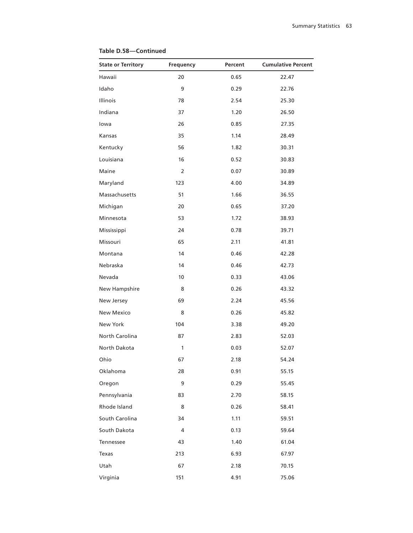| <b>State or Territory</b> | Frequency      | Percent | <b>Cumulative Percent</b> |
|---------------------------|----------------|---------|---------------------------|
| Hawaii                    | 20             | 0.65    | 22.47                     |
| Idaho                     | 9              | 0.29    | 22.76                     |
| Illinois                  | 78             | 2.54    | 25.30                     |
| Indiana                   | 37             | 1.20    | 26.50                     |
| lowa                      | 26             | 0.85    | 27.35                     |
| Kansas                    | 35             | 1.14    | 28.49                     |
| Kentucky                  | 56             | 1.82    | 30.31                     |
| Louisiana                 | 16             | 0.52    | 30.83                     |
| Maine                     | $\overline{2}$ | 0.07    | 30.89                     |
| Maryland                  | 123            | 4.00    | 34.89                     |
| Massachusetts             | 51             | 1.66    | 36.55                     |
| Michigan                  | 20             | 0.65    | 37.20                     |
| Minnesota                 | 53             | 1.72    | 38.93                     |
| Mississippi               | 24             | 0.78    | 39.71                     |
| Missouri                  | 65             | 2.11    | 41.81                     |
| Montana                   | 14             | 0.46    | 42.28                     |
| Nebraska                  | 14             | 0.46    | 42.73                     |
| Nevada                    | 10             | 0.33    | 43.06                     |
| New Hampshire             | 8              | 0.26    | 43.32                     |
| New Jersey                | 69             | 2.24    | 45.56                     |
| <b>New Mexico</b>         | 8              | 0.26    | 45.82                     |
| New York                  | 104            | 3.38    | 49.20                     |
| North Carolina            | 87             | 2.83    | 52.03                     |
| North Dakota              | 1              | 0.03    | 52.07                     |
| Ohio                      | 67             | 2.18    | 54.24                     |
| Oklahoma                  | 28             | 0.91    | 55.15                     |
| Oregon                    | 9              | 0.29    | 55.45                     |
| Pennsylvania              | 83             | 2.70    | 58.15                     |
| Rhode Island              | 8              | 0.26    | 58.41                     |
| South Carolina            | 34             | 1.11    | 59.51                     |
| South Dakota              | 4              | 0.13    | 59.64                     |
| Tennessee                 | 43             | 1.40    | 61.04                     |
| Texas                     | 213            | 6.93    | 67.97                     |
| Utah                      | 67             | 2.18    | 70.15                     |
| Virginia                  | 151            | 4.91    | 75.06                     |

#### **Table D.58—Continued**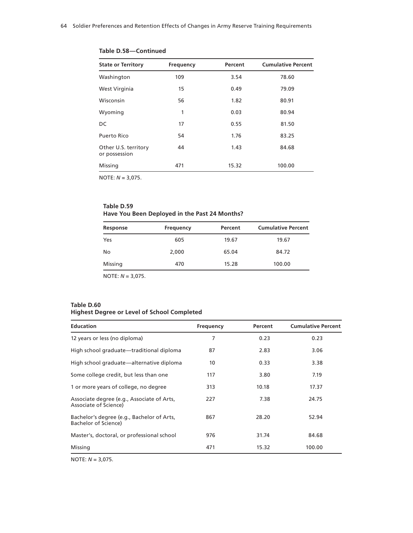| <b>State or Territory</b>             | Frequency | Percent | <b>Cumulative Percent</b> |
|---------------------------------------|-----------|---------|---------------------------|
| Washington                            | 109       | 3.54    | 78.60                     |
| West Virginia                         | 15        | 0.49    | 79.09                     |
| Wisconsin                             | 56        | 1.82    | 80.91                     |
| Wyoming                               | 1         | 0.03    | 80.94                     |
| DC                                    | 17        | 0.55    | 81.50                     |
| Puerto Rico                           | 54        | 1.76    | 83.25                     |
| Other U.S. territory<br>or possession | 44        | 1.43    | 84.68                     |
| Missing                               | 471       | 15.32   | 100.00                    |

**Table D.58—Continued**

#### **Table D.59 Have You Been Deployed in the Past 24 Months?**

|       |           | <b>Cumulative Percent</b> |
|-------|-----------|---------------------------|
| 605   | 19.67     | 19.67                     |
| 2,000 | 65.04     | 84.72                     |
| 470   | 15.28     | 100.00                    |
|       | Frequency | Percent                   |

NOTE: *N* = 3,075.

# **Table D.60**

# **Highest Degree or Level of School Completed**

| <b>Education</b>                                                    | Frequency | Percent | <b>Cumulative Percent</b> |
|---------------------------------------------------------------------|-----------|---------|---------------------------|
| 12 years or less (no diploma)                                       | 7         | 0.23    | 0.23                      |
| High school graduate—traditional diploma                            | 87        | 2.83    | 3.06                      |
| High school graduate—alternative diploma                            | 10        | 0.33    | 3.38                      |
| Some college credit, but less than one                              | 117       | 3.80    | 7.19                      |
| 1 or more years of college, no degree                               | 313       | 10.18   | 17.37                     |
| Associate degree (e.g., Associate of Arts,<br>Associate of Science) | 227       | 7.38    | 24.75                     |
| Bachelor's degree (e.g., Bachelor of Arts,<br>Bachelor of Science)  | 867       | 28.20   | 52.94                     |
| Master's, doctoral, or professional school                          | 976       | 31.74   | 84.68                     |
| Missing                                                             | 471       | 15.32   | 100.00                    |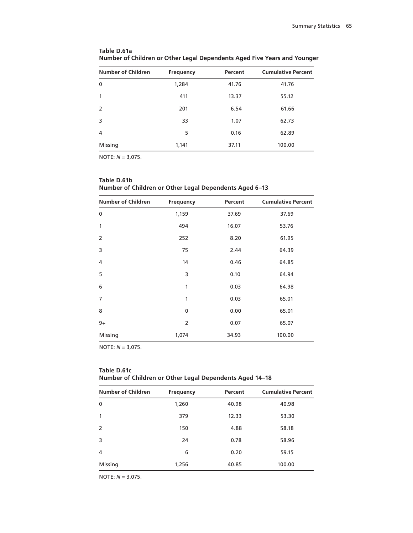| <b>Number of Children</b> | <b>Frequency</b> | Percent | <b>Cumulative Percent</b> |
|---------------------------|------------------|---------|---------------------------|
| 0                         | 1,284            | 41.76   | 41.76                     |
|                           | 411              | 13.37   | 55.12                     |
| 2                         | 201              | 6.54    | 61.66                     |
| 3                         | 33               | 1.07    | 62.73                     |
| 4                         | 5                | 0.16    | 62.89                     |
| Missing                   | 1,141            | 37.11   | 100.00                    |

**Table D.61a Number of Children or Other Legal Dependents Aged Five Years and Younger**

| <b>Number of Children</b> | <b>Frequency</b> | Percent | <b>Cumulative Percent</b> |
|---------------------------|------------------|---------|---------------------------|
| 0                         | 1,159            | 37.69   | 37.69                     |
| 1                         | 494              | 16.07   | 53.76                     |
| $\overline{2}$            | 252              | 8.20    | 61.95                     |
| 3                         | 75               | 2.44    | 64.39                     |
| 4                         | 14               | 0.46    | 64.85                     |
| 5                         | 3                | 0.10    | 64.94                     |
| 6                         | 1                | 0.03    | 64.98                     |
| $\overline{7}$            | 1                | 0.03    | 65.01                     |
| 8                         | 0                | 0.00    | 65.01                     |
| $9+$                      | 2                | 0.07    | 65.07                     |
| Missing                   | 1,074            | 34.93   | 100.00                    |

**Table D.61b Number of Children or Other Legal Dependents Aged 6–13**

NOTE: *N* = 3,075.

# **Table D.61c Number of Children or Other Legal Dependents Aged 14–18**

| <b>Number of Children</b> | Frequency | Percent | <b>Cumulative Percent</b> |
|---------------------------|-----------|---------|---------------------------|
| $\mathbf{0}$              | 1,260     | 40.98   | 40.98                     |
| 1                         | 379       | 12.33   | 53.30                     |
| $\mathcal{P}$             | 150       | 4.88    | 58.18                     |
| 3                         | 24        | 0.78    | 58.96                     |
| 4                         | 6         | 0.20    | 59.15                     |
| Missing                   | 1,256     | 40.85   | 100.00                    |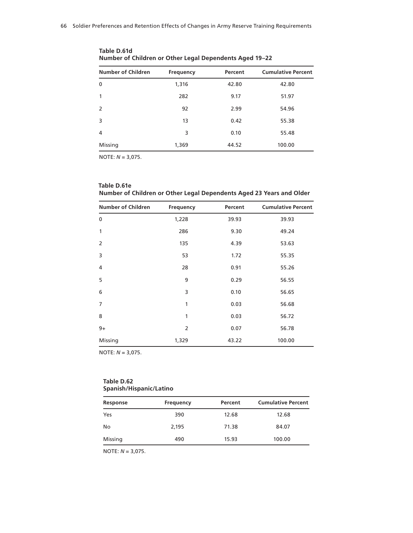| <b>Number of Children</b> | <b>Frequency</b> | Percent | <b>Cumulative Percent</b> |
|---------------------------|------------------|---------|---------------------------|
| $\mathbf{0}$              | 1,316            | 42.80   | 42.80                     |
|                           | 282              | 9.17    | 51.97                     |
| $\mathcal{P}$             | 92               | 2.99    | 54.96                     |
| 3                         | 13               | 0.42    | 55.38                     |
| 4                         | 3                | 0.10    | 55.48                     |
| Missing                   | 1,369            | 44.52   | 100.00                    |

**Table D.61d Number of Children or Other Legal Dependents Aged 19–22**

**Table D.61e Number of Children or Other Legal Dependents Aged 23 Years and Older**

| <b>Number of Children</b> | <b>Frequency</b> | Percent | <b>Cumulative Percent</b> |
|---------------------------|------------------|---------|---------------------------|
| $\mathbf 0$               | 1,228            | 39.93   | 39.93                     |
| 1                         | 286              | 9.30    | 49.24                     |
| $\overline{2}$            | 135              | 4.39    | 53.63                     |
| 3                         | 53               | 1.72    | 55.35                     |
| 4                         | 28               | 0.91    | 55.26                     |
| 5                         | 9                | 0.29    | 56.55                     |
| 6                         | 3                | 0.10    | 56.65                     |
| 7                         | 1                | 0.03    | 56.68                     |
| 8                         | 1                | 0.03    | 56.72                     |
| $9+$                      | 2                | 0.07    | 56.78                     |
| Missing                   | 1,329            | 43.22   | 100.00                    |

NOTE: *N* = 3,075.

#### **Table D.62 Spanish/Hispanic/Latino**

| Response | Frequency | Percent | <b>Cumulative Percent</b> |
|----------|-----------|---------|---------------------------|
| Yes      | 390       | 12.68   | 12.68                     |
| No       | 2.195     | 71.38   | 84.07                     |
| Missing  | 490       | 15.93   | 100.00                    |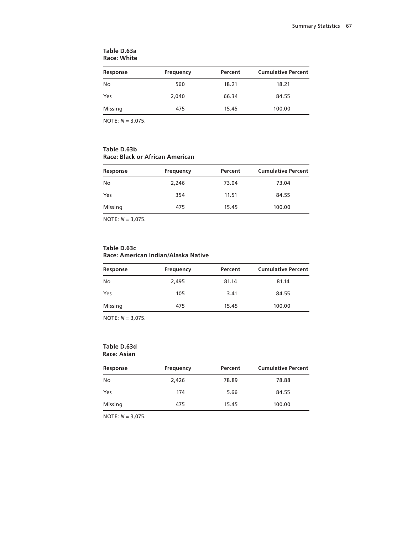| Response | Frequency | Percent | <b>Cumulative Percent</b> |
|----------|-----------|---------|---------------------------|
| No       | 560       | 18.21   | 18.21                     |
| Yes      | 2,040     | 66.34   | 84.55                     |
| Missing  | 475       | 15.45   | 100.00                    |

#### **Table D.63a Race: White**

NOTE: *N* = 3,075.

## **Table D.63b Race: Black or African American**

| Response | Frequency | Percent | <b>Cumulative Percent</b> |
|----------|-----------|---------|---------------------------|
| No       | 2,246     | 73.04   | 73.04                     |
| Yes      | 354       | 11.51   | 84.55                     |
| Missing  | 475       | 15.45   | 100.00                    |

NOTE: *N* = 3,075.

### **Table D.63c Race: American Indian/Alaska Native**

| Response | Frequency | Percent | <b>Cumulative Percent</b> |
|----------|-----------|---------|---------------------------|
| No       | 2,495     | 81.14   | 81.14                     |
| Yes      | 105       | 3.41    | 84.55                     |
| Missing  | 475       | 15.45   | 100.00                    |
|          |           |         |                           |

NOTE: *N* = 3,075.

# **Table D.63d**

**Race: Asian**

| Response | Frequency | Percent | <b>Cumulative Percent</b> |
|----------|-----------|---------|---------------------------|
| No       | 2,426     | 78.89   | 78.88                     |
| Yes      | 174       | 5.66    | 84.55                     |
| Missing  | 475       | 15.45   | 100.00                    |
|          |           |         |                           |